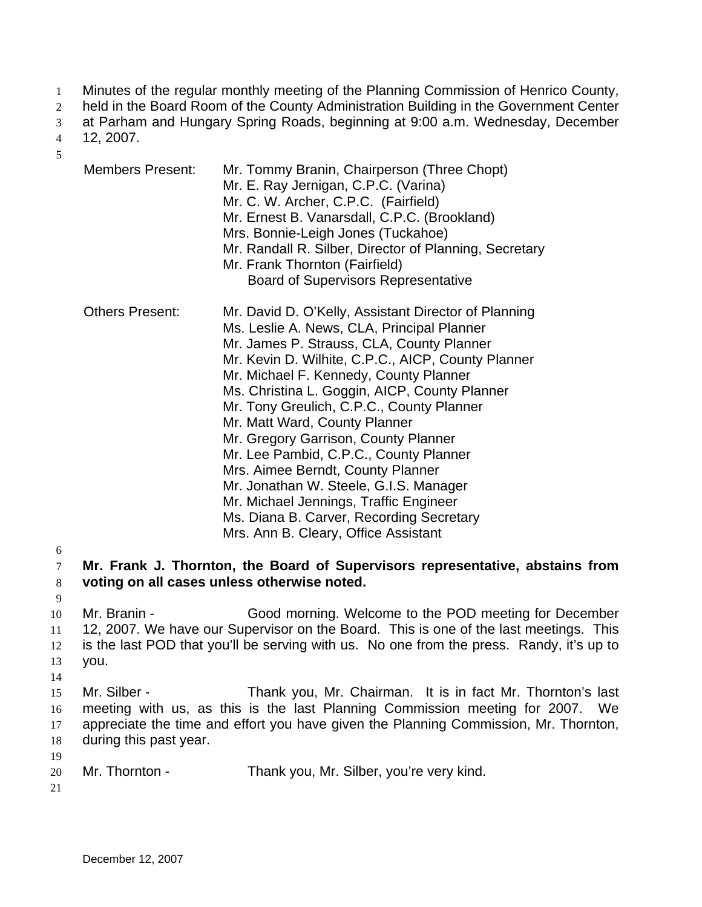- Minutes of the regular monthly meeting of the Planning Commission of Henrico County, 1
- held in the Board Room of the County Administration Building in the Government Center 2
- at Parham and Hungary Spring Roads, beginning at 9:00 a.m. Wednesday, December 3
- 12, 2007. 4

5

Members Present: Mr. Tommy Branin, Chairperson (Three Chopt) Mr. E. Ray Jernigan, C.P.C. (Varina) Mr. C. W. Archer, C.P.C. (Fairfield) Mr. Ernest B. Vanarsdall, C.P.C. (Brookland) Mrs. Bonnie-Leigh Jones (Tuckahoe) Mr. Randall R. Silber, Director of Planning, Secretary Mr. Frank Thornton (Fairfield) Board of Supervisors Representative Others Present: Mr. David D. O'Kelly, Assistant Director of Planning Ms. Leslie A. News, CLA, Principal Planner Mr. James P. Strauss, CLA, County Planner Mr. Kevin D. Wilhite, C.P.C., AICP, County Planner Mr. Michael F. Kennedy, County Planner Ms. Christina L. Goggin, AICP, County Planner Mr. Tony Greulich, C.P.C., County Planner Mr. Matt Ward, County Planner Mr. Gregory Garrison, County Planner Mr. Lee Pambid, C.P.C., County Planner Mrs. Aimee Berndt, County Planner Mr. Jonathan W. Steele, G.I.S. Manager Mr. Michael Jennings, Traffic Engineer Ms. Diana B. Carver, Recording Secretary Mrs. Ann B. Cleary, Office Assistant

6

9

14

7 8 **Mr. Frank J. Thornton, the Board of Supervisors representative, abstains from voting on all cases unless otherwise noted.** 

10 11 12 13 Mr. Branin - Good morning. Welcome to the POD meeting for December 12, 2007. We have our Supervisor on the Board. This is one of the last meetings. This is the last POD that you'll be serving with us. No one from the press. Randy, it's up to you.

15 16 17 18 19 Mr. Silber - Thank you, Mr. Chairman. It is in fact Mr. Thornton's last meeting with us, as this is the last Planning Commission meeting for 2007. We appreciate the time and effort you have given the Planning Commission, Mr. Thornton, during this past year.

- 20 Mr. Thornton - Thank you, Mr. Silber, you're very kind.
- 21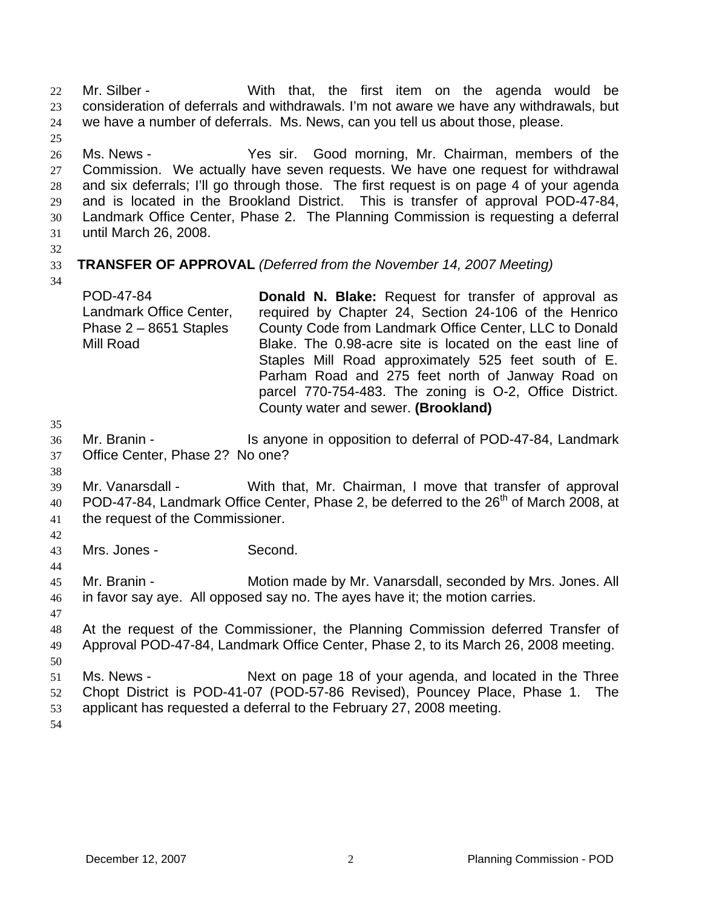Mr. Silber - With that, the first item on the agenda would be consideration of deferrals and withdrawals. I'm not aware we have any withdrawals, but we have a number of deferrals. Ms. News, can you tell us about those, please. 22 23 24 25

26 27 28 29 30 31 Ms. News - Yes sir. Good morning, Mr. Chairman, members of the Commission. We actually have seven requests. We have one request for withdrawal and six deferrals; I'll go through those. The first request is on page 4 of your agenda and is located in the Brookland District. This is transfer of approval POD-47-84, Landmark Office Center, Phase 2. The Planning Commission is requesting a deferral until March 26, 2008.

32

### 33 **TRANSFER OF APPROVAL** *(Deferred from the November 14, 2007 Meeting)*

34

POD-47-84 Landmark Office Center, Phase 2 – 8651 Staples Mill Road **Donald N. Blake:** Request for transfer of approval as required by Chapter 24, Section 24-106 of the Henrico County Code from Landmark Office Center, LLC to Donald Blake. The 0.98-acre site is located on the east line of Staples Mill Road approximately 525 feet south of E. Parham Road and 275 feet north of Janway Road on parcel 770-754-483. The zoning is O-2, Office District. County water and sewer. **(Brookland)** 

35

38

36 37 Mr. Branin - Is anyone in opposition to deferral of POD-47-84, Landmark Office Center, Phase 2? No one?

- 39 40 41 Mr. Vanarsdall - With that, Mr. Chairman, I move that transfer of approval POD-47-84, Landmark Office Center, Phase 2, be deferred to the 26<sup>th</sup> of March 2008, at the request of the Commissioner.
- 42

44

43 Mrs. Jones - Second.

45 46 Mr. Branin - **Motion made by Mr. Vanarsdall, seconded by Mrs. Jones. All** in favor say aye. All opposed say no. The ayes have it; the motion carries.

47

48 49 At the request of the Commissioner, the Planning Commission deferred Transfer of Approval POD-47-84, Landmark Office Center, Phase 2, to its March 26, 2008 meeting.

50 51 52 53 Ms. News - Next on page 18 of your agenda, and located in the Three Chopt District is POD-41-07 (POD-57-86 Revised), Pouncey Place, Phase 1. The applicant has requested a deferral to the February 27, 2008 meeting.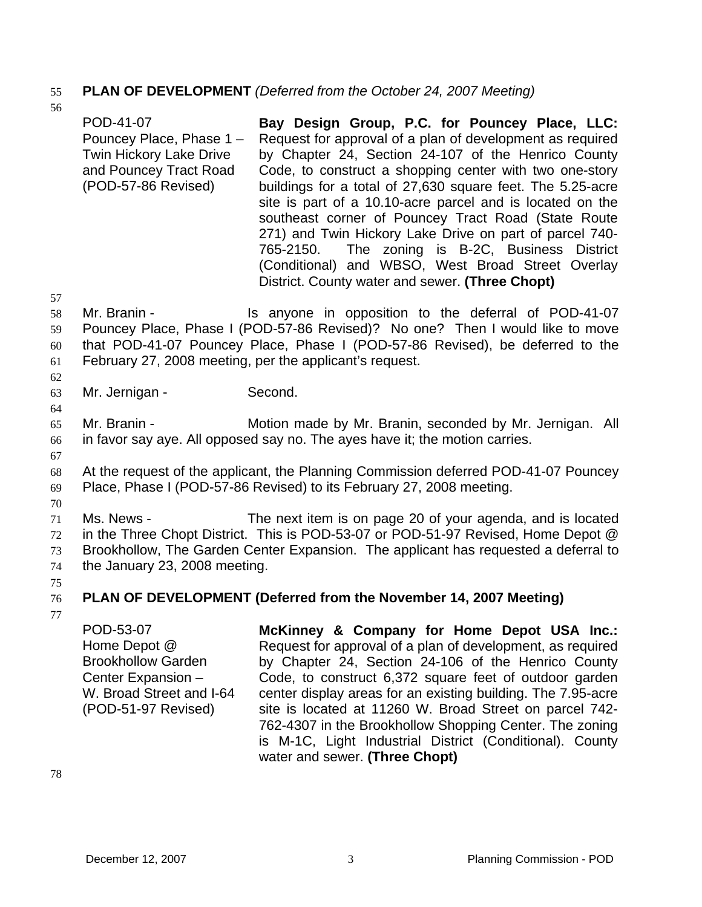## 55 **PLAN OF DEVELOPMENT** *(Deferred from the October 24, 2007 Meeting)*

- POD-41-07 Pouncey Place, Phase 1 – Twin Hickory Lake Drive and Pouncey Tract Road (POD-57-86 Revised) **Bay Design Group, P.C. for Pouncey Place, LLC:**  Request for approval of a plan of development as required by Chapter 24, Section 24-107 of the Henrico County Code, to construct a shopping center with two one-story buildings for a total of 27,630 square feet. The 5.25-acre site is part of a 10.10-acre parcel and is located on the southeast corner of Pouncey Tract Road (State Route 271) and Twin Hickory Lake Drive on part of parcel 740- 765-2150. The zoning is B-2C, Business District (Conditional) and WBSO, West Broad Street Overlay District. County water and sewer. **(Three Chopt)**
- 58 59 60 61 Mr. Branin - The Is anyone in opposition to the deferral of POD-41-07 Pouncey Place, Phase I (POD-57-86 Revised)? No one? Then I would like to move that POD-41-07 Pouncey Place, Phase I (POD-57-86 Revised), be deferred to the February 27, 2008 meeting, per the applicant's request.
- 63 Mr. Jernigan - Second.
- 65 66 Mr. Branin - **Motion made by Mr. Branin, seconded by Mr. Jernigan.** All in favor say aye. All opposed say no. The ayes have it; the motion carries.
- 67

57

62

64

56

- 68 69 At the request of the applicant, the Planning Commission deferred POD-41-07 Pouncey Place, Phase I (POD-57-86 Revised) to its February 27, 2008 meeting.
- 70
- 71 72 73 74 Ms. News - The next item is on page 20 of your agenda, and is located in the Three Chopt District. This is POD-53-07 or POD-51-97 Revised, Home Depot @ Brookhollow, The Garden Center Expansion. The applicant has requested a deferral to the January 23, 2008 meeting.
- 75

### 76 **PLAN OF DEVELOPMENT (Deferred from the November 14, 2007 Meeting)**

77

POD-53-07 Home Depot @ Brookhollow Garden Center Expansion – W. Broad Street and I-64 (POD-51-97 Revised) **McKinney & Company for Home Depot USA Inc.:**  Request for approval of a plan of development, as required by Chapter 24, Section 24-106 of the Henrico County Code, to construct 6,372 square feet of outdoor garden center display areas for an existing building. The 7.95-acre site is located at 11260 W. Broad Street on parcel 742- 762-4307 in the Brookhollow Shopping Center. The zoning is M-1C, Light Industrial District (Conditional). County water and sewer. **(Three Chopt)**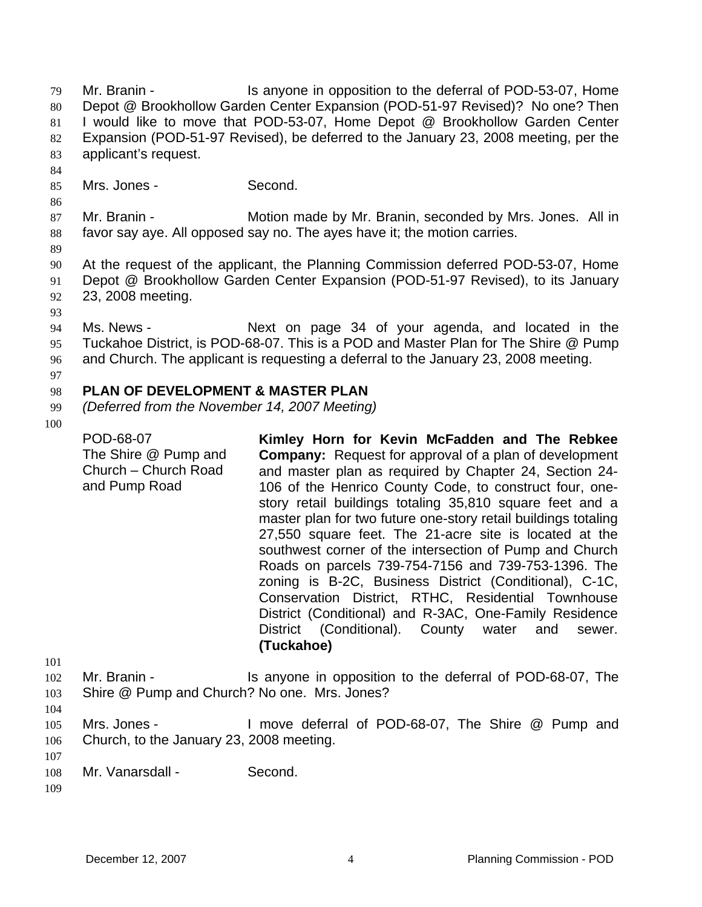Mr. Branin - The Is anyone in opposition to the deferral of POD-53-07, Home Depot @ Brookhollow Garden Center Expansion (POD-51-97 Revised)? No one? Then I would like to move that POD-53-07, Home Depot @ Brookhollow Garden Center Expansion (POD-51-97 Revised), be deferred to the January 23, 2008 meeting, per the applicant's request. 79 80 81 82 83 84

85 Mrs. Jones - Second.

87 88 Mr. Branin - **Motion made by Mr. Branin, seconded by Mrs. Jones.** All in favor say aye. All opposed say no. The ayes have it; the motion carries.

89

86

90 91 92 At the request of the applicant, the Planning Commission deferred POD-53-07, Home Depot @ Brookhollow Garden Center Expansion (POD-51-97 Revised), to its January 23, 2008 meeting.

93

94 95 96 Ms. News - The Mext on page 34 of your agenda, and located in the Tuckahoe District, is POD-68-07. This is a POD and Master Plan for The Shire @ Pump and Church. The applicant is requesting a deferral to the January 23, 2008 meeting.

#### 98 **PLAN OF DEVELOPMENT & MASTER PLAN**

- 99 *(Deferred from the November 14, 2007 Meeting)*
- 100

97

POD-68-07 The Shire @ Pump and Church – Church Road and Pump Road **Kimley Horn for Kevin McFadden and The Rebkee Company:** Request for approval of a plan of development and master plan as required by Chapter 24, Section 24- 106 of the Henrico County Code, to construct four, onestory retail buildings totaling 35,810 square feet and a master plan for two future one-story retail buildings totaling 27,550 square feet. The 21-acre site is located at the southwest corner of the intersection of Pump and Church Roads on parcels 739-754-7156 and 739-753-1396. The zoning is B-2C, Business District (Conditional), C-1C, Conservation District, RTHC, Residential Townhouse District (Conditional) and R-3AC, One-Family Residence District (Conditional). County water and sewer. **(Tuckahoe)** 

- 102 103 Mr. Branin - Is anyone in opposition to the deferral of POD-68-07, The Shire @ Pump and Church? No one. Mrs. Jones?
- 104

101

- 105 106 Mrs. Jones - I move deferral of POD-68-07, The Shire @ Pump and Church, to the January 23, 2008 meeting.
- 108 Mr. Vanarsdall - Second.

109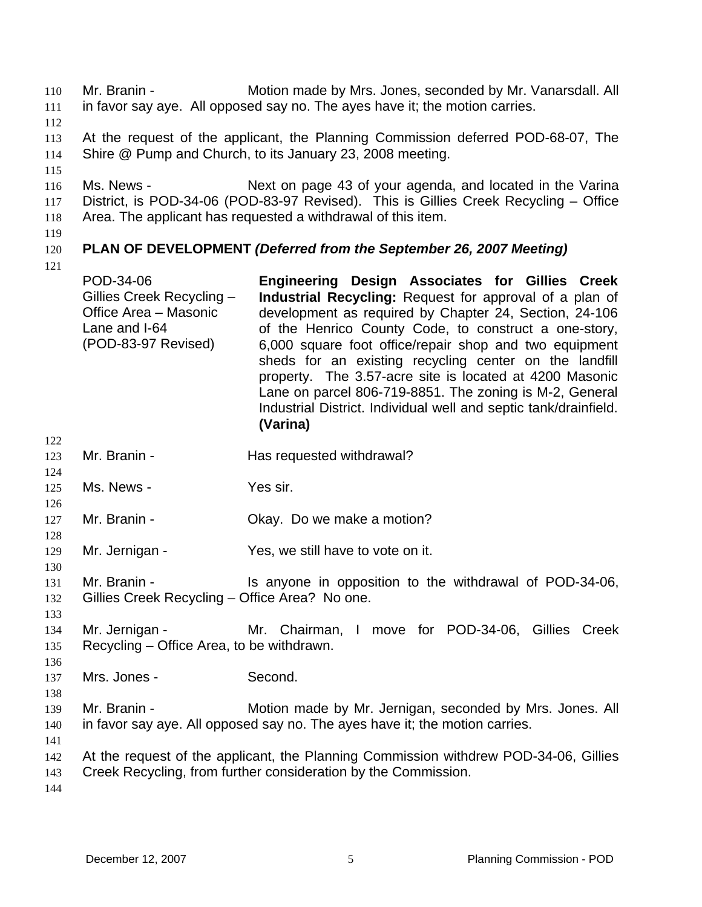Mr. Branin - Motion made by Mrs. Jones, seconded by Mr. Vanarsdall. All in favor say aye. All opposed say no. The ayes have it; the motion carries. 110 111

112

113 114 At the request of the applicant, the Planning Commission deferred POD-68-07, The Shire @ Pump and Church, to its January 23, 2008 meeting.

115

116 117 118 Ms. News - Next on page 43 of your agenda, and located in the Varina District, is POD-34-06 (POD-83-97 Revised). This is Gillies Creek Recycling – Office Area. The applicant has requested a withdrawal of this item.

119

## 120 **PLAN OF DEVELOPMENT** *(Deferred from the September 26, 2007 Meeting)*

121

122

124

126

128

130

133

| POD-34-06                 | Engineering Design Associates for Gillies Creek                  |
|---------------------------|------------------------------------------------------------------|
| Gillies Creek Recycling - | Industrial Recycling: Request for approval of a plan of          |
| Office Area - Masonic     | development as required by Chapter 24, Section, 24-106           |
| Lane and I-64             | of the Henrico County Code, to construct a one-story,            |
| (POD-83-97 Revised)       | 6,000 square foot office/repair shop and two equipment           |
|                           | sheds for an existing recycling center on the landfill           |
|                           | property. The 3.57-acre site is located at 4200 Masonic          |
|                           | Lane on parcel 806-719-8851. The zoning is M-2, General          |
|                           | Industrial District. Individual well and septic tank/drainfield. |
|                           | (Varina)                                                         |

- 123 Mr. Branin - **Has requested withdrawal?**
- 125 Ms. News - Yes sir.
- 127 Mr. Branin - Ckay. Do we make a motion?
- 129 Mr. Jernigan - Yes, we still have to vote on it.
- 131 132 Mr. Branin - The Is anyone in opposition to the withdrawal of POD-34-06, Gillies Creek Recycling – Office Area? No one.
- 134 135 Mr. Jernigan - Mr. Chairman, I move for POD-34-06, Gillies Creek Recycling – Office Area, to be withdrawn.
- 136 137 Mrs. Jones - Second.
- 138 139 140 Mr. Branin - Motion made by Mr. Jernigan, seconded by Mrs. Jones. All in favor say aye. All opposed say no. The ayes have it; the motion carries.
- 141
- 142 At the request of the applicant, the Planning Commission withdrew POD-34-06, Gillies

143 Creek Recycling, from further consideration by the Commission.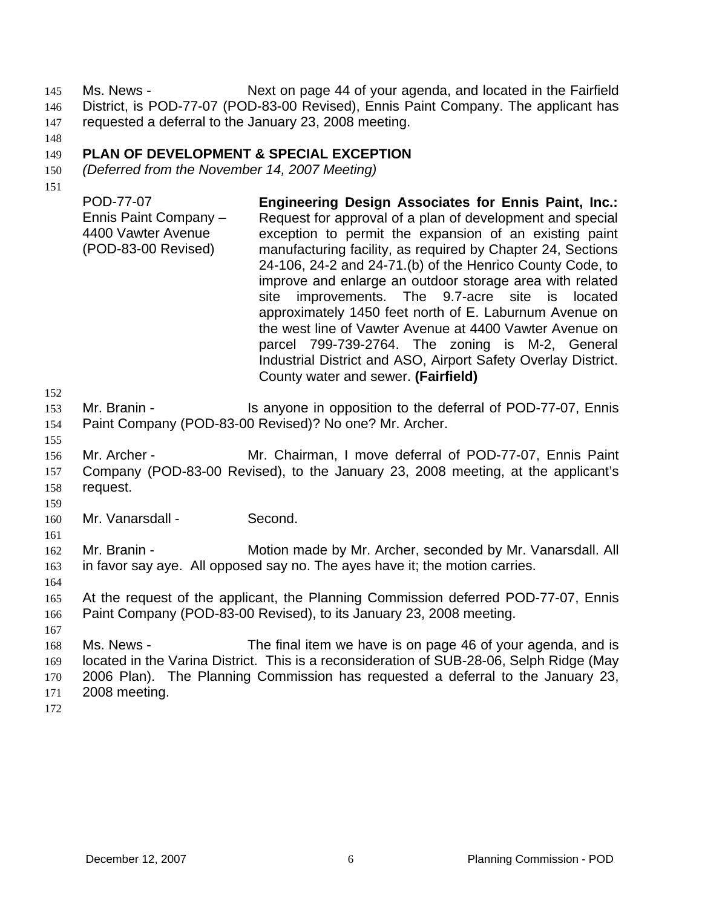Ms. News - Next on page 44 of your agenda, and located in the Fairfield District, is POD-77-07 (POD-83-00 Revised), Ennis Paint Company. The applicant has requested a deferral to the January 23, 2008 meeting. 145 146 147

148

#### 149 **PLAN OF DEVELOPMENT & SPECIAL EXCEPTION**

- 150 *(Deferred from the November 14, 2007 Meeting)*
- 151

POD-77-07 Ennis Paint Company – 4400 Vawter Avenue (POD-83-00 Revised) **Engineering Design Associates for Ennis Paint, Inc.:**  Request for approval of a plan of development and special exception to permit the expansion of an existing paint manufacturing facility, as required by Chapter 24, Sections 24-106, 24-2 and 24-71.(b) of the Henrico County Code, to improve and enlarge an outdoor storage area with related site improvements. The 9.7-acre site is located approximately 1450 feet north of E. Laburnum Avenue on the west line of Vawter Avenue at 4400 Vawter Avenue on parcel 799-739-2764. The zoning is M-2, General Industrial District and ASO, Airport Safety Overlay District. County water and sewer. **(Fairfield)** 

- 153 154 Mr. Branin - Is anyone in opposition to the deferral of POD-77-07, Ennis Paint Company (POD-83-00 Revised)? No one? Mr. Archer.
- 155 156 157 158 Mr. Archer - **Mr. Chairman, I move deferral of POD-77-07, Ennis Paint** Company (POD-83-00 Revised), to the January 23, 2008 meeting, at the applicant's request.
- 159

161

152

160 Mr. Vanarsdall - Second.

162 163 Mr. Branin - **Motion made by Mr. Archer, seconded by Mr. Vanarsdall. All** in favor say aye. All opposed say no. The ayes have it; the motion carries.

- 164
- 165 166 At the request of the applicant, the Planning Commission deferred POD-77-07, Ennis Paint Company (POD-83-00 Revised), to its January 23, 2008 meeting.
- 167

168 169 170 171 Ms. News - The final item we have is on page 46 of your agenda, and is located in the Varina District. This is a reconsideration of SUB-28-06, Selph Ridge (May 2006 Plan). The Planning Commission has requested a deferral to the January 23, 2008 meeting.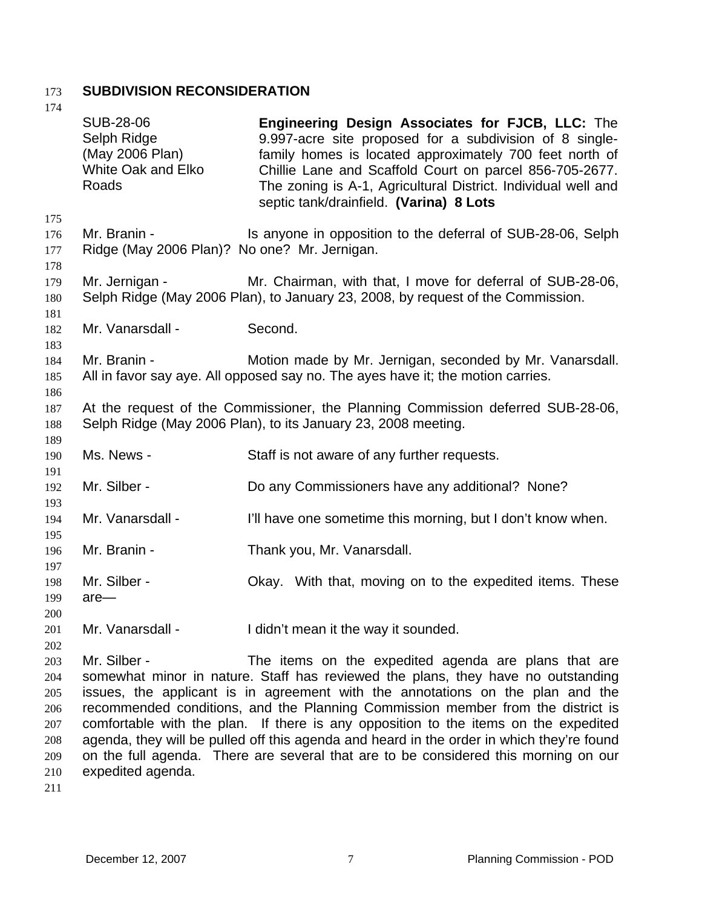# 173 **SUBDIVISION RECONSIDERATION**

| 174                                    |                                                                                                                                                  |                                                                                                                                                                                                                                                                                                                                                                                                                                                                                                   |  |  |
|----------------------------------------|--------------------------------------------------------------------------------------------------------------------------------------------------|---------------------------------------------------------------------------------------------------------------------------------------------------------------------------------------------------------------------------------------------------------------------------------------------------------------------------------------------------------------------------------------------------------------------------------------------------------------------------------------------------|--|--|
|                                        | <b>SUB-28-06</b><br>Selph Ridge<br>(May 2006 Plan)<br><b>White Oak and Elko</b><br>Roads                                                         | Engineering Design Associates for FJCB, LLC: The<br>9.997-acre site proposed for a subdivision of 8 single-<br>family homes is located approximately 700 feet north of<br>Chillie Lane and Scaffold Court on parcel 856-705-2677.<br>The zoning is A-1, Agricultural District. Individual well and<br>septic tank/drainfield. (Varina) 8 Lots                                                                                                                                                     |  |  |
| 175<br>176<br>177                      | Mr. Branin -<br>Ridge (May 2006 Plan)? No one? Mr. Jernigan.                                                                                     | Is anyone in opposition to the deferral of SUB-28-06, Selph                                                                                                                                                                                                                                                                                                                                                                                                                                       |  |  |
| 178<br>179<br>180                      | Mr. Jernigan -                                                                                                                                   | Mr. Chairman, with that, I move for deferral of SUB-28-06,<br>Selph Ridge (May 2006 Plan), to January 23, 2008, by request of the Commission.                                                                                                                                                                                                                                                                                                                                                     |  |  |
| 181<br>182                             | Mr. Vanarsdall -                                                                                                                                 | Second.                                                                                                                                                                                                                                                                                                                                                                                                                                                                                           |  |  |
| 183<br>184<br>185                      | Mr. Branin -                                                                                                                                     | Motion made by Mr. Jernigan, seconded by Mr. Vanarsdall.<br>All in favor say aye. All opposed say no. The ayes have it; the motion carries.                                                                                                                                                                                                                                                                                                                                                       |  |  |
| 186<br>187<br>188<br>189               | At the request of the Commissioner, the Planning Commission deferred SUB-28-06,<br>Selph Ridge (May 2006 Plan), to its January 23, 2008 meeting. |                                                                                                                                                                                                                                                                                                                                                                                                                                                                                                   |  |  |
| 190                                    | Ms. News -                                                                                                                                       | Staff is not aware of any further requests.                                                                                                                                                                                                                                                                                                                                                                                                                                                       |  |  |
| 191<br>192                             | Mr. Silber -                                                                                                                                     | Do any Commissioners have any additional? None?                                                                                                                                                                                                                                                                                                                                                                                                                                                   |  |  |
| 193<br>194                             | Mr. Vanarsdall -                                                                                                                                 | I'll have one sometime this morning, but I don't know when.                                                                                                                                                                                                                                                                                                                                                                                                                                       |  |  |
| 195<br>196                             | Mr. Branin -                                                                                                                                     | Thank you, Mr. Vanarsdall.                                                                                                                                                                                                                                                                                                                                                                                                                                                                        |  |  |
| 197<br>198<br>199<br>200               | Mr. Silber -<br>$are-$                                                                                                                           | Okay. With that, moving on to the expedited items. These                                                                                                                                                                                                                                                                                                                                                                                                                                          |  |  |
| 201<br>202                             | Mr. Vanarsdall -                                                                                                                                 | I didn't mean it the way it sounded.                                                                                                                                                                                                                                                                                                                                                                                                                                                              |  |  |
| 203<br>204<br>205<br>206<br>207<br>208 | Mr. Silber -                                                                                                                                     | The items on the expedited agenda are plans that are<br>somewhat minor in nature. Staff has reviewed the plans, they have no outstanding<br>issues, the applicant is in agreement with the annotations on the plan and the<br>recommended conditions, and the Planning Commission member from the district is<br>comfortable with the plan. If there is any opposition to the items on the expedited<br>agenda, they will be pulled off this agenda and heard in the order in which they're found |  |  |
| 209                                    |                                                                                                                                                  | on the full agenda. There are several that are to be considered this morning on our                                                                                                                                                                                                                                                                                                                                                                                                               |  |  |

- 210 expedited agenda.
- 211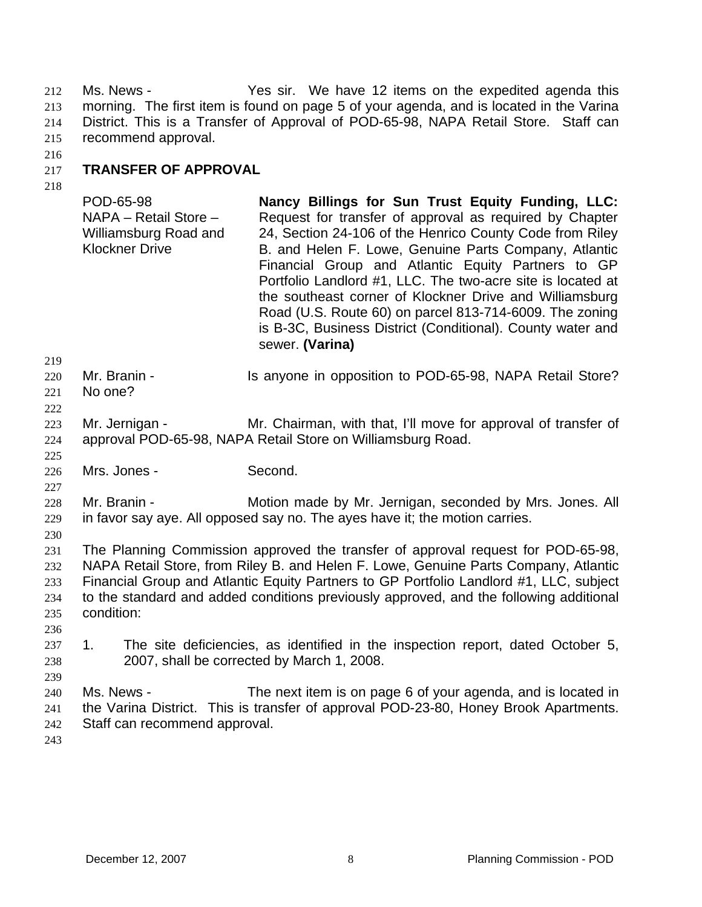Ms. News - Yes sir. We have 12 items on the expedited agenda this morning. The first item is found on page 5 of your agenda, and is located in the Varina District. This is a Transfer of Approval of POD-65-98, NAPA Retail Store. Staff can recommend approval. 212 213 214 215

216

#### 217 **TRANSFER OF APPROVAL**

218

POD-65-98 NAPA – Retail Store – Williamsburg Road and Klockner Drive **Nancy Billings for Sun Trust Equity Funding, LLC:**  Request for transfer of approval as required by Chapter 24, Section 24-106 of the Henrico County Code from Riley B. and Helen F. Lowe, Genuine Parts Company, Atlantic Financial Group and Atlantic Equity Partners to GP Portfolio Landlord #1, LLC. The two-acre site is located at the southeast corner of Klockner Drive and Williamsburg Road (U.S. Route 60) on parcel 813-714-6009. The zoning is B-3C, Business District (Conditional). County water and sewer. **(Varina)** 

- 220 Mr. Branin - The Is anyone in opposition to POD-65-98, NAPA Retail Store?
- 221 222 No one?

219

225

227

230

236

239

- 223 224 Mr. Jernigan - Mr. Chairman, with that, I'll move for approval of transfer of approval POD-65-98, NAPA Retail Store on Williamsburg Road.
- 226 Mrs. Jones - Second.

228 229 Mr. Branin - **Motion made by Mr. Jernigan, seconded by Mrs. Jones. All** in favor say aye. All opposed say no. The ayes have it; the motion carries.

231 232 233 234 235 The Planning Commission approved the transfer of approval request for POD-65-98, NAPA Retail Store, from Riley B. and Helen F. Lowe, Genuine Parts Company, Atlantic Financial Group and Atlantic Equity Partners to GP Portfolio Landlord #1, LLC, subject to the standard and added conditions previously approved, and the following additional condition:

237 238 1. The site deficiencies, as identified in the inspection report, dated October 5, 2007, shall be corrected by March 1, 2008.

240 241 242 Ms. News - The next item is on page 6 of your agenda, and is located in the Varina District. This is transfer of approval POD-23-80, Honey Brook Apartments. Staff can recommend approval.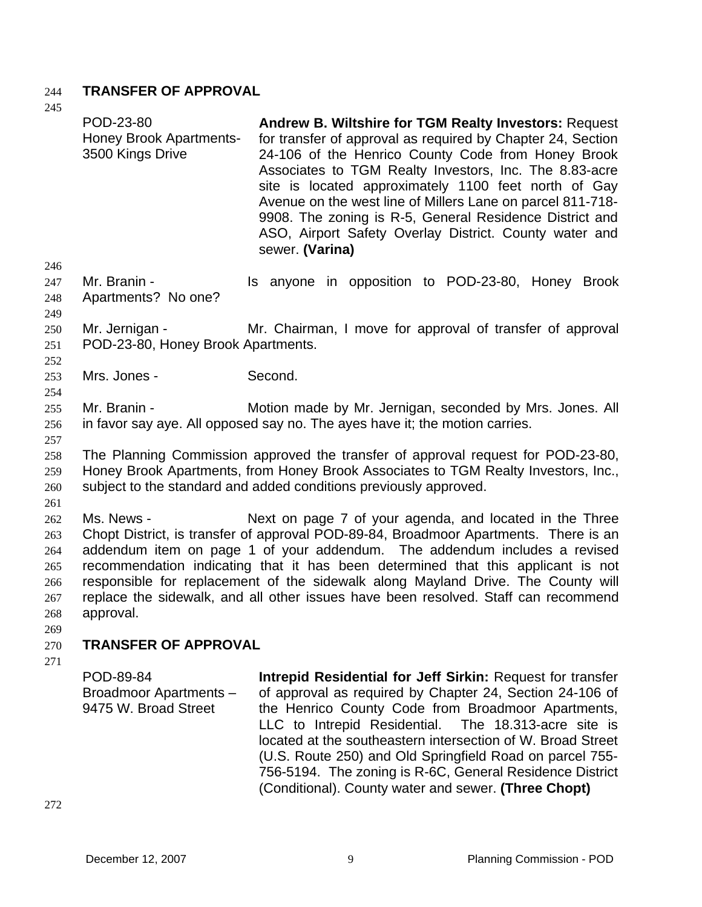# 244 **TRANSFER OF APPROVAL**

 $245$ 

| 24J                                                  |                                                                                                                                                                                                                                             |                                                                                                                                                                                                                                                                                                                                                                                                                                                                                                           |  |  |  |  |
|------------------------------------------------------|---------------------------------------------------------------------------------------------------------------------------------------------------------------------------------------------------------------------------------------------|-----------------------------------------------------------------------------------------------------------------------------------------------------------------------------------------------------------------------------------------------------------------------------------------------------------------------------------------------------------------------------------------------------------------------------------------------------------------------------------------------------------|--|--|--|--|
|                                                      | POD-23-80<br><b>Honey Brook Apartments-</b><br>3500 Kings Drive                                                                                                                                                                             | <b>Andrew B. Wiltshire for TGM Realty Investors: Request</b><br>for transfer of approval as required by Chapter 24, Section<br>24-106 of the Henrico County Code from Honey Brook<br>Associates to TGM Realty Investors, Inc. The 8.83-acre<br>site is located approximately 1100 feet north of Gay<br>Avenue on the west line of Millers Lane on parcel 811-718-<br>9908. The zoning is R-5, General Residence District and<br>ASO, Airport Safety Overlay District. County water and<br>sewer. (Varina) |  |  |  |  |
| 246<br>247<br>248<br>249                             | Mr. Branin -<br>Apartments? No one?                                                                                                                                                                                                         | Is anyone in opposition to POD-23-80, Honey Brook                                                                                                                                                                                                                                                                                                                                                                                                                                                         |  |  |  |  |
| 250<br>251<br>252                                    | Mr. Jernigan -                                                                                                                                                                                                                              | Mr. Chairman, I move for approval of transfer of approval<br>POD-23-80, Honey Brook Apartments.                                                                                                                                                                                                                                                                                                                                                                                                           |  |  |  |  |
| 253<br>254                                           | Mrs. Jones -                                                                                                                                                                                                                                | Second.                                                                                                                                                                                                                                                                                                                                                                                                                                                                                                   |  |  |  |  |
| 255<br>256<br>257                                    | Mr. Branin -                                                                                                                                                                                                                                | Motion made by Mr. Jernigan, seconded by Mrs. Jones. All<br>in favor say aye. All opposed say no. The ayes have it; the motion carries.                                                                                                                                                                                                                                                                                                                                                                   |  |  |  |  |
| 258<br>259<br>260                                    | The Planning Commission approved the transfer of approval request for POD-23-80,<br>Honey Brook Apartments, from Honey Brook Associates to TGM Realty Investors, Inc.,<br>subject to the standard and added conditions previously approved. |                                                                                                                                                                                                                                                                                                                                                                                                                                                                                                           |  |  |  |  |
| 261<br>262<br>263<br>264<br>265<br>266<br>267<br>268 | Ms. News -<br>approval.                                                                                                                                                                                                                     | Next on page 7 of your agenda, and located in the Three<br>Chopt District, is transfer of approval POD-89-84, Broadmoor Apartments. There is an<br>addendum item on page 1 of your addendum. The addendum includes a revised<br>recommendation indicating that it has been determined that this applicant is not<br>responsible for replacement of the sidewalk along Mayland Drive. The County will<br>replace the sidewalk, and all other issues have been resolved. Staff can recommend                |  |  |  |  |
| 269<br>270                                           | <b>TRANSFER OF APPROVAL</b>                                                                                                                                                                                                                 |                                                                                                                                                                                                                                                                                                                                                                                                                                                                                                           |  |  |  |  |
| 271                                                  | POD-89-84<br>Broadmoor Apartments -<br>9475 W. Broad Street                                                                                                                                                                                 | Intrepid Residential for Jeff Sirkin: Request for transfer<br>of approval as required by Chapter 24, Section 24-106 of<br>the Henrico County Code from Broadmoor Apartments,<br>LLC to Intrepid Residential. The 18.313-acre site is<br>located at the southeastern intersection of W. Broad Street<br>(U.S. Route 250) and Old Springfield Road on parcel 755-<br>756-5194. The zoning is R-6C, General Residence District                                                                               |  |  |  |  |

(Conditional). County water and sewer. **(Three Chopt)**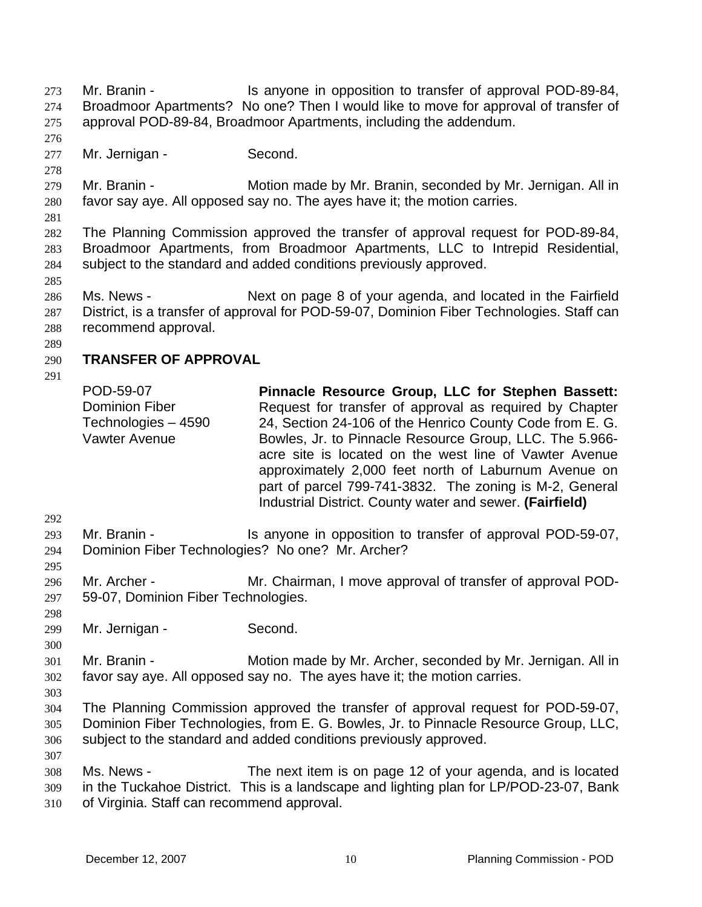Mr. Branin - The Is anyone in opposition to transfer of approval POD-89-84, Broadmoor Apartments? No one? Then I would like to move for approval of transfer of approval POD-89-84, Broadmoor Apartments, including the addendum. 273 274 275

- 277 Mr. Jernigan - Second.
- 279 280 Mr. Branin - **Motion made by Mr. Branin, seconded by Mr. Jernigan. All in** favor say aye. All opposed say no. The ayes have it; the motion carries.
- 281

285

276

278

282 283 284 The Planning Commission approved the transfer of approval request for POD-89-84, Broadmoor Apartments, from Broadmoor Apartments, LLC to Intrepid Residential, subject to the standard and added conditions previously approved.

286 287 288 Ms. News - Next on page 8 of your agenda, and located in the Fairfield District, is a transfer of approval for POD-59-07, Dominion Fiber Technologies. Staff can recommend approval.

289

### 290 **TRANSFER OF APPROVAL**

291

POD-59-07 Dominion Fiber Technologies – 4590 Vawter Avenue **Pinnacle Resource Group, LLC for Stephen Bassett:**  Request for transfer of approval as required by Chapter 24, Section 24-106 of the Henrico County Code from E. G. Bowles, Jr. to Pinnacle Resource Group, LLC. The 5.966 acre site is located on the west line of Vawter Avenue approximately 2,000 feet north of Laburnum Avenue on part of parcel 799-741-3832. The zoning is M-2, General Industrial District. County water and sewer. **(Fairfield)** 

- 293 294 Mr. Branin - Is anyone in opposition to transfer of approval POD-59-07, Dominion Fiber Technologies? No one? Mr. Archer?
- 296 297 Mr. Archer - Mr. Chairman, I move approval of transfer of approval POD-59-07, Dominion Fiber Technologies.
- 298 299

300

303

307

292

- Mr. Jernigan Second.
- 301 302 Mr. Branin - **Motion made by Mr. Archer, seconded by Mr. Jernigan. All in** favor say aye. All opposed say no. The ayes have it; the motion carries.
- 304 305 306 The Planning Commission approved the transfer of approval request for POD-59-07, Dominion Fiber Technologies, from E. G. Bowles, Jr. to Pinnacle Resource Group, LLC, subject to the standard and added conditions previously approved.
- 308 309 310 Ms. News - The next item is on page 12 of your agenda, and is located in the Tuckahoe District. This is a landscape and lighting plan for LP/POD-23-07, Bank of Virginia. Staff can recommend approval.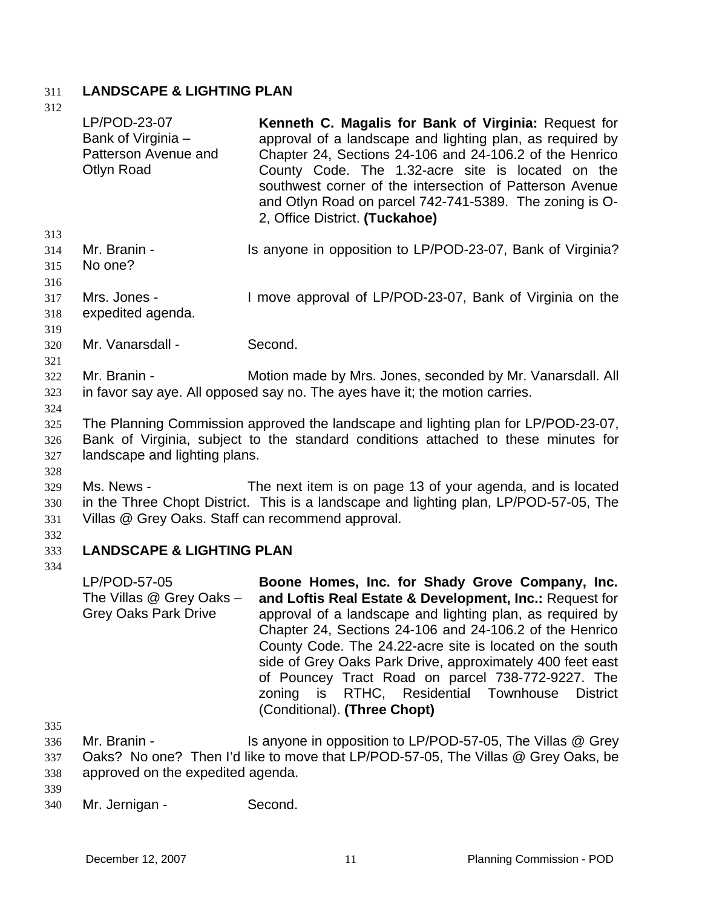## 311 **LANDSCAPE & LIGHTING PLAN**

- 312 313 314 315 316 317 318 319 320 321 322 323 324 325 326 327 328 329 330 331 332 333 334 335 336 337 338 339 LP/POD-23-07 Bank of Virginia – Patterson Avenue and Otlyn Road **Kenneth C. Magalis for Bank of Virginia:** Request for approval of a landscape and lighting plan, as required by Chapter 24, Sections 24-106 and 24-106.2 of the Henrico County Code. The 1.32-acre site is located on the southwest corner of the intersection of Patterson Avenue and Otlyn Road on parcel 742-741-5389. The zoning is O-2, Office District. **(Tuckahoe)**  Mr. Branin - Is anyone in opposition to LP/POD-23-07, Bank of Virginia? No one? Mrs. Jones - I move approval of LP/POD-23-07, Bank of Virginia on the expedited agenda. Mr. Vanarsdall - Second. Mr. Branin - **Motion made by Mrs. Jones, seconded by Mr. Vanarsdall. All** in favor say aye. All opposed say no. The ayes have it; the motion carries. The Planning Commission approved the landscape and lighting plan for LP/POD-23-07, Bank of Virginia, subject to the standard conditions attached to these minutes for landscape and lighting plans. Ms. News - The next item is on page 13 of your agenda, and is located in the Three Chopt District. This is a landscape and lighting plan, LP/POD-57-05, The Villas @ Grey Oaks. Staff can recommend approval. **LANDSCAPE & LIGHTING PLAN**  LP/POD-57-05 The Villas @ Grey Oaks – Grey Oaks Park Drive **Boone Homes, Inc. for Shady Grove Company, Inc. and Loftis Real Estate & Development, Inc.:** Request for approval of a landscape and lighting plan, as required by Chapter 24, Sections 24-106 and 24-106.2 of the Henrico County Code. The 24.22-acre site is located on the south side of Grey Oaks Park Drive, approximately 400 feet east of Pouncey Tract Road on parcel 738-772-9227. The zoning is RTHC, Residential Townhouse District (Conditional). **(Three Chopt)**  Mr. Branin - Is anyone in opposition to LP/POD-57-05, The Villas @ Grey Oaks? No one? Then I'd like to move that LP/POD-57-05, The Villas @ Grey Oaks, be approved on the expedited agenda.
- 340 Mr. Jernigan - Second.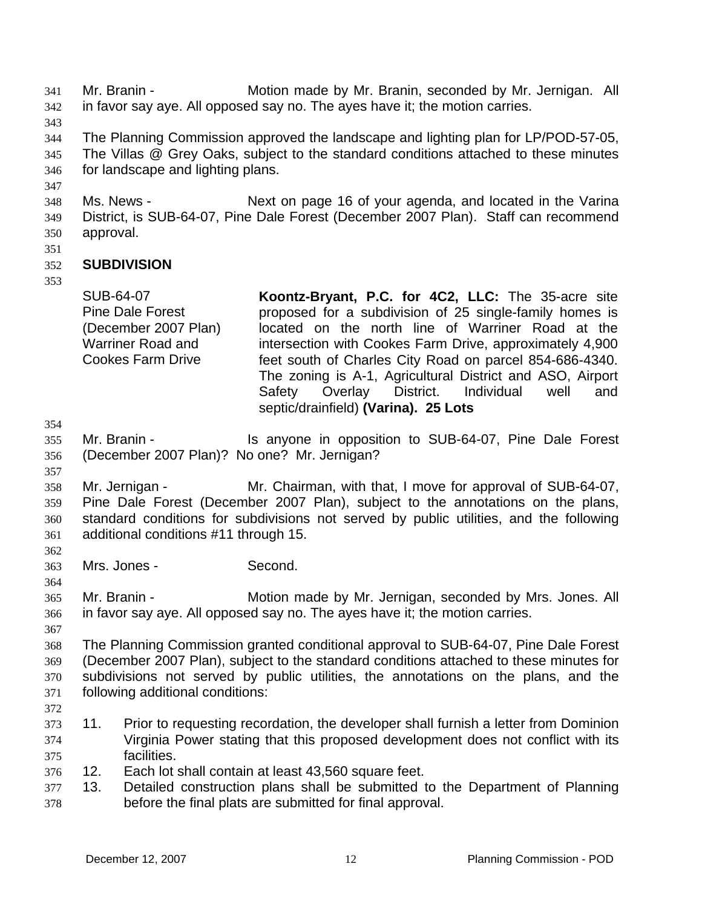Mr. Branin - Motion made by Mr. Branin, seconded by Mr. Jernigan. All in favor say aye. All opposed say no. The ayes have it; the motion carries. 341 342

343

344 345 346 The Planning Commission approved the landscape and lighting plan for LP/POD-57-05, The Villas @ Grey Oaks, subject to the standard conditions attached to these minutes for landscape and lighting plans.

- 347 348 349 350 Ms. News - Next on page 16 of your agenda, and located in the Varina District, is SUB-64-07, Pine Dale Forest (December 2007 Plan). Staff can recommend approval.
- 351

### 352 **SUBDIVISION**

353

SUB-64-07 Pine Dale Forest (December 2007 Plan) Warriner Road and Cookes Farm Drive **Koontz-Bryant, P.C. for 4C2, LLC:** The 35-acre site proposed for a subdivision of 25 single-family homes is located on the north line of Warriner Road at the intersection with Cookes Farm Drive, approximately 4,900 feet south of Charles City Road on parcel 854-686-4340. The zoning is A-1, Agricultural District and ASO, Airport Safety Overlay District. Individual well and

septic/drainfield) **(Varina). 25 Lots**

354

355 356 Mr. Branin - The Supposition to SUB-64-07, Pine Dale Forest (December 2007 Plan)? No one? Mr. Jernigan?

357

362

364

358 359 360 361 Mr. Jernigan - Mr. Chairman, with that, I move for approval of SUB-64-07, Pine Dale Forest (December 2007 Plan), subject to the annotations on the plans, standard conditions for subdivisions not served by public utilities, and the following additional conditions #11 through 15.

363 Mrs. Jones - Second.

365 366 Mr. Branin - Motion made by Mr. Jernigan, seconded by Mrs. Jones. All in favor say aye. All opposed say no. The ayes have it; the motion carries.

367 368 369 370 371 The Planning Commission granted conditional approval to SUB-64-07, Pine Dale Forest (December 2007 Plan), subject to the standard conditions attached to these minutes for subdivisions not served by public utilities, the annotations on the plans, and the following additional conditions:

- 372
- 373 374 375 11. Prior to requesting recordation, the developer shall furnish a letter from Dominion Virginia Power stating that this proposed development does not conflict with its facilities.
- 376 12. Each lot shall contain at least 43,560 square feet.
- 377 378 13. Detailed construction plans shall be submitted to the Department of Planning before the final plats are submitted for final approval.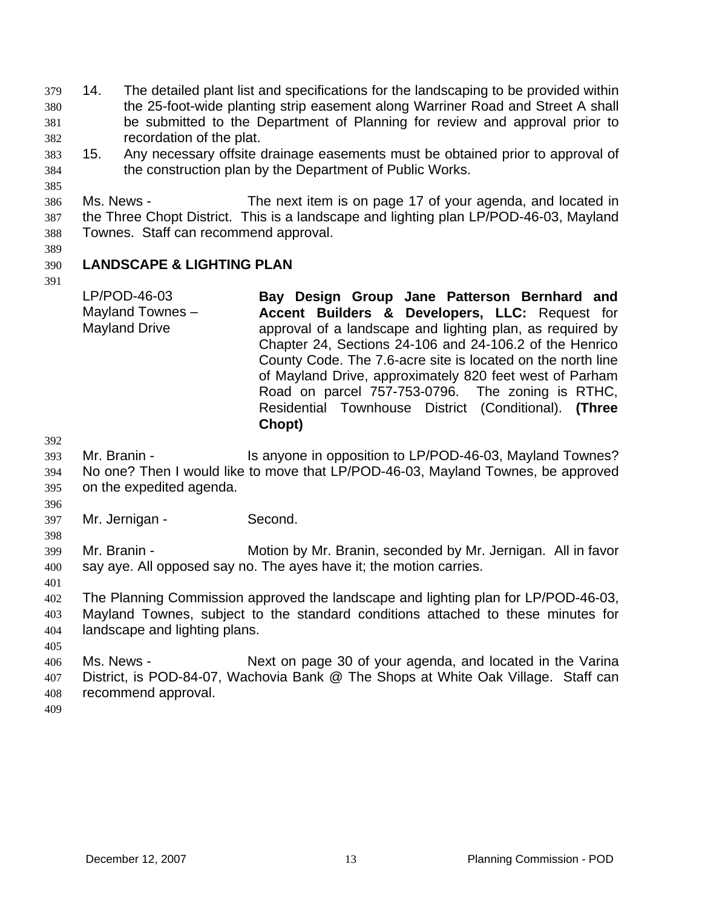14. The detailed plant list and specifications for the landscaping to be provided within the 25-foot-wide planting strip easement along Warriner Road and Street A shall be submitted to the Department of Planning for review and approval prior to recordation of the plat. 379 380 381 382

383 384 15. Any necessary offsite drainage easements must be obtained prior to approval of the construction plan by the Department of Public Works.

386 387 388 Ms. News - The next item is on page 17 of your agenda, and located in the Three Chopt District. This is a landscape and lighting plan LP/POD-46-03, Mayland Townes. Staff can recommend approval.

389

391

385

#### 390 **LANDSCAPE & LIGHTING PLAN**

LP/POD-46-03 Mayland Townes – Mayland Drive **Bay Design Group Jane Patterson Bernhard and Accent Builders & Developers, LLC:** Request for approval of a landscape and lighting plan, as required by Chapter 24, Sections 24-106 and 24-106.2 of the Henrico County Code. The 7.6-acre site is located on the north line of Mayland Drive, approximately 820 feet west of Parham Road on parcel 757-753-0796. The zoning is RTHC, Residential Townhouse District (Conditional). **(Three Chopt)** 

- 392
- 393 394 395 Mr. Branin - Is anyone in opposition to LP/POD-46-03, Mayland Townes? No one? Then I would like to move that LP/POD-46-03, Mayland Townes, be approved on the expedited agenda.
- 397 Mr. Jernigan - Second.

398

401

396

399 400 Mr. Branin - **Motion by Mr. Branin, seconded by Mr. Jernigan.** All in favor say aye. All opposed say no. The ayes have it; the motion carries.

402 403 404 The Planning Commission approved the landscape and lighting plan for LP/POD-46-03, Mayland Townes, subject to the standard conditions attached to these minutes for landscape and lighting plans.

405

406 407 408 Ms. News - Next on page 30 of your agenda, and located in the Varina District, is POD-84-07, Wachovia Bank @ The Shops at White Oak Village. Staff can recommend approval.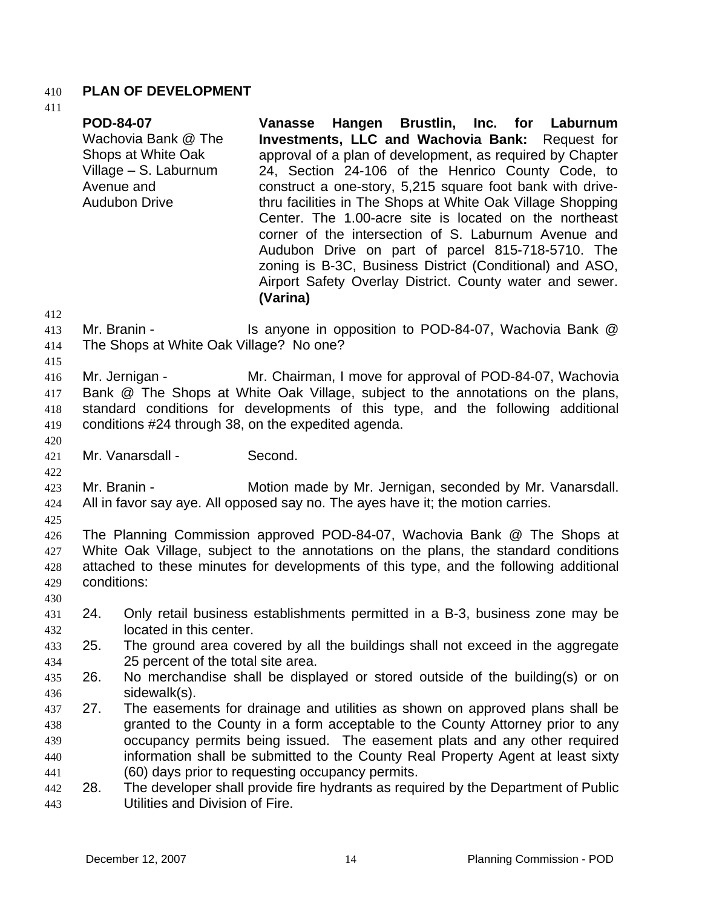## 410 **PLAN OF DEVELOPMENT**

**POD-84-07** 

411

|                                 |             | Wachovia Bank @ The<br>Shops at White Oak<br>Village - S. Laburnum<br>Avenue and<br><b>Audubon Drive</b>                                        | <b>Investments, LLC and Wachovia Bank:</b> Request for<br>approval of a plan of development, as required by Chapter<br>24, Section 24-106 of the Henrico County Code, to<br>construct a one-story, 5,215 square foot bank with drive-<br>thru facilities in The Shops at White Oak Village Shopping<br>Center. The 1.00-acre site is located on the northeast<br>corner of the intersection of S. Laburnum Avenue and<br>Audubon Drive on part of parcel 815-718-5710. The<br>zoning is B-3C, Business District (Conditional) and ASO,<br>Airport Safety Overlay District. County water and sewer.<br>(Varina) |  |
|---------------------------------|-------------|-------------------------------------------------------------------------------------------------------------------------------------------------|----------------------------------------------------------------------------------------------------------------------------------------------------------------------------------------------------------------------------------------------------------------------------------------------------------------------------------------------------------------------------------------------------------------------------------------------------------------------------------------------------------------------------------------------------------------------------------------------------------------|--|
| 412<br>413<br>414<br>415        |             | Mr. Branin -<br>The Shops at White Oak Village? No one?                                                                                         | Is anyone in opposition to POD-84-07, Wachovia Bank @                                                                                                                                                                                                                                                                                                                                                                                                                                                                                                                                                          |  |
| 416<br>417<br>418<br>419<br>420 |             | Mr. Jernigan -                                                                                                                                  | Mr. Chairman, I move for approval of POD-84-07, Wachovia<br>Bank @ The Shops at White Oak Village, subject to the annotations on the plans,<br>standard conditions for developments of this type, and the following additional<br>conditions #24 through 38, on the expedited agenda.                                                                                                                                                                                                                                                                                                                          |  |
| 421                             |             | Mr. Vanarsdall -                                                                                                                                | Second.                                                                                                                                                                                                                                                                                                                                                                                                                                                                                                                                                                                                        |  |
| 422<br>423<br>424               |             | Mr. Branin -                                                                                                                                    | Motion made by Mr. Jernigan, seconded by Mr. Vanarsdall.<br>All in favor say aye. All opposed say no. The ayes have it; the motion carries.                                                                                                                                                                                                                                                                                                                                                                                                                                                                    |  |
| 425<br>426<br>427<br>428<br>429 | conditions: |                                                                                                                                                 | The Planning Commission approved POD-84-07, Wachovia Bank @ The Shops at<br>White Oak Village, subject to the annotations on the plans, the standard conditions<br>attached to these minutes for developments of this type, and the following additional                                                                                                                                                                                                                                                                                                                                                       |  |
| 430<br>431                      | 24.         |                                                                                                                                                 | Only retail business establishments permitted in a B-3, business zone may be                                                                                                                                                                                                                                                                                                                                                                                                                                                                                                                                   |  |
| 432<br>433<br>434               | 25.         | located in this center.<br>The ground area covered by all the buildings shall not exceed in the aggregate<br>25 percent of the total site area. |                                                                                                                                                                                                                                                                                                                                                                                                                                                                                                                                                                                                                |  |
| 435<br>436                      | 26.         | No merchandise shall be displayed or stored outside of the building(s) or on<br>sidewalk(s).                                                    |                                                                                                                                                                                                                                                                                                                                                                                                                                                                                                                                                                                                                |  |
| 437<br>438<br>439<br>440<br>441 | 27.         |                                                                                                                                                 | The easements for drainage and utilities as shown on approved plans shall be<br>granted to the County in a form acceptable to the County Attorney prior to any<br>occupancy permits being issued. The easement plats and any other required<br>information shall be submitted to the County Real Property Agent at least sixty<br>(60) days prior to requesting occupancy permits.                                                                                                                                                                                                                             |  |
| 442<br>443                      | 28.         | Utilities and Division of Fire.                                                                                                                 | The developer shall provide fire hydrants as required by the Department of Public                                                                                                                                                                                                                                                                                                                                                                                                                                                                                                                              |  |

**Vanasse Hangen Brustlin, Inc. for Laburnum**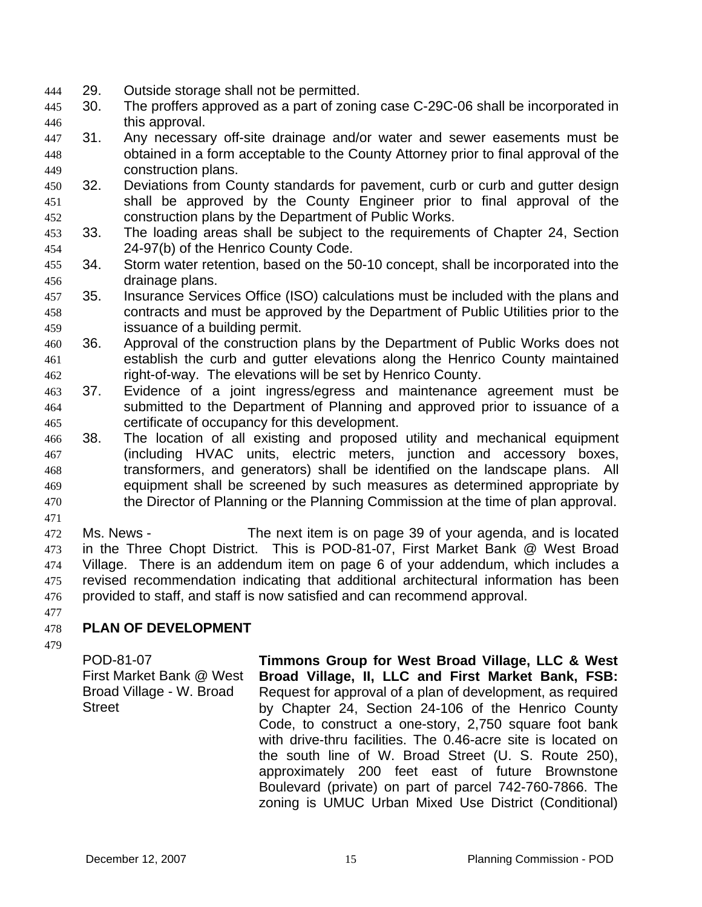- 444 29. Outside storage shall not be permitted.
- 445 446 30. The proffers approved as a part of zoning case C-29C-06 shall be incorporated in this approval.
- 447 448 449 31. Any necessary off-site drainage and/or water and sewer easements must be obtained in a form acceptable to the County Attorney prior to final approval of the construction plans.
- 450 451 452 32. Deviations from County standards for pavement, curb or curb and gutter design shall be approved by the County Engineer prior to final approval of the construction plans by the Department of Public Works.
- 453 454 33. The loading areas shall be subject to the requirements of Chapter 24, Section 24-97(b) of the Henrico County Code.
- 455 456 34. Storm water retention, based on the 50-10 concept, shall be incorporated into the drainage plans.
- 457 458 459 35. Insurance Services Office (ISO) calculations must be included with the plans and contracts and must be approved by the Department of Public Utilities prior to the issuance of a building permit.
- 460 461 462 36. Approval of the construction plans by the Department of Public Works does not establish the curb and gutter elevations along the Henrico County maintained right-of-way. The elevations will be set by Henrico County.
- 463 464 465 37. Evidence of a joint ingress/egress and maintenance agreement must be submitted to the Department of Planning and approved prior to issuance of a certificate of occupancy for this development.
- 466 467 468 469 470 38. The location of all existing and proposed utility and mechanical equipment (including HVAC units, electric meters, junction and accessory boxes, transformers, and generators) shall be identified on the landscape plans. All equipment shall be screened by such measures as determined appropriate by the Director of Planning or the Planning Commission at the time of plan approval.
- 471

472 473 474 475 476 Ms. News - The next item is on page 39 of your agenda, and is located in the Three Chopt District. This is POD-81-07, First Market Bank @ West Broad Village. There is an addendum item on page 6 of your addendum, which includes a revised recommendation indicating that additional architectural information has been provided to staff, and staff is now satisfied and can recommend approval.

477

### 478 **PLAN OF DEVELOPMENT**

479

POD-81-07 First Market Bank @ West Broad Village - W. Broad **Street** 

**Timmons Group for West Broad Village, LLC & West Broad Village, II, LLC and First Market Bank, FSB:**  Request for approval of a plan of development, as required by Chapter 24, Section 24-106 of the Henrico County Code, to construct a one-story, 2,750 square foot bank with drive-thru facilities. The 0.46-acre site is located on the south line of W. Broad Street (U. S. Route 250), approximately 200 feet east of future Brownstone Boulevard (private) on part of parcel 742-760-7866. The zoning is UMUC Urban Mixed Use District (Conditional)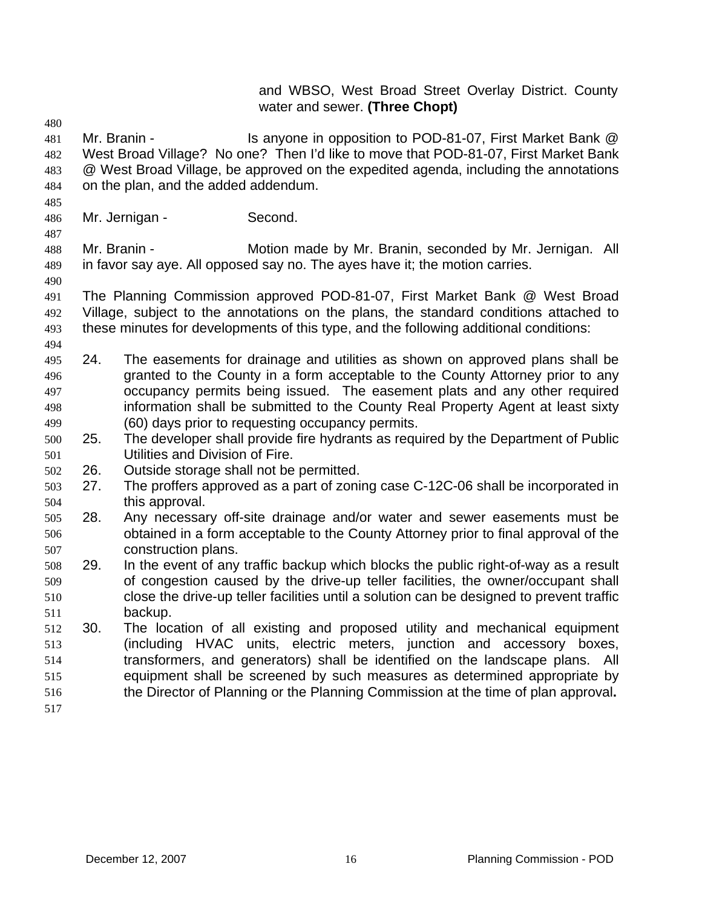## and WBSO, West Broad Street Overlay District. County water and sewer. **(Three Chopt)**

- 480 481 482 483 484 Mr. Branin - Is anyone in opposition to POD-81-07, First Market Bank @ West Broad Village? No one? Then I'd like to move that POD-81-07, First Market Bank @ West Broad Village, be approved on the expedited agenda, including the annotations on the plan, and the added addendum.
- 485
- 486 Mr. Jernigan - Second.

487

490

488 489 Mr. Branin - **Motion made by Mr. Branin, seconded by Mr. Jernigan.** All in favor say aye. All opposed say no. The ayes have it; the motion carries.

- 491 492 493 The Planning Commission approved POD-81-07, First Market Bank @ West Broad Village, subject to the annotations on the plans, the standard conditions attached to these minutes for developments of this type, and the following additional conditions:
- 494
- 496 497 498 499 495 24. The easements for drainage and utilities as shown on approved plans shall be granted to the County in a form acceptable to the County Attorney prior to any occupancy permits being issued. The easement plats and any other required information shall be submitted to the County Real Property Agent at least sixty (60) days prior to requesting occupancy permits.
- 501 500 25. The developer shall provide fire hydrants as required by the Department of Public Utilities and Division of Fire.

502 26. Outside storage shall not be permitted.

- 504 503 27. The proffers approved as a part of zoning case C-12C-06 shall be incorporated in this approval.
- 506 507 505 28. Any necessary off-site drainage and/or water and sewer easements must be obtained in a form acceptable to the County Attorney prior to final approval of the construction plans.
- 509 510 511 508 29. In the event of any traffic backup which blocks the public right-of-way as a result of congestion caused by the drive-up teller facilities, the owner/occupant shall close the drive-up teller facilities until a solution can be designed to prevent traffic backup.
- 512 513 514 515 516 30. The location of all existing and proposed utility and mechanical equipment (including HVAC units, electric meters, junction and accessory boxes, transformers, and generators) shall be identified on the landscape plans. All equipment shall be screened by such measures as determined appropriate by the Director of Planning or the Planning Commission at the time of plan approval**.**
- 517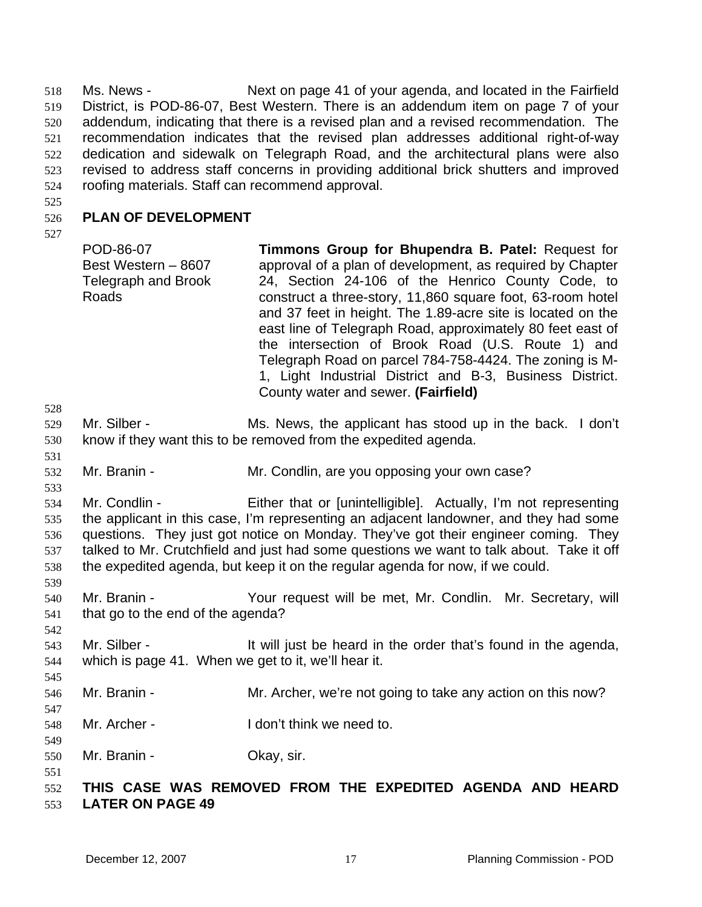Ms. News - Next on page 41 of your agenda, and located in the Fairfield District, is POD-86-07, Best Western. There is an addendum item on page 7 of your addendum, indicating that there is a revised plan and a revised recommendation. The recommendation indicates that the revised plan addresses additional right-of-way dedication and sidewalk on Telegraph Road, and the architectural plans were also revised to address staff concerns in providing additional brick shutters and improved roofing materials. Staff can recommend approval. 518 519 520 521 522 523 524

525

#### 526 **PLAN OF DEVELOPMENT**

527

531

533

539

542

545

547

549

551

528 529 530 POD-86-07 Best Western – 8607 Telegraph and Brook Roads **Timmons Group for Bhupendra B. Patel:** Request for approval of a plan of development, as required by Chapter 24, Section 24-106 of the Henrico County Code, to construct a three-story, 11,860 square foot, 63-room hotel and 37 feet in height. The 1.89-acre site is located on the east line of Telegraph Road, approximately 80 feet east of the intersection of Brook Road (U.S. Route 1) and Telegraph Road on parcel 784-758-4424. The zoning is M-1, Light Industrial District and B-3, Business District. County water and sewer. **(Fairfield)** Mr. Silber - Ms. News, the applicant has stood up in the back. I don't know if they want this to be removed from the expedited agenda.

532 Mr. Branin - **Mr. Condlin**, are you opposing your own case?

534 535 536 537 538 Mr. Condlin - Either that or [unintelligible]. Actually, I'm not representing the applicant in this case, I'm representing an adjacent landowner, and they had some questions. They just got notice on Monday. They've got their engineer coming. They talked to Mr. Crutchfield and just had some questions we want to talk about. Take it off the expedited agenda, but keep it on the regular agenda for now, if we could.

- 540 541 Mr. Branin - The Your request will be met, Mr. Condlin. Mr. Secretary, will that go to the end of the agenda?
- 543 544 Mr. Silber - The Sullet in the order that's found in the agenda, which is page 41. When we get to it, we'll hear it.
- 546 Mr. Branin - Mr. Archer, we're not going to take any action on this now?
- 548 Mr. Archer - The Unit think we need to.
- 550 Mr. Branin - **Okay**, sir.

#### 552 553 **THIS CASE WAS REMOVED FROM THE EXPEDITED AGENDA AND HEARD LATER ON PAGE 49**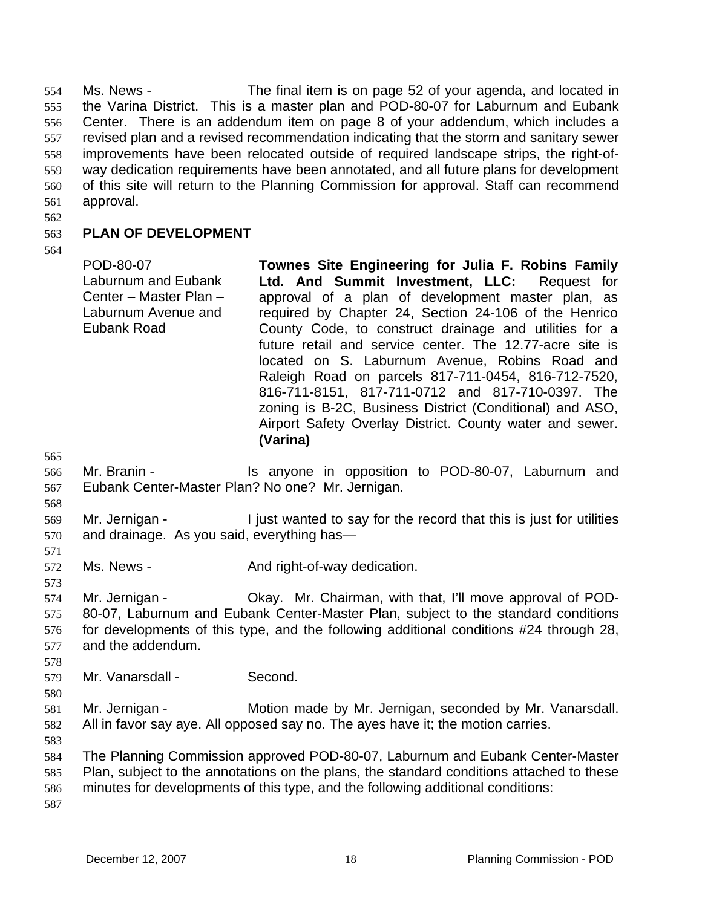Ms. News - The final item is on page 52 of your agenda, and located in the Varina District. This is a master plan and POD-80-07 for Laburnum and Eubank Center. There is an addendum item on page 8 of your addendum, which includes a revised plan and a revised recommendation indicating that the storm and sanitary sewer improvements have been relocated outside of required landscape strips, the right-ofway dedication requirements have been annotated, and all future plans for development of this site will return to the Planning Commission for approval. Staff can recommend approval. 554 555 556 557 558 559 560 561

562

#### 563 **PLAN OF DEVELOPMENT**

564

| POD-80-07<br>Laburnum and Eubank<br>Center - Master Plan -<br>Laburnum Avenue and<br>Eubank Road | Townes Site Engineering for Julia F. Robins Family<br>Ltd. And Summit Investment, LLC: Request for<br>approval of a plan of development master plan, as<br>required by Chapter 24, Section 24-106 of the Henrico<br>County Code, to construct drainage and utilities for a<br>future retail and service center. The 12.77-acre site is<br>located on S. Laburnum Avenue, Robins Road and |
|--------------------------------------------------------------------------------------------------|------------------------------------------------------------------------------------------------------------------------------------------------------------------------------------------------------------------------------------------------------------------------------------------------------------------------------------------------------------------------------------------|
|                                                                                                  | Raleigh Road on parcels 817-711-0454, 816-712-7520,<br>816-711-8151, 817-711-0712 and 817-710-0397. The                                                                                                                                                                                                                                                                                  |
|                                                                                                  | zoning is B-2C, Business District (Conditional) and ASO,<br>Airport Safety Overlay District. County water and sewer.<br>(Varina)                                                                                                                                                                                                                                                         |

565

568

571

573

- 566 567 Mr. Branin - The Standard Standard in opposition to POD-80-07, Laburnum and Eubank Center-Master Plan? No one? Mr. Jernigan.
- 569 570 Mr. Jernigan - I just wanted to say for the record that this is just for utilities and drainage. As you said, everything has—
- 572 Ms. News - The And right-of-way dedication.
- 574 575 576 577 Mr. Jernigan - Ckay. Mr. Chairman, with that, I'll move approval of POD-80-07, Laburnum and Eubank Center-Master Plan, subject to the standard conditions for developments of this type, and the following additional conditions #24 through 28, and the addendum.
- 579 Mr. Vanarsdall - Second.
- 580

578

- 
- 581 582 Mr. Jernigan - Motion made by Mr. Jernigan, seconded by Mr. Vanarsdall. All in favor say aye. All opposed say no. The ayes have it; the motion carries.
- 583
- 584 585 586 The Planning Commission approved POD-80-07, Laburnum and Eubank Center-Master Plan, subject to the annotations on the plans, the standard conditions attached to these minutes for developments of this type, and the following additional conditions: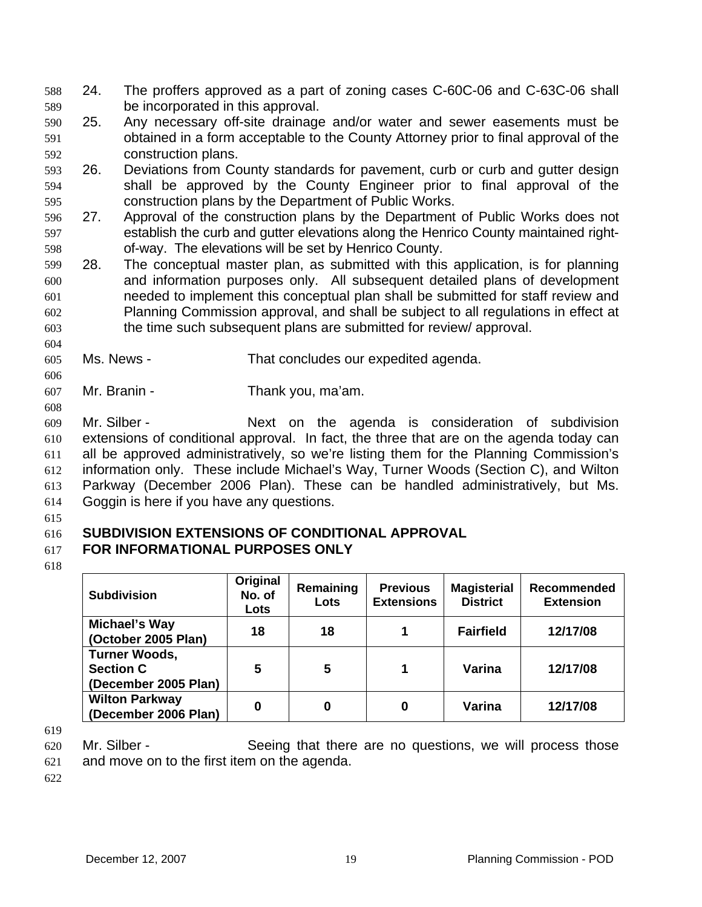588 24. The proffers approved as a part of zoning cases C-60C-06 and C-63C-06 shall 589 be incorporated in this approval.

591 592 590 25. Any necessary off-site drainage and/or water and sewer easements must be obtained in a form acceptable to the County Attorney prior to final approval of the construction plans.

594 595 593 26. Deviations from County standards for pavement, curb or curb and gutter design shall be approved by the County Engineer prior to final approval of the construction plans by the Department of Public Works.

- 596 597 598 27. Approval of the construction plans by the Department of Public Works does not establish the curb and gutter elevations along the Henrico County maintained rightof-way. The elevations will be set by Henrico County.
- 599 600 601 602 603 28. The conceptual master plan, as submitted with this application, is for planning and information purposes only. All subsequent detailed plans of development needed to implement this conceptual plan shall be submitted for staff review and Planning Commission approval, and shall be subject to all regulations in effect at the time such subsequent plans are submitted for review/ approval.
- 605 Ms. News - That concludes our expedited agenda.
- 607 Mr. Branin - Thank you, ma'am.

608 609 610 611 612 Mr. Silber - The Subdivision Subdivision Construction Subdivision Mr. Silber extensions of conditional approval. In fact, the three that are on the agenda today can all be approved administratively, so we're listing them for the Planning Commission's information only. These include Michael's Way, Turner Woods (Section C), and Wilton

613 614 Parkway (December 2006 Plan). These can be handled administratively, but Ms. Goggin is here if you have any questions.

615

604

606

## 616 **SUBDIVISION EXTENSIONS OF CONDITIONAL APPROVAL**

### 617 **FOR INFORMATIONAL PURPOSES ONLY**

618

| <b>Subdivision</b>                                               | Original<br>No. of<br>Lots | Remaining<br>Lots | <b>Previous</b><br><b>Extensions</b> | <b>Magisterial</b><br><b>District</b> | <b>Recommended</b><br><b>Extension</b> |
|------------------------------------------------------------------|----------------------------|-------------------|--------------------------------------|---------------------------------------|----------------------------------------|
| Michael's Way<br>(October 2005 Plan)                             | 18                         | 18                |                                      | <b>Fairfield</b>                      | 12/17/08                               |
| <b>Turner Woods,</b><br><b>Section C</b><br>(December 2005 Plan) | 5                          | 5                 | 1                                    | Varina                                | 12/17/08                               |
| <b>Wilton Parkway</b><br>(December 2006 Plan)                    | 0                          | 0                 | 0                                    | Varina                                | 12/17/08                               |

619

620 621 Mr. Silber - Seeing that there are no questions, we will process those and move on to the first item on the agenda.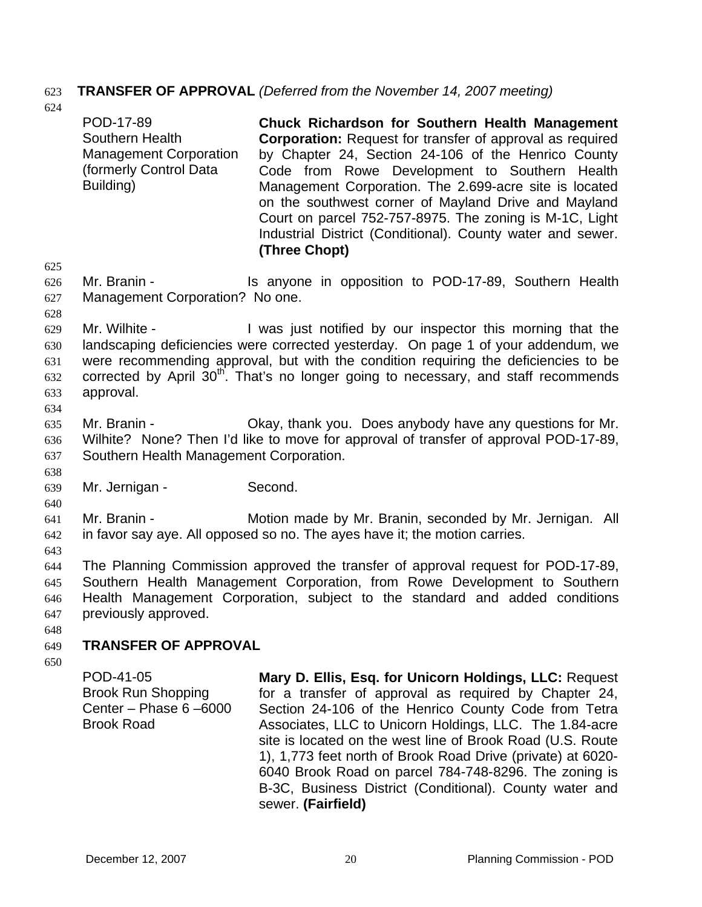## 623 **TRANSFER OF APPROVAL** *(Deferred from the November 14, 2007 meeting)*

624

625 626

627 Mr. Branin - The Is anyone in opposition to POD-17-89, Southern Health Management Corporation? No one.

628

629 630 631 632 633 634 Mr. Wilhite - The Music is a loss of the Music by our inspector this morning that the landscaping deficiencies were corrected yesterday. On page 1 of your addendum, we were recommending approval, but with the condition requiring the deficiencies to be corrected by April  $30<sup>th</sup>$ . That's no longer going to necessary, and staff recommends approval.

635 636 637 Mr. Branin - Ckay, thank you. Does anybody have any questions for Mr. Wilhite? None? Then I'd like to move for approval of transfer of approval POD-17-89, Southern Health Management Corporation.

639 Mr. Jernigan - Second.

641 642 Mr. Branin - Motion made by Mr. Branin, seconded by Mr. Jernigan. All in favor say aye. All opposed so no. The ayes have it; the motion carries.

643

638

640

644 645 646 647 The Planning Commission approved the transfer of approval request for POD-17-89, Southern Health Management Corporation, from Rowe Development to Southern Health Management Corporation, subject to the standard and added conditions previously approved.

648

### 649 **TRANSFER OF APPROVAL**

650

POD-41-05 Brook Run Shopping Center – Phase 6 –6000 Brook Road

**Mary D. Ellis, Esq. for Unicorn Holdings, LLC:** Request for a transfer of approval as required by Chapter 24, Section 24-106 of the Henrico County Code from Tetra Associates, LLC to Unicorn Holdings, LLC. The 1.84-acre site is located on the west line of Brook Road (U.S. Route 1), 1,773 feet north of Brook Road Drive (private) at 6020- 6040 Brook Road on parcel 784-748-8296. The zoning is B-3C, Business District (Conditional). County water and sewer. **(Fairfield)**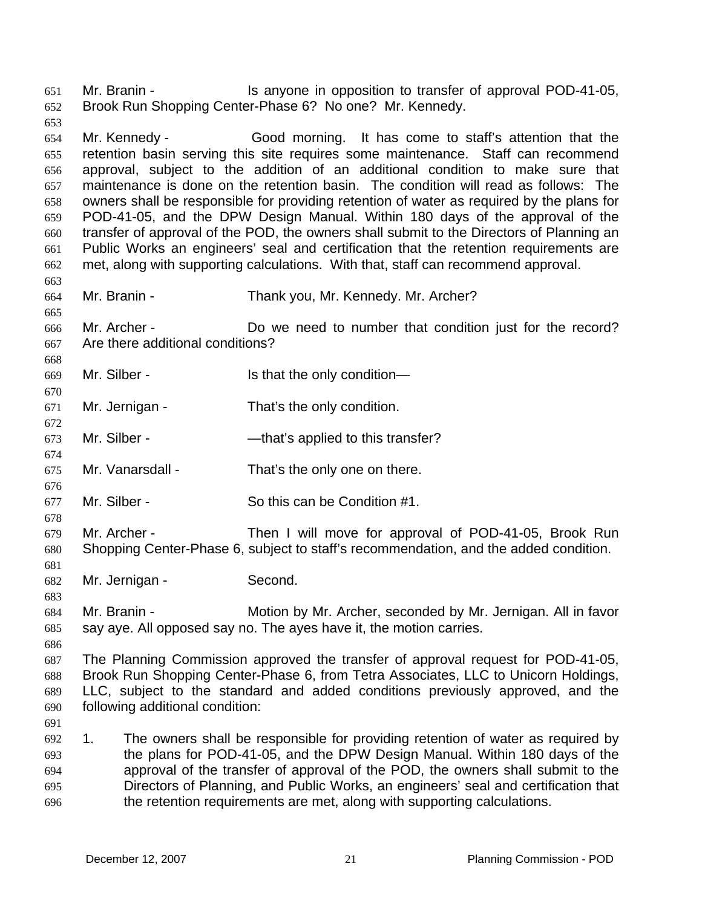Mr. Branin - The Is anyone in opposition to transfer of approval POD-41-05, Brook Run Shopping Center-Phase 6? No one? Mr. Kennedy. 651 652

653

654 655 656 657 658 659 660 661 662 Mr. Kennedy - Good morning. It has come to staff's attention that the retention basin serving this site requires some maintenance. Staff can recommend approval, subject to the addition of an additional condition to make sure that maintenance is done on the retention basin. The condition will read as follows: The owners shall be responsible for providing retention of water as required by the plans for POD-41-05, and the DPW Design Manual. Within 180 days of the approval of the transfer of approval of the POD, the owners shall submit to the Directors of Planning an Public Works an engineers' seal and certification that the retention requirements are met, along with supporting calculations. With that, staff can recommend approval.

663 664 665

668

670

672

674

676

678

681

Mr. Branin - Thank you, Mr. Kennedy. Mr. Archer?

666 667 Mr. Archer - Do we need to number that condition just for the record? Are there additional conditions?

669 Mr. Silber - Is that the only condition—

671 Mr. Jernigan - That's the only condition.

673 Mr. Silber - — — — — — that's applied to this transfer?

675 Mr. Vanarsdall - That's the only one on there.

- 677 Mr. Silber - So this can be Condition #1.
- 679 680 Mr. Archer - Then I will move for approval of POD-41-05, Brook Run Shopping Center-Phase 6, subject to staff's recommendation, and the added condition.
- 682 Mr. Jernigan - Second.

683 684 685 Mr. Branin - **Motion by Mr. Archer, seconded by Mr. Jernigan. All in favor** say aye. All opposed say no. The ayes have it, the motion carries.

686

687 688 689 690 The Planning Commission approved the transfer of approval request for POD-41-05, Brook Run Shopping Center-Phase 6, from Tetra Associates, LLC to Unicorn Holdings, LLC, subject to the standard and added conditions previously approved, and the following additional condition:

691

692 693 694 695 696 1. The owners shall be responsible for providing retention of water as required by the plans for POD-41-05, and the DPW Design Manual. Within 180 days of the approval of the transfer of approval of the POD, the owners shall submit to the Directors of Planning, and Public Works, an engineers' seal and certification that the retention requirements are met, along with supporting calculations.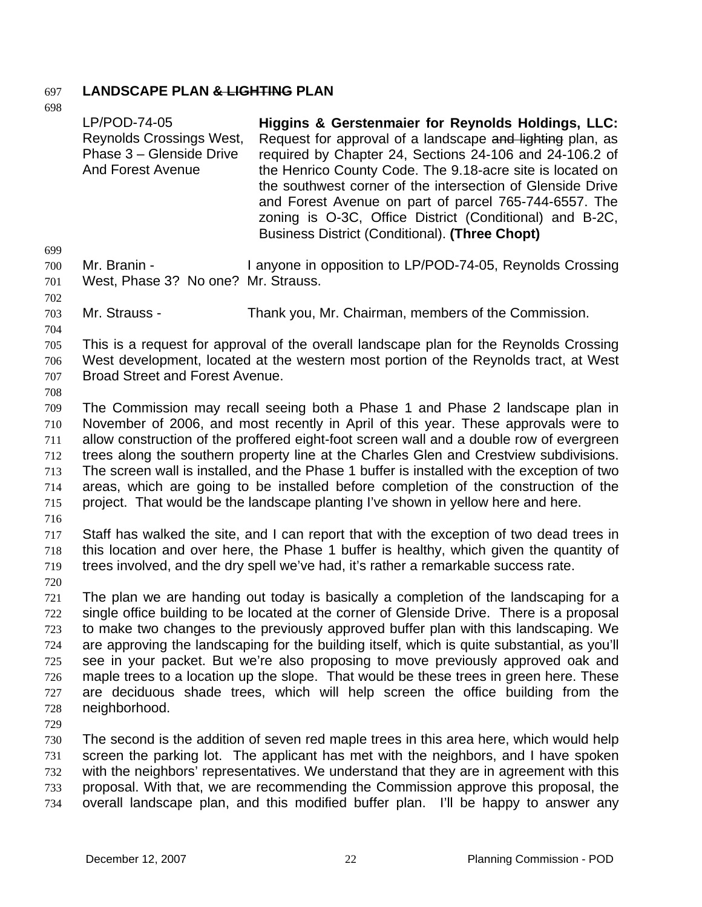## 697 **LANDSCAPE PLAN & LIGHTING PLAN**

- 698 LP/POD-74-05 Reynolds Crossings West, Phase 3 – Glenside Drive And Forest Avenue **Higgins & Gerstenmaier for Reynolds Holdings, LLC:**  Request for approval of a landscape and lighting plan, as required by Chapter 24, Sections 24-106 and 24-106.2 of the Henrico County Code. The 9.18-acre site is located on the southwest corner of the intersection of Glenside Drive and Forest Avenue on part of parcel 765-744-6557. The zoning is O-3C, Office District (Conditional) and B-2C, Business District (Conditional). **(Three Chopt)**  699 700 701 702 703 704 705 706 707 708 709 710 711 712 713 714 715 716 717 718 719 720 721 722 723 724 725 726 727 728 729 730 731 732 733 Mr. Branin - I anyone in opposition to LP/POD-74-05, Reynolds Crossing West, Phase 3? No one? Mr. Strauss. Mr. Strauss - Thank you, Mr. Chairman, members of the Commission. This is a request for approval of the overall landscape plan for the Reynolds Crossing West development, located at the western most portion of the Reynolds tract, at West Broad Street and Forest Avenue. The Commission may recall seeing both a Phase 1 and Phase 2 landscape plan in November of 2006, and most recently in April of this year. These approvals were to allow construction of the proffered eight-foot screen wall and a double row of evergreen trees along the southern property line at the Charles Glen and Crestview subdivisions. The screen wall is installed, and the Phase 1 buffer is installed with the exception of two areas, which are going to be installed before completion of the construction of the project. That would be the landscape planting I've shown in yellow here and here. Staff has walked the site, and I can report that with the exception of two dead trees in this location and over here, the Phase 1 buffer is healthy, which given the quantity of trees involved, and the dry spell we've had, it's rather a remarkable success rate. The plan we are handing out today is basically a completion of the landscaping for a single office building to be located at the corner of Glenside Drive. There is a proposal to make two changes to the previously approved buffer plan with this landscaping. We are approving the landscaping for the building itself, which is quite substantial, as you'll see in your packet. But we're also proposing to move previously approved oak and maple trees to a location up the slope. That would be these trees in green here. These are deciduous shade trees, which will help screen the office building from the neighborhood. The second is the addition of seven red maple trees in this area here, which would help screen the parking lot. The applicant has met with the neighbors, and I have spoken with the neighbors' representatives. We understand that they are in agreement with this proposal. With that, we are recommending the Commission approve this proposal, the
- 734 overall landscape plan, and this modified buffer plan. I'll be happy to answer any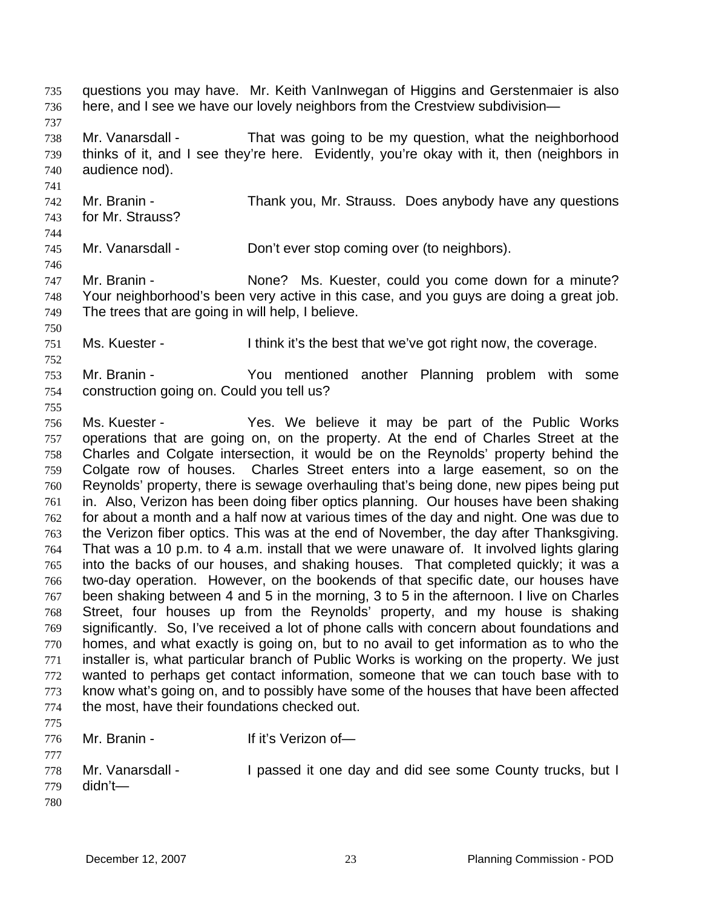here, and I see we have our lovely neighbors from the Crestview subdivision— 737 738 739 740 741 742 743 744 745 746 747 748 749 750 751 752 753 754 755 756 757 758 759 760 761 762 763 764 765 766 767 768 769 770 771 772 773 774 775 776 777 778 779 780 Mr. Vanarsdall - That was going to be my question, what the neighborhood thinks of it, and I see they're here. Evidently, you're okay with it, then (neighbors in audience nod). Mr. Branin - Thank you, Mr. Strauss. Does anybody have any questions for Mr. Strauss? Mr. Vanarsdall - Don't ever stop coming over (to neighbors). Mr. Branin - The State of Music Ms. Kuester, could you come down for a minute? Your neighborhood's been very active in this case, and you guys are doing a great job. The trees that are going in will help, I believe. Ms. Kuester - I think it's the best that we've got right now, the coverage. Mr. Branin - You mentioned another Planning problem with some construction going on. Could you tell us? Ms. Kuester - The Yes. We believe it may be part of the Public Works operations that are going on, on the property. At the end of Charles Street at the Charles and Colgate intersection, it would be on the Reynolds' property behind the Colgate row of houses. Charles Street enters into a large easement, so on the Reynolds' property, there is sewage overhauling that's being done, new pipes being put in. Also, Verizon has been doing fiber optics planning. Our houses have been shaking for about a month and a half now at various times of the day and night. One was due to the Verizon fiber optics. This was at the end of November, the day after Thanksgiving. That was a 10 p.m. to 4 a.m. install that we were unaware of. It involved lights glaring into the backs of our houses, and shaking houses. That completed quickly; it was a two-day operation. However, on the bookends of that specific date, our houses have been shaking between 4 and 5 in the morning, 3 to 5 in the afternoon. I live on Charles Street, four houses up from the Reynolds' property, and my house is shaking significantly. So, I've received a lot of phone calls with concern about foundations and homes, and what exactly is going on, but to no avail to get information as to who the installer is, what particular branch of Public Works is working on the property. We just wanted to perhaps get contact information, someone that we can touch base with to know what's going on, and to possibly have some of the houses that have been affected the most, have their foundations checked out. Mr. Branin - If it's Verizon of-Mr. Vanarsdall - I passed it one day and did see some County trucks, but I didn't—

questions you may have. Mr. Keith VanInwegan of Higgins and Gerstenmaier is also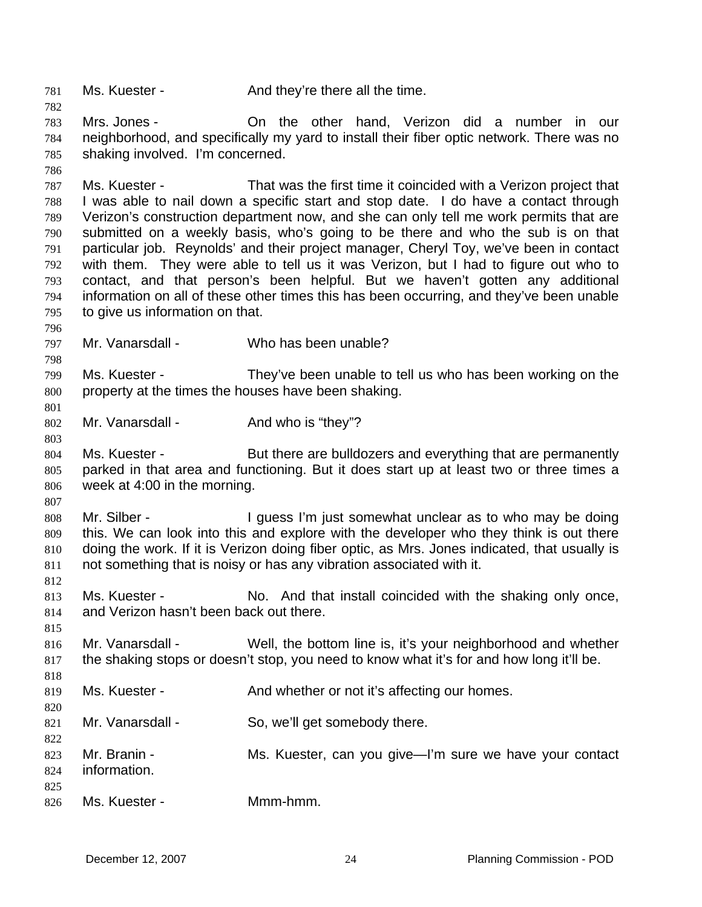781 Ms. Kuester - And they're there all the time.

782

786

798

801

803

807

812

815

818

820

822

783 784 785 Mrs. Jones - On the other hand, Verizon did a number in our neighborhood, and specifically my yard to install their fiber optic network. There was no shaking involved. I'm concerned.

787 788 789 790 791 792 793 794 795 Ms. Kuester - That was the first time it coincided with a Verizon project that I was able to nail down a specific start and stop date. I do have a contact through Verizon's construction department now, and she can only tell me work permits that are submitted on a weekly basis, who's going to be there and who the sub is on that particular job. Reynolds' and their project manager, Cheryl Toy, we've been in contact with them. They were able to tell us it was Verizon, but I had to figure out who to contact, and that person's been helpful. But we haven't gotten any additional information on all of these other times this has been occurring, and they've been unable to give us information on that.

- 796 797 Mr. Vanarsdall - Who has been unable?
- 799 800 Ms. Kuester - They've been unable to tell us who has been working on the property at the times the houses have been shaking.
- 802 Mr. Vanarsdall - And who is "they"?
- 804 805 806 Ms. Kuester - But there are bulldozers and everything that are permanently parked in that area and functioning. But it does start up at least two or three times a week at 4:00 in the morning.
- 808 809 810 811 Mr. Silber - I guess I'm just somewhat unclear as to who may be doing this. We can look into this and explore with the developer who they think is out there doing the work. If it is Verizon doing fiber optic, as Mrs. Jones indicated, that usually is not something that is noisy or has any vibration associated with it.
- 813 814 Ms. Kuester - No. And that install coincided with the shaking only once, and Verizon hasn't been back out there.
- 816 817 Mr. Vanarsdall - Well, the bottom line is, it's your neighborhood and whether the shaking stops or doesn't stop, you need to know what it's for and how long it'll be.
- 819 Ms. Kuester - And whether or not it's affecting our homes.
- 821 Mr. Vanarsdall - So, we'll get somebody there.
- 823 824 825 826 Mr. Branin - **MS. Kuester, can you give—I'm sure we have your contact** information. Ms. Kuester - Mmm-hmm.
	-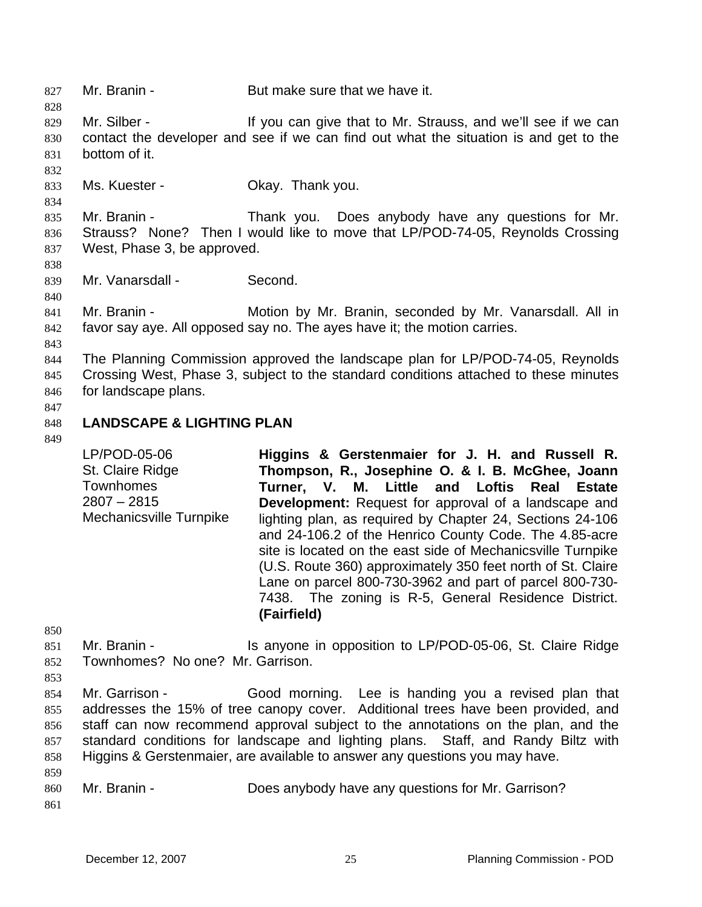827 Mr. Branin - But make sure that we have it. 828 829 830 831 832 833 834 835 836 837 838 839 840 841 842 843 844 845 846 847 848 849 850 851 Mr. Silber - If you can give that to Mr. Strauss, and we'll see if we can contact the developer and see if we can find out what the situation is and get to the bottom of it. Ms. Kuester - **Okay. Thank you.** Mr. Branin - Thank you. Does anybody have any questions for Mr. Strauss? None? Then I would like to move that LP/POD-74-05, Reynolds Crossing West, Phase 3, be approved. Mr. Vanarsdall - Second. Mr. Branin - **Motion by Mr. Branin, seconded by Mr. Vanarsdall. All in** favor say aye. All opposed say no. The ayes have it; the motion carries. The Planning Commission approved the landscape plan for LP/POD-74-05, Reynolds Crossing West, Phase 3, subject to the standard conditions attached to these minutes for landscape plans. **LANDSCAPE & LIGHTING PLAN**  LP/POD-05-06 St. Claire Ridge **Townhomes** 2807 – 2815 Mechanicsville Turnpike **Higgins & Gerstenmaier for J. H. and Russell R. Thompson, R., Josephine O. & I. B. McGhee, Joann Turner, V. M. Little and Loftis Real Estate Development:** Request for approval of a landscape and lighting plan, as required by Chapter 24, Sections 24-106 and 24-106.2 of the Henrico County Code. The 4.85-acre site is located on the east side of Mechanicsville Turnpike (U.S. Route 360) approximately 350 feet north of St. Claire Lane on parcel 800-730-3962 and part of parcel 800-730- 7438. The zoning is R-5, General Residence District. **(Fairfield)**  Mr. Branin - The Is anyone in opposition to LP/POD-05-06, St. Claire Ridge

- 852 Townhomes? No one? Mr. Garrison.
- 853 854 855 856 857 858 859 Mr. Garrison - Good morning. Lee is handing you a revised plan that addresses the 15% of tree canopy cover. Additional trees have been provided, and staff can now recommend approval subject to the annotations on the plan, and the standard conditions for landscape and lighting plans. Staff, and Randy Biltz with Higgins & Gerstenmaier, are available to answer any questions you may have.
- 860 861 Mr. Branin - **Does anybody have any questions for Mr. Garrison?**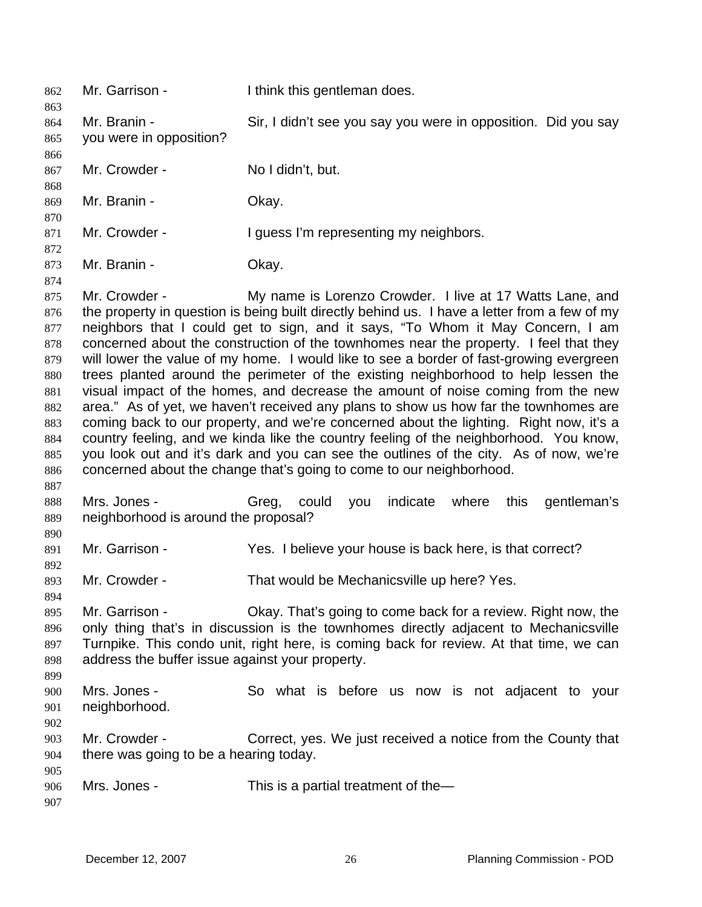| 862                                                                                     | Mr. Garrison -                                                                                                                                                                                                                                                                                                                                                                                                                                                                                                                                                                                                                                                                                                                                                                                                                                                                                                                                                                                                                                                        | I think this gentleman does.                                      |  |
|-----------------------------------------------------------------------------------------|-----------------------------------------------------------------------------------------------------------------------------------------------------------------------------------------------------------------------------------------------------------------------------------------------------------------------------------------------------------------------------------------------------------------------------------------------------------------------------------------------------------------------------------------------------------------------------------------------------------------------------------------------------------------------------------------------------------------------------------------------------------------------------------------------------------------------------------------------------------------------------------------------------------------------------------------------------------------------------------------------------------------------------------------------------------------------|-------------------------------------------------------------------|--|
| 863                                                                                     | Mr. Branin -                                                                                                                                                                                                                                                                                                                                                                                                                                                                                                                                                                                                                                                                                                                                                                                                                                                                                                                                                                                                                                                          | Sir, I didn't see you say you were in opposition. Did you say     |  |
| 864<br>865                                                                              | you were in opposition?                                                                                                                                                                                                                                                                                                                                                                                                                                                                                                                                                                                                                                                                                                                                                                                                                                                                                                                                                                                                                                               |                                                                   |  |
| 866                                                                                     |                                                                                                                                                                                                                                                                                                                                                                                                                                                                                                                                                                                                                                                                                                                                                                                                                                                                                                                                                                                                                                                                       |                                                                   |  |
| 867<br>868                                                                              | Mr. Crowder -                                                                                                                                                                                                                                                                                                                                                                                                                                                                                                                                                                                                                                                                                                                                                                                                                                                                                                                                                                                                                                                         | No I didn't, but.                                                 |  |
| 869<br>870                                                                              | Mr. Branin -                                                                                                                                                                                                                                                                                                                                                                                                                                                                                                                                                                                                                                                                                                                                                                                                                                                                                                                                                                                                                                                          | Okay.                                                             |  |
| 871<br>872                                                                              | Mr. Crowder -                                                                                                                                                                                                                                                                                                                                                                                                                                                                                                                                                                                                                                                                                                                                                                                                                                                                                                                                                                                                                                                         | I guess I'm representing my neighbors.                            |  |
| 873<br>874                                                                              | Mr. Branin -                                                                                                                                                                                                                                                                                                                                                                                                                                                                                                                                                                                                                                                                                                                                                                                                                                                                                                                                                                                                                                                          | Okay.                                                             |  |
| 875<br>876<br>877<br>878<br>879<br>880<br>881<br>882<br>883<br>884<br>885<br>886<br>887 | Mr. Crowder -<br>My name is Lorenzo Crowder. I live at 17 Watts Lane, and<br>the property in question is being built directly behind us. I have a letter from a few of my<br>neighbors that I could get to sign, and it says, "To Whom it May Concern, I am<br>concerned about the construction of the townhomes near the property. I feel that they<br>will lower the value of my home. I would like to see a border of fast-growing evergreen<br>trees planted around the perimeter of the existing neighborhood to help lessen the<br>visual impact of the homes, and decrease the amount of noise coming from the new<br>area." As of yet, we haven't received any plans to show us how far the townhomes are<br>coming back to our property, and we're concerned about the lighting. Right now, it's a<br>country feeling, and we kinda like the country feeling of the neighborhood. You know,<br>you look out and it's dark and you can see the outlines of the city. As of now, we're<br>concerned about the change that's going to come to our neighborhood. |                                                                   |  |
| 888<br>889<br>890                                                                       | Mrs. Jones -<br>neighborhood is around the proposal?                                                                                                                                                                                                                                                                                                                                                                                                                                                                                                                                                                                                                                                                                                                                                                                                                                                                                                                                                                                                                  | indicate<br>gentleman's<br>Greg,<br>could<br>where<br>this<br>you |  |
| 891                                                                                     | Mr. Garrison -                                                                                                                                                                                                                                                                                                                                                                                                                                                                                                                                                                                                                                                                                                                                                                                                                                                                                                                                                                                                                                                        | Yes. I believe your house is back here, is that correct?          |  |
| 892<br>893<br>894                                                                       | Mr. Crowder -                                                                                                                                                                                                                                                                                                                                                                                                                                                                                                                                                                                                                                                                                                                                                                                                                                                                                                                                                                                                                                                         | That would be Mechanicsville up here? Yes.                        |  |
| 895<br>896<br>897<br>898<br>899                                                         | Okay. That's going to come back for a review. Right now, the<br>Mr. Garrison -<br>only thing that's in discussion is the townhomes directly adjacent to Mechanicsville<br>Turnpike. This condo unit, right here, is coming back for review. At that time, we can<br>address the buffer issue against your property.                                                                                                                                                                                                                                                                                                                                                                                                                                                                                                                                                                                                                                                                                                                                                   |                                                                   |  |
| 900<br>901<br>902                                                                       | Mrs. Jones -<br>neighborhood.                                                                                                                                                                                                                                                                                                                                                                                                                                                                                                                                                                                                                                                                                                                                                                                                                                                                                                                                                                                                                                         | So what is before us now is not adjacent to your                  |  |
| 903<br>904                                                                              | Mr. Crowder -<br>there was going to be a hearing today.                                                                                                                                                                                                                                                                                                                                                                                                                                                                                                                                                                                                                                                                                                                                                                                                                                                                                                                                                                                                               | Correct, yes. We just received a notice from the County that      |  |
| 905<br>906<br>907                                                                       | Mrs. Jones -                                                                                                                                                                                                                                                                                                                                                                                                                                                                                                                                                                                                                                                                                                                                                                                                                                                                                                                                                                                                                                                          | This is a partial treatment of the-                               |  |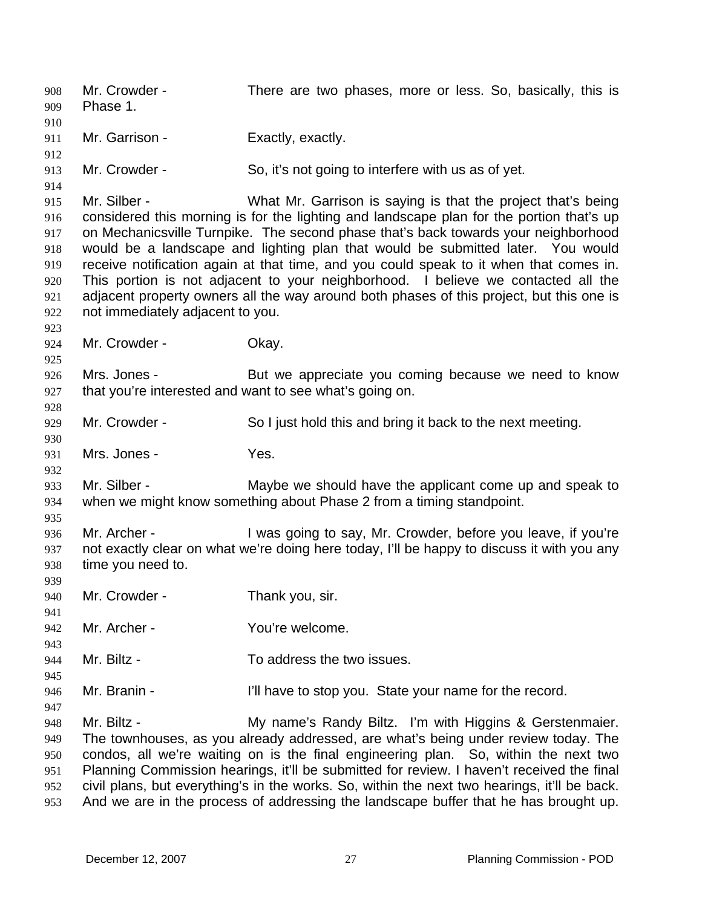Mr. Crowder - There are two phases, more or less. So, basically, this is Phase 1. 908 909 910 911 912 913 914 915 916 917 918 919 920 921 922 923 924 925 926 927 928 929 930 931 932 933 934 935 936 937 938 939 940 941 942 943 944 945 946 947 948 949 950 951 952 953 Mr. Garrison - Exactly, exactly. Mr. Crowder - So, it's not going to interfere with us as of yet. Mr. Silber - What Mr. Garrison is saying is that the project that's being considered this morning is for the lighting and landscape plan for the portion that's up on Mechanicsville Turnpike. The second phase that's back towards your neighborhood would be a landscape and lighting plan that would be submitted later. You would receive notification again at that time, and you could speak to it when that comes in. This portion is not adjacent to your neighborhood. I believe we contacted all the adjacent property owners all the way around both phases of this project, but this one is not immediately adjacent to you. Mr. Crowder - Chay. Mrs. Jones - But we appreciate you coming because we need to know that you're interested and want to see what's going on. Mr. Crowder - So I just hold this and bring it back to the next meeting. Mrs. Jones - Yes. Mr. Silber - Maybe we should have the applicant come up and speak to when we might know something about Phase 2 from a timing standpoint. Mr. Archer - The State of the Say, Mr. Crowder, before you leave, if you're not exactly clear on what we're doing here today, I'll be happy to discuss it with you any time you need to. Mr. Crowder - Thank you, sir. Mr. Archer - You're welcome. Mr. Biltz - To address the two issues. Mr. Branin - The I'll have to stop you. State your name for the record. Mr. Biltz - **My name's Randy Biltz.** I'm with Higgins & Gerstenmaier. The townhouses, as you already addressed, are what's being under review today. The condos, all we're waiting on is the final engineering plan. So, within the next two Planning Commission hearings, it'll be submitted for review. I haven't received the final civil plans, but everything's in the works. So, within the next two hearings, it'll be back. And we are in the process of addressing the landscape buffer that he has brought up.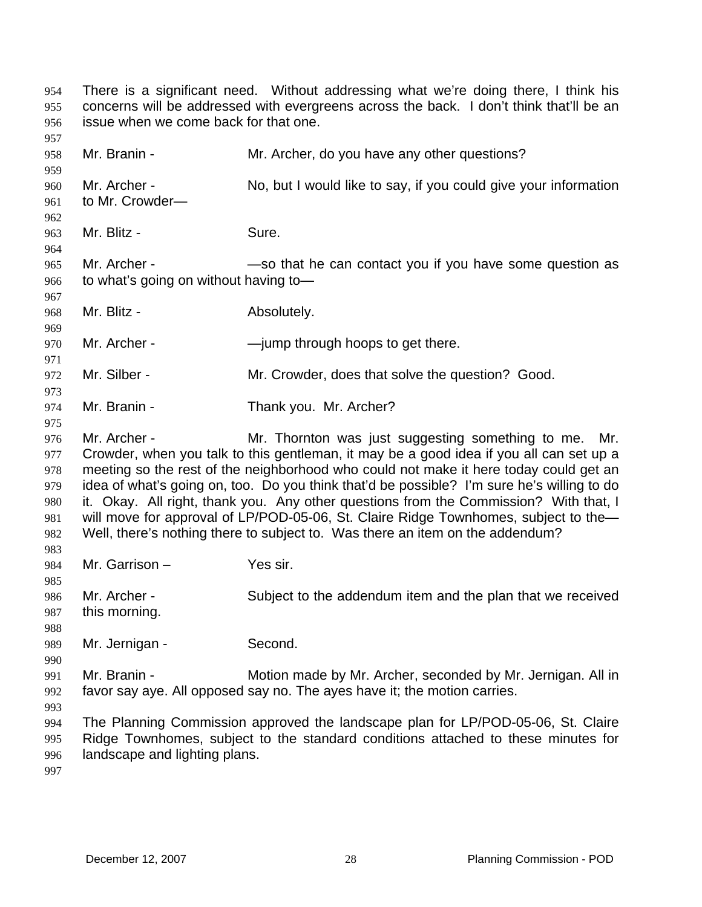There is a significant need. Without addressing what we're doing there, I think his concerns will be addressed with evergreens across the back. I don't think that'll be an issue when we come back for that one. 954 955 956 957 958 959 960 961 962 963 964 965 966 967 968 969 970 971 972 973 974 975 976 977 978 979 980 981 982 983 984 985 986 987 988 989 990 991 992 993 994 995 996 997 Mr. Branin - Mr. Archer, do you have any other questions? Mr. Archer - No, but I would like to say, if you could give your information to Mr. Crowder— Mr. Blitz - Sure. Mr. Archer - — —so that he can contact you if you have some question as to what's going on without having to— Mr. Blitz - Absolutely. Mr. Archer - — — — — — — — — ump through hoops to get there. Mr. Silber - Mr. Crowder, does that solve the question? Good. Mr. Branin - Thank you. Mr. Archer? Mr. Archer - Mr. Thornton was just suggesting something to me. Mr. Crowder, when you talk to this gentleman, it may be a good idea if you all can set up a meeting so the rest of the neighborhood who could not make it here today could get an idea of what's going on, too. Do you think that'd be possible? I'm sure he's willing to do it. Okay. All right, thank you. Any other questions from the Commission? With that, I will move for approval of LP/POD-05-06, St. Claire Ridge Townhomes, subject to the-Well, there's nothing there to subject to. Was there an item on the addendum? Mr. Garrison – Yes sir. Mr. Archer - Subject to the addendum item and the plan that we received this morning. Mr. Jernigan - Second. Mr. Branin - Motion made by Mr. Archer, seconded by Mr. Jernigan. All in favor say aye. All opposed say no. The ayes have it; the motion carries. The Planning Commission approved the landscape plan for LP/POD-05-06, St. Claire Ridge Townhomes, subject to the standard conditions attached to these minutes for landscape and lighting plans.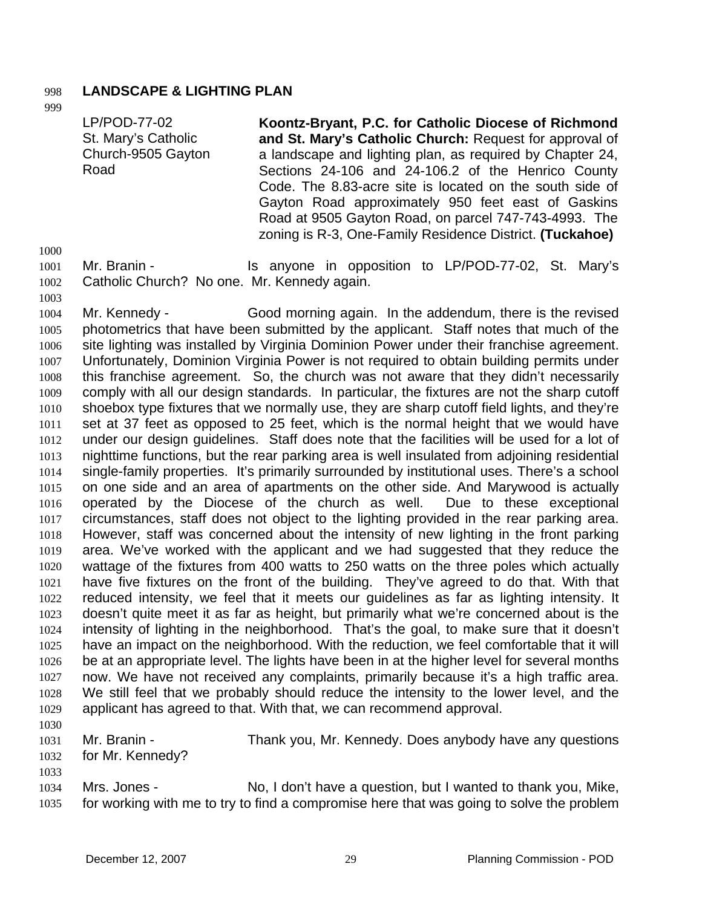## 998 **LANDSCAPE & LIGHTING PLAN**

999

LP/POD-77-02 St. Mary's Catholic Church-9505 Gayton Road **Koontz-Bryant, P.C. for Catholic Diocese of Richmond and St. Mary's Catholic Church:** Request for approval of a landscape and lighting plan, as required by Chapter 24, Sections 24-106 and 24-106.2 of the Henrico County Code. The 8.83-acre site is located on the south side of Gayton Road approximately 950 feet east of Gaskins Road at 9505 Gayton Road, on parcel 747-743-4993. The

zoning is R-3, One-Family Residence District. **(Tuckahoe)** 

1000

1002

1001

Mr. Branin - The Standard Standard Standard Christian in opposition to LP/POD-77-02, St. Mary's Catholic Church? No one. Mr. Kennedy again.

1003 1004 1005 1006 1007 1008 1009 1010 1011 1012 1013 1014 1015 1016 1017 1018 1019 1020 1021 1022 1023 1024 1025 1026 1027 1028 1029 Mr. Kennedy - Good morning again. In the addendum, there is the revised photometrics that have been submitted by the applicant. Staff notes that much of the site lighting was installed by Virginia Dominion Power under their franchise agreement. Unfortunately, Dominion Virginia Power is not required to obtain building permits under this franchise agreement. So, the church was not aware that they didn't necessarily comply with all our design standards. In particular, the fixtures are not the sharp cutoff shoebox type fixtures that we normally use, they are sharp cutoff field lights, and they're set at 37 feet as opposed to 25 feet, which is the normal height that we would have under our design guidelines. Staff does note that the facilities will be used for a lot of nighttime functions, but the rear parking area is well insulated from adjoining residential single-family properties. It's primarily surrounded by institutional uses. There's a school on one side and an area of apartments on the other side. And Marywood is actually operated by the Diocese of the church as well. Due to these exceptional circumstances, staff does not object to the lighting provided in the rear parking area. However, staff was concerned about the intensity of new lighting in the front parking area. We've worked with the applicant and we had suggested that they reduce the wattage of the fixtures from 400 watts to 250 watts on the three poles which actually have five fixtures on the front of the building. They've agreed to do that. With that reduced intensity, we feel that it meets our guidelines as far as lighting intensity. It doesn't quite meet it as far as height, but primarily what we're concerned about is the intensity of lighting in the neighborhood. That's the goal, to make sure that it doesn't have an impact on the neighborhood. With the reduction, we feel comfortable that it will be at an appropriate level. The lights have been in at the higher level for several months now. We have not received any complaints, primarily because it's a high traffic area. We still feel that we probably should reduce the intensity to the lower level, and the applicant has agreed to that. With that, we can recommend approval.

1030

1033

1031

Mr. Branin - Thank you, Mr. Kennedy. Does anybody have any questions

1032 for Mr. Kennedy?

1034 1035 Mrs. Jones - No, I don't have a question, but I wanted to thank you, Mike, for working with me to try to find a compromise here that was going to solve the problem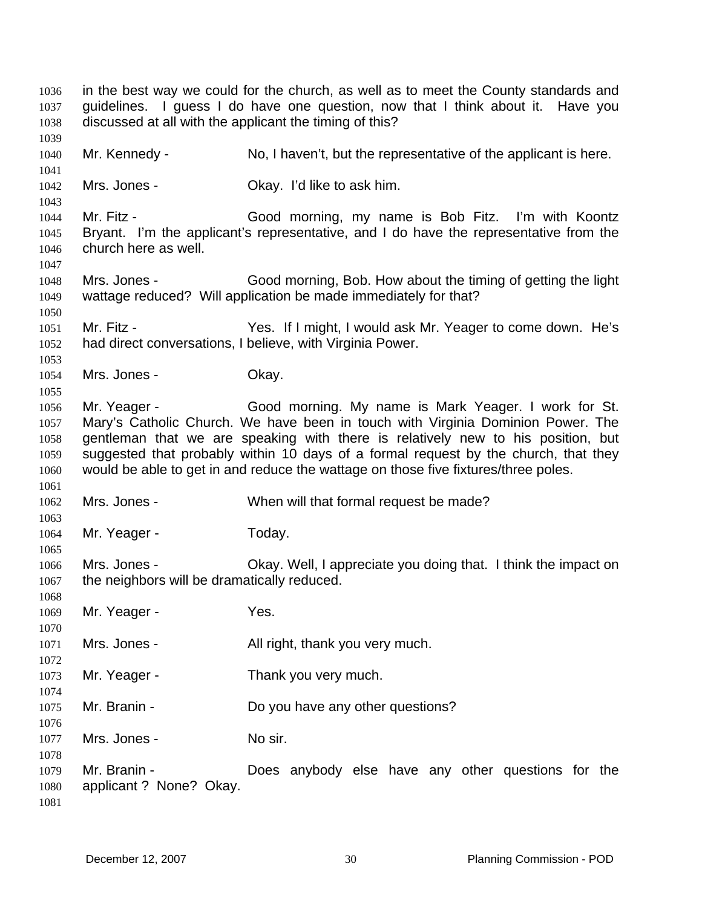in the best way we could for the church, as well as to meet the County standards and guidelines. I guess I do have one question, now that I think about it. Have you discussed at all with the applicant the timing of this? Mr. Kennedy - No, I haven't, but the representative of the applicant is here. Mrs. Jones - Ckay. I'd like to ask him. Mr. Fitz - Good morning, my name is Bob Fitz. I'm with Koontz Bryant. I'm the applicant's representative, and I do have the representative from the church here as well. Mrs. Jones - Good morning, Bob. How about the timing of getting the light wattage reduced? Will application be made immediately for that? Mr. Fitz - Yes. If I might, I would ask Mr. Yeager to come down. He's had direct conversations, I believe, with Virginia Power. Mrs. Jones - Chay. Mr. Yeager - Good morning. My name is Mark Yeager. I work for St. Mary's Catholic Church. We have been in touch with Virginia Dominion Power. The gentleman that we are speaking with there is relatively new to his position, but suggested that probably within 10 days of a formal request by the church, that they would be able to get in and reduce the wattage on those five fixtures/three poles. Mrs. Jones - When will that formal request be made? Mr. Yeager - Today. Mrs. Jones - Ckay. Well, I appreciate you doing that. I think the impact on the neighbors will be dramatically reduced. Mr. Yeager - Yes. Mrs. Jones - All right, thank you very much. Mr. Yeager - Thank you very much. Mr. Branin - Do you have any other questions? Mrs. Jones - No sir. Mr. Branin - The Does anybody else have any other questions for the applicant ? None? Okay.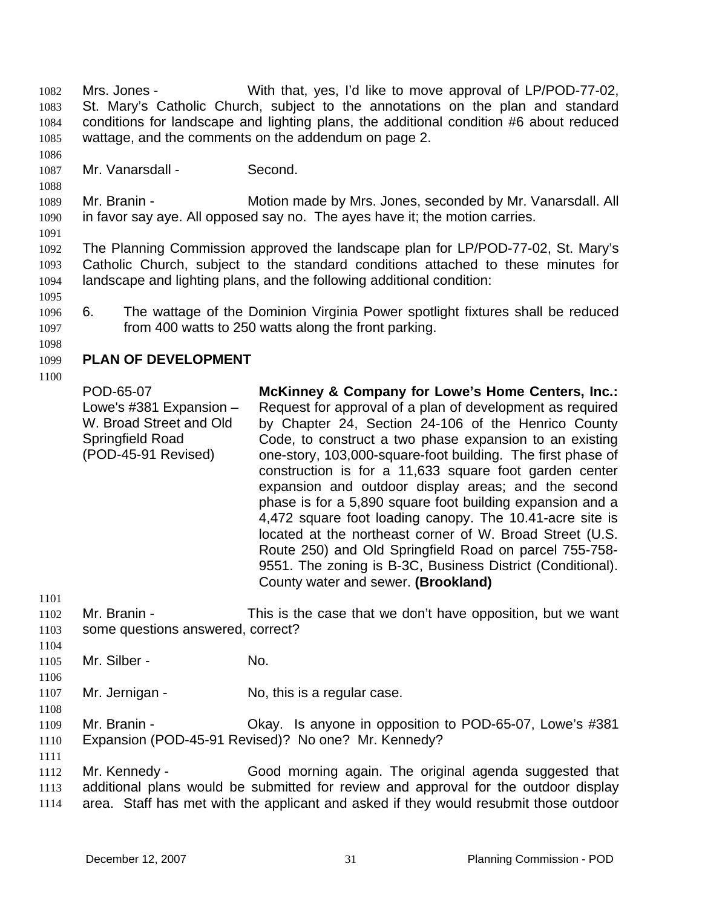Mrs. Jones - With that, yes, I'd like to move approval of LP/POD-77-02, St. Mary's Catholic Church, subject to the annotations on the plan and standard conditions for landscape and lighting plans, the additional condition #6 about reduced wattage, and the comments on the addendum on page 2. 1082 1083 1084 1085

1087 Mr. Vanarsdall - Second.

1089 1090 Mr. Branin - **Motion made by Mrs. Jones, seconded by Mr. Vanarsdall. All** in favor say aye. All opposed say no. The ayes have it; the motion carries.

1091

1086

1088

1092 1093 1094 The Planning Commission approved the landscape plan for LP/POD-77-02, St. Mary's Catholic Church, subject to the standard conditions attached to these minutes for landscape and lighting plans, and the following additional condition:

- 1096 1097 6. The wattage of the Dominion Virginia Power spotlight fixtures shall be reduced from 400 watts to 250 watts along the front parking.
- 1098

1095

#### 1099 **PLAN OF DEVELOPMENT**

1100

POD-65-07 Lowe's #381 Expansion – W. Broad Street and Old Springfield Road (POD-45-91 Revised) **McKinney & Company for Lowe's Home Centers, Inc.:**  Request for approval of a plan of development as required by Chapter 24, Section 24-106 of the Henrico County Code, to construct a two phase expansion to an existing one-story, 103,000-square-foot building. The first phase of construction is for a 11,633 square foot garden center expansion and outdoor display areas; and the second phase is for a 5,890 square foot building expansion and a 4,472 square foot loading canopy. The 10.41-acre site is located at the northeast corner of W. Broad Street (U.S. Route 250) and Old Springfield Road on parcel 755-758- 9551. The zoning is B-3C, Business District (Conditional). County water and sewer. **(Brookland)** 

1102 1103 Mr. Branin - This is the case that we don't have opposition, but we want some questions answered, correct?

1104 1105

1106

1108

1111

1101

Mr. Silber - No.

1107 Mr. Jernigan - No, this is a regular case.

1109 1110 Mr. Branin - Ckay. Is anyone in opposition to POD-65-07, Lowe's #381 Expansion (POD-45-91 Revised)? No one? Mr. Kennedy?

1112 1113 1114 Mr. Kennedy - Good morning again. The original agenda suggested that additional plans would be submitted for review and approval for the outdoor display area. Staff has met with the applicant and asked if they would resubmit those outdoor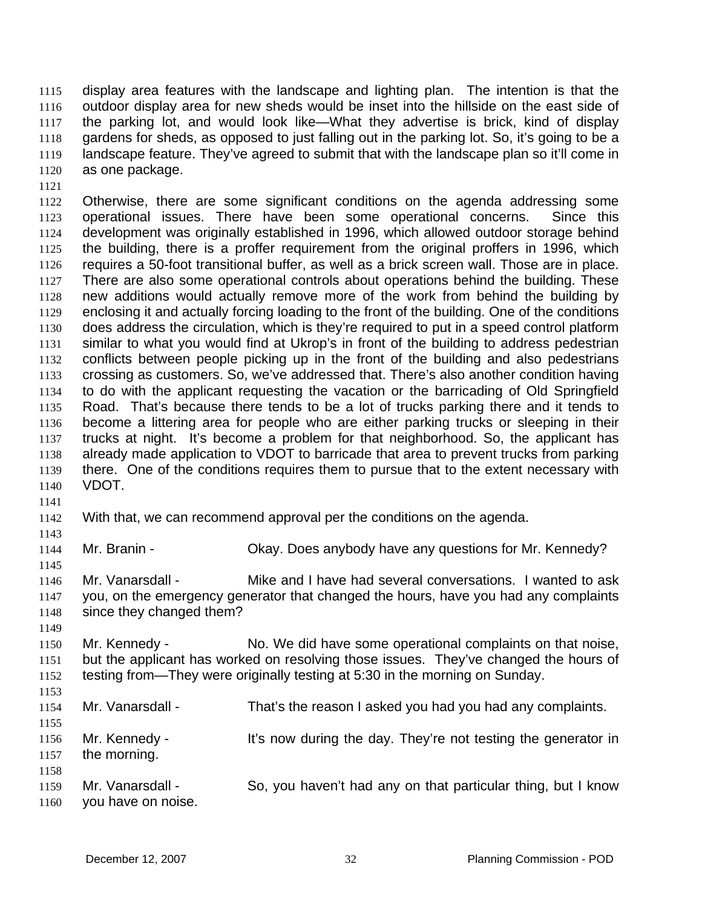display area features with the landscape and lighting plan. The intention is that the outdoor display area for new sheds would be inset into the hillside on the east side of the parking lot, and would look like—What they advertise is brick, kind of display gardens for sheds, as opposed to just falling out in the parking lot. So, it's going to be a landscape feature. They've agreed to submit that with the landscape plan so it'll come in as one package. 1115 1116 1117 1118 1119 1120

1121

1122 1123 1124 1125 1126 1127 1128 1129 1130 1131 1132 1133 1134 1135 1136 1137 1138 1139 1140 Otherwise, there are some significant conditions on the agenda addressing some operational issues. There have been some operational concerns. Since this development was originally established in 1996, which allowed outdoor storage behind the building, there is a proffer requirement from the original proffers in 1996, which requires a 50-foot transitional buffer, as well as a brick screen wall. Those are in place. There are also some operational controls about operations behind the building. These new additions would actually remove more of the work from behind the building by enclosing it and actually forcing loading to the front of the building. One of the conditions does address the circulation, which is they're required to put in a speed control platform similar to what you would find at Ukrop's in front of the building to address pedestrian conflicts between people picking up in the front of the building and also pedestrians crossing as customers. So, we've addressed that. There's also another condition having to do with the applicant requesting the vacation or the barricading of Old Springfield Road. That's because there tends to be a lot of trucks parking there and it tends to become a littering area for people who are either parking trucks or sleeping in their trucks at night. It's become a problem for that neighborhood. So, the applicant has already made application to VDOT to barricade that area to prevent trucks from parking there. One of the conditions requires them to pursue that to the extent necessary with VDOT.

- 1141
- 1142 With that, we can recommend approval per the conditions on the agenda.
- 1143

1145

1144

- Mr. Branin Ckay. Does anybody have any questions for Mr. Kennedy?
- 1146 1147 1148 Mr. Vanarsdall - Mike and I have had several conversations. I wanted to ask you, on the emergency generator that changed the hours, have you had any complaints since they changed them?
- 1149

1150 1151 1152 Mr. Kennedy - No. We did have some operational complaints on that noise, but the applicant has worked on resolving those issues. They've changed the hours of testing from—They were originally testing at 5:30 in the morning on Sunday.

1153 1154 1155 1156 1157 1158 1159 1160 Mr. Vanarsdall - That's the reason I asked you had you had any complaints. Mr. Kennedy - It's now during the day. They're not testing the generator in the morning. Mr. Vanarsdall - So, you haven't had any on that particular thing, but I know you have on noise.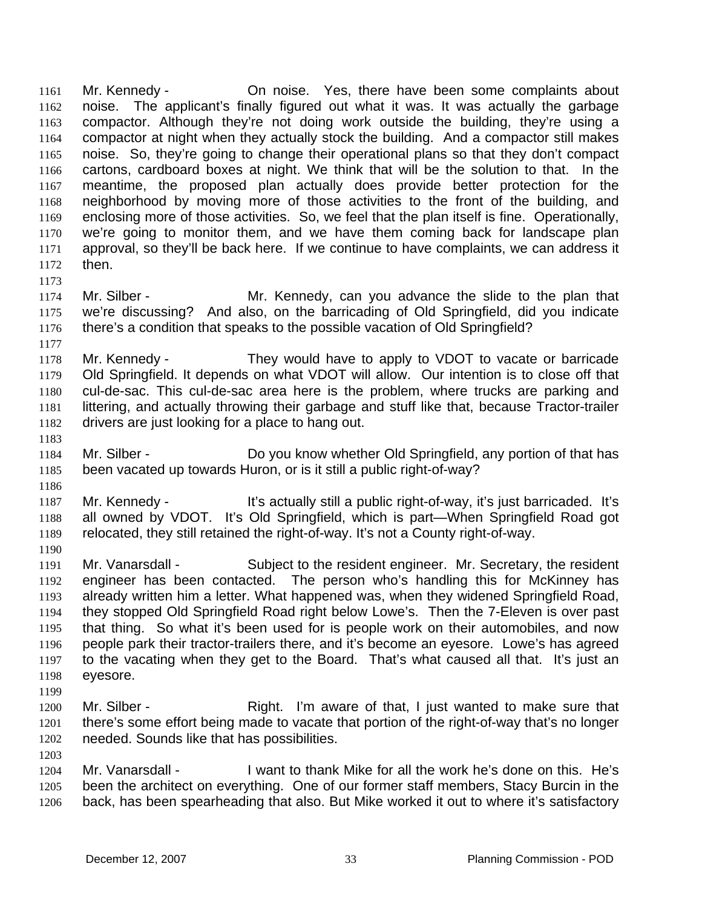Mr. Kennedy - Changise. Yes, there have been some complaints about noise. The applicant's finally figured out what it was. It was actually the garbage compactor. Although they're not doing work outside the building, they're using a compactor at night when they actually stock the building. And a compactor still makes noise. So, they're going to change their operational plans so that they don't compact cartons, cardboard boxes at night. We think that will be the solution to that. In the meantime, the proposed plan actually does provide better protection for the neighborhood by moving more of those activities to the front of the building, and enclosing more of those activities. So, we feel that the plan itself is fine. Operationally, we're going to monitor them, and we have them coming back for landscape plan approval, so they'll be back here. If we continue to have complaints, we can address it then. 1161 1162 1163 1164 1165 1166 1167 1168 1169 1170 1171 1172

1173

1177

1183

1186

- 1174 1175 1176 Mr. Silber - The Mr. Kennedy, can you advance the slide to the plan that we're discussing? And also, on the barricading of Old Springfield, did you indicate there's a condition that speaks to the possible vacation of Old Springfield?
- 1178 1179 1180 1181 1182 Mr. Kennedy - They would have to apply to VDOT to vacate or barricade Old Springfield. It depends on what VDOT will allow. Our intention is to close off that cul-de-sac. This cul-de-sac area here is the problem, where trucks are parking and littering, and actually throwing their garbage and stuff like that, because Tractor-trailer drivers are just looking for a place to hang out.
- 1184 1185 Mr. Silber - Do you know whether Old Springfield, any portion of that has been vacated up towards Huron, or is it still a public right-of-way?
- 1187 1188 1189 1190 Mr. Kennedy - The Sactually still a public right-of-way, it's just barricaded. It's all owned by VDOT. It's Old Springfield, which is part—When Springfield Road got relocated, they still retained the right-of-way. It's not a County right-of-way.
- 1191 1192 1193 1194 1195 1196 1197 1198 Mr. Vanarsdall - Subject to the resident engineer. Mr. Secretary, the resident engineer has been contacted. The person who's handling this for McKinney has already written him a letter. What happened was, when they widened Springfield Road, they stopped Old Springfield Road right below Lowe's. Then the 7-Eleven is over past that thing. So what it's been used for is people work on their automobiles, and now people park their tractor-trailers there, and it's become an eyesore. Lowe's has agreed to the vacating when they get to the Board. That's what caused all that. It's just an eyesore.
- 1199

- 1200 1201 1202 Mr. Silber - Right. I'm aware of that, I just wanted to make sure that there's some effort being made to vacate that portion of the right-of-way that's no longer needed. Sounds like that has possibilities.
- 1204 1205 1206 Mr. Vanarsdall - I want to thank Mike for all the work he's done on this. He's been the architect on everything. One of our former staff members, Stacy Burcin in the back, has been spearheading that also. But Mike worked it out to where it's satisfactory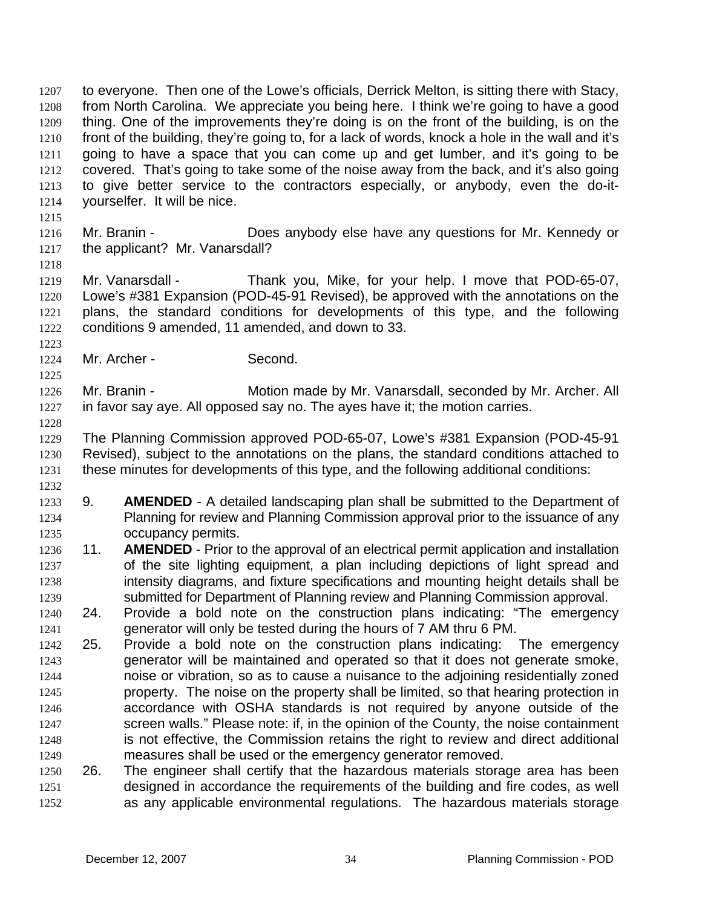thing. One of the improvements they're doing is on the front of the building, is on the front of the building, they're going to, for a lack of words, knock a hole in the wall and it's going to have a space that you can come up and get lumber, and it's going to be covered. That's going to take some of the noise away from the back, and it's also going to give better service to the contractors especially, or anybody, even the do-ityourselfer. It will be nice. 1209 1210 1211 1212 1213 1214 1215 1216 1217 1218 1219 1220 1221 1222 1223 1224 1225 1226 1227 1228 1229 1230 1231 1232 1233 1234 1235 1236 1237 1238 1239 1241 1243 1244 1245 1246 1247 1248 1249 1251 1252 Mr. Branin - **Does anybody else have any questions for Mr. Kennedy or** the applicant? Mr. Vanarsdall? Mr. Vanarsdall - Thank you, Mike, for your help. I move that POD-65-07, Lowe's #381 Expansion (POD-45-91 Revised), be approved with the annotations on the plans, the standard conditions for developments of this type, and the following conditions 9 amended, 11 amended, and down to 33. Mr. Archer - Second. Mr. Branin - **Motion made by Mr. Vanarsdall, seconded by Mr. Archer. All** in favor say aye. All opposed say no. The ayes have it; the motion carries. The Planning Commission approved POD-65-07, Lowe's #381 Expansion (POD-45-91 Revised), subject to the annotations on the plans, the standard conditions attached to these minutes for developments of this type, and the following additional conditions: 9. **AMENDED** - A detailed landscaping plan shall be submitted to the Department of Planning for review and Planning Commission approval prior to the issuance of any occupancy permits. 11. **AMENDED** - Prior to the approval of an electrical permit application and installation of the site lighting equipment, a plan including depictions of light spread and intensity diagrams, and fixture specifications and mounting height details shall be submitted for Department of Planning review and Planning Commission approval. 1240 24. Provide a bold note on the construction plans indicating: "The emergency generator will only be tested during the hours of 7 AM thru 6 PM. 1242 25. Provide a bold note on the construction plans indicating: The emergency generator will be maintained and operated so that it does not generate smoke, noise or vibration, so as to cause a nuisance to the adjoining residentially zoned property. The noise on the property shall be limited, so that hearing protection in accordance with OSHA standards is not required by anyone outside of the screen walls." Please note: if, in the opinion of the County, the noise containment is not effective, the Commission retains the right to review and direct additional measures shall be used or the emergency generator removed. 1250 26. The engineer shall certify that the hazardous materials storage area has been designed in accordance the requirements of the building and fire codes, as well as any applicable environmental regulations. The hazardous materials storage

to everyone. Then one of the Lowe's officials, Derrick Melton, is sitting there with Stacy, from North Carolina. We appreciate you being here. I think we're going to have a good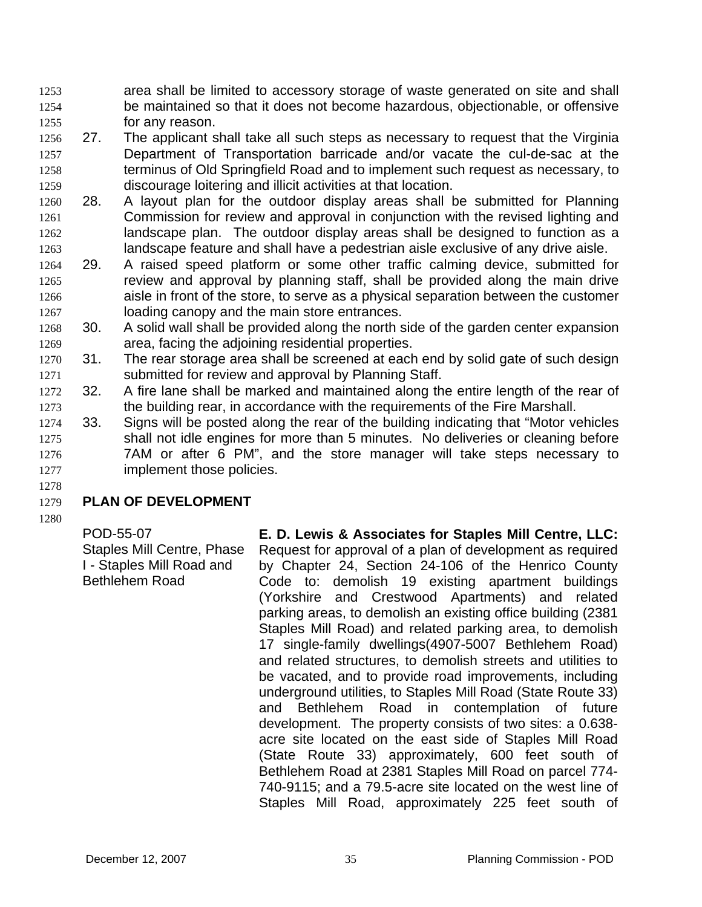area shall be limited to accessory storage of waste generated on site and shall be maintained so that it does not become hazardous, objectionable, or offensive for any reason. 1253 1254 1255

- 1257 1258 1259 1256 27. The applicant shall take all such steps as necessary to request that the Virginia Department of Transportation barricade and/or vacate the cul-de-sac at the terminus of Old Springfield Road and to implement such request as necessary, to discourage loitering and illicit activities at that location.
- 1261 1262 1263 1260 28. A layout plan for the outdoor display areas shall be submitted for Planning Commission for review and approval in conjunction with the revised lighting and landscape plan. The outdoor display areas shall be designed to function as a landscape feature and shall have a pedestrian aisle exclusive of any drive aisle.
- 1265 1266 1267 1264 29. A raised speed platform or some other traffic calming device, submitted for review and approval by planning staff, shall be provided along the main drive aisle in front of the store, to serve as a physical separation between the customer loading canopy and the main store entrances.
- 1269 1268 30. A solid wall shall be provided along the north side of the garden center expansion area, facing the adjoining residential properties.
- 1271 1270 31. The rear storage area shall be screened at each end by solid gate of such design submitted for review and approval by Planning Staff.
- 1273 1272 32. A fire lane shall be marked and maintained along the entire length of the rear of the building rear, in accordance with the requirements of the Fire Marshall.
- 1275 1276 1277 1274 33. Signs will be posted along the rear of the building indicating that "Motor vehicles shall not idle engines for more than 5 minutes. No deliveries or cleaning before 7AM or after 6 PM", and the store manager will take steps necessary to implement those policies.

## 1278

### 1279 **PLAN OF DEVELOPMENT**

1280

POD-55-07 Staples Mill Centre, Phase I - Staples Mill Road and Bethlehem Road

**E. D. Lewis & Associates for Staples Mill Centre, LLC:** Request for approval of a plan of development as required by Chapter 24, Section 24-106 of the Henrico County Code to: demolish 19 existing apartment buildings (Yorkshire and Crestwood Apartments) and related parking areas, to demolish an existing office building (2381 Staples Mill Road) and related parking area, to demolish 17 single-family dwellings(4907-5007 Bethlehem Road) and related structures, to demolish streets and utilities to be vacated, and to provide road improvements, including underground utilities, to Staples Mill Road (State Route 33) and Bethlehem Road in contemplation of future development. The property consists of two sites: a 0.638 acre site located on the east side of Staples Mill Road (State Route 33) approximately, 600 feet south of Bethlehem Road at 2381 Staples Mill Road on parcel 774- 740-9115; and a 79.5-acre site located on the west line of Staples Mill Road, approximately 225 feet south of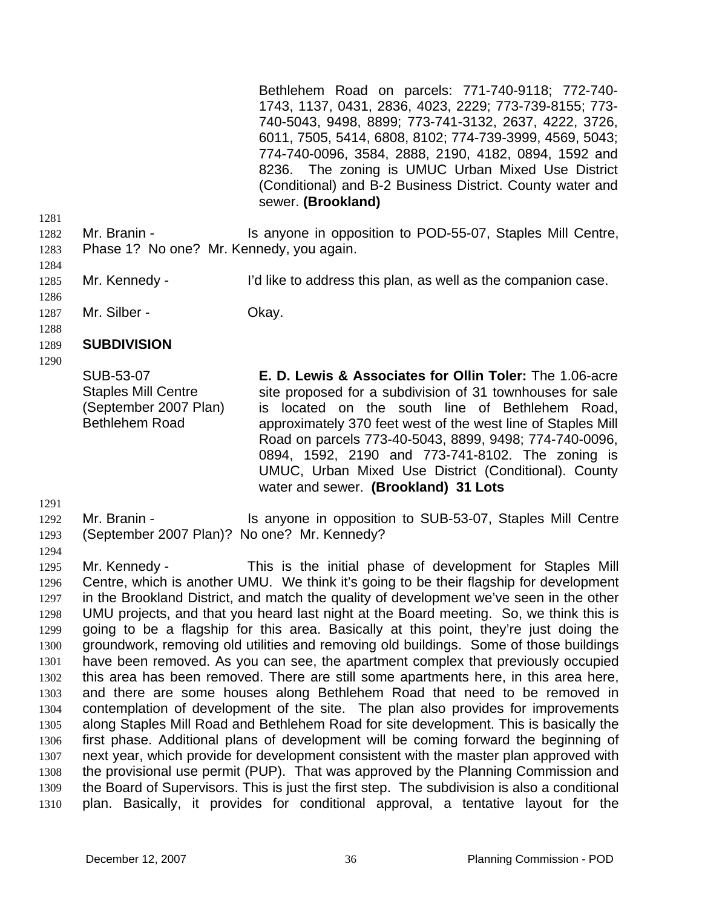Bethlehem Road on parcels: 771-740-9118; 772-740- 1743, 1137, 0431, 2836, 4023, 2229; 773-739-8155; 773- 740-5043, 9498, 8899; 773-741-3132, 2637, 4222, 3726, 6011, 7505, 5414, 6808, 8102; 774-739-3999, 4569, 5043; 774-740-0096, 3584, 2888, 2190, 4182, 0894, 1592 and 8236. The zoning is UMUC Urban Mixed Use District (Conditional) and B-2 Business District. County water and sewer. **(Brookland)** 

- 1282 1283 Mr. Branin - Is anyone in opposition to POD-55-07, Staples Mill Centre, Phase 1? No one? Mr. Kennedy, you again.
- 1285 Mr. Kennedy - I'd like to address this plan, as well as the companion case.
- 1287 Mr. Silber - Chay.
- 1288

1281

1284

1286

#### 1289 **SUBDIVISION**

1290

SUB-53-07 Staples Mill Centre (September 2007 Plan) Bethlehem Road

**E. D. Lewis & Associates for Ollin Toler:** The 1.06-acre site proposed for a subdivision of 31 townhouses for sale is located on the south line of Bethlehem Road, approximately 370 feet west of the west line of Staples Mill Road on parcels 773-40-5043, 8899, 9498; 774-740-0096, 0894, 1592, 2190 and 773-741-8102. The zoning is UMUC, Urban Mixed Use District (Conditional). County water and sewer. **(Brookland) 31 Lots** 

1291

#### 1292 Mr. Branin - The Is anyone in opposition to SUB-53-07, Staples Mill Centre

(September 2007 Plan)? No one? Mr. Kennedy?

1293 1294

1295 1296 1297 1298 1299 1300 1301 1302 1303 1304 1305 1306 1307 1308 1309 1310 Mr. Kennedy - This is the initial phase of development for Staples Mill Centre, which is another UMU. We think it's going to be their flagship for development in the Brookland District, and match the quality of development we've seen in the other UMU projects, and that you heard last night at the Board meeting. So, we think this is going to be a flagship for this area. Basically at this point, they're just doing the groundwork, removing old utilities and removing old buildings. Some of those buildings have been removed. As you can see, the apartment complex that previously occupied this area has been removed. There are still some apartments here, in this area here, and there are some houses along Bethlehem Road that need to be removed in contemplation of development of the site. The plan also provides for improvements along Staples Mill Road and Bethlehem Road for site development. This is basically the first phase. Additional plans of development will be coming forward the beginning of next year, which provide for development consistent with the master plan approved with the provisional use permit (PUP). That was approved by the Planning Commission and the Board of Supervisors. This is just the first step. The subdivision is also a conditional plan. Basically, it provides for conditional approval, a tentative layout for the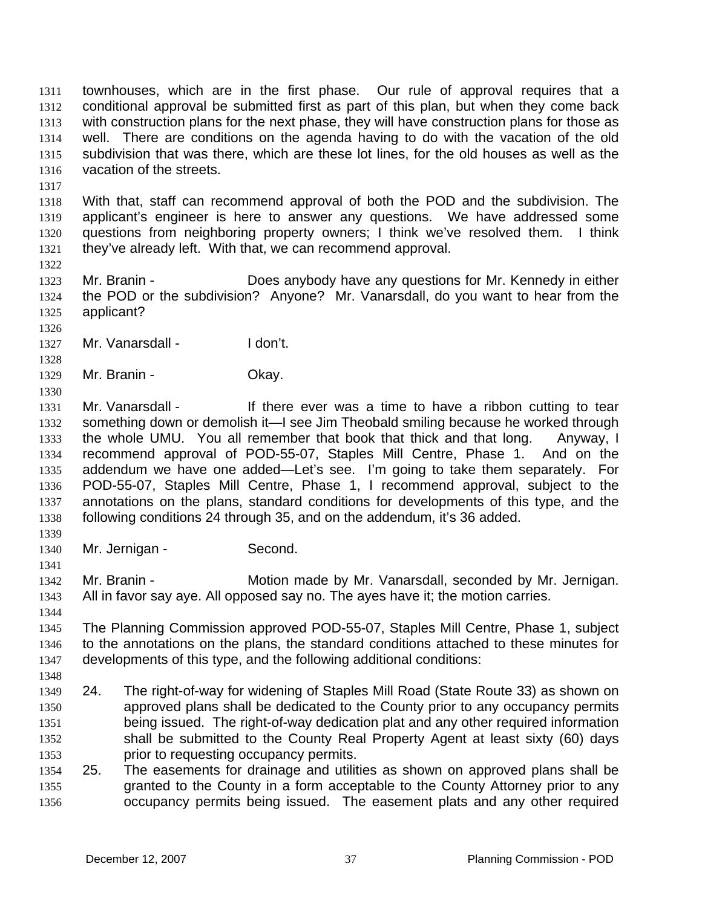townhouses, which are in the first phase. Our rule of approval requires that a conditional approval be submitted first as part of this plan, but when they come back with construction plans for the next phase, they will have construction plans for those as well. There are conditions on the agenda having to do with the vacation of the old subdivision that was there, which are these lot lines, for the old houses as well as the vacation of the streets. 1311 1312 1313 1314 1315 1316

1317

1322

1318 1319 1320 1321 With that, staff can recommend approval of both the POD and the subdivision. The applicant's engineer is here to answer any questions. We have addressed some questions from neighboring property owners; I think we've resolved them. I think they've already left. With that, we can recommend approval.

1323 1324 1325 Mr. Branin - **Does anybody have any questions for Mr. Kennedy in either** the POD or the subdivision? Anyone? Mr. Vanarsdall, do you want to hear from the applicant?

- 1327 Mr. Vanarsdall - I don't.
- 1328 1329

1330

1326

Mr. Branin - Ckay.

- 1331 1332 1333 1334 1335 1336 1337 1338 Mr. Vanarsdall - There ever was a time to have a ribbon cutting to tear something down or demolish it—I see Jim Theobald smiling because he worked through the whole UMU. You all remember that book that thick and that long. Anyway, I recommend approval of POD-55-07, Staples Mill Centre, Phase 1. And on the addendum we have one added—Let's see. I'm going to take them separately. For POD-55-07, Staples Mill Centre, Phase 1, I recommend approval, subject to the annotations on the plans, standard conditions for developments of this type, and the following conditions 24 through 35, and on the addendum, it's 36 added.
- 1339 1340

1341

Mr. Jernigan - Second.

1342 1343 Mr. Branin - **Motion made by Mr. Vanarsdall, seconded by Mr. Jernigan.** All in favor say aye. All opposed say no. The ayes have it; the motion carries.

- 1344 1345 1346 1347 The Planning Commission approved POD-55-07, Staples Mill Centre, Phase 1, subject to the annotations on the plans, the standard conditions attached to these minutes for developments of this type, and the following additional conditions:
- 1348 1349 1350 1351 1352 1353 24. The right-of-way for widening of Staples Mill Road (State Route 33) as shown on approved plans shall be dedicated to the County prior to any occupancy permits being issued. The right-of-way dedication plat and any other required information shall be submitted to the County Real Property Agent at least sixty (60) days prior to requesting occupancy permits.
	- 1354 1355 1356 25. The easements for drainage and utilities as shown on approved plans shall be granted to the County in a form acceptable to the County Attorney prior to any occupancy permits being issued. The easement plats and any other required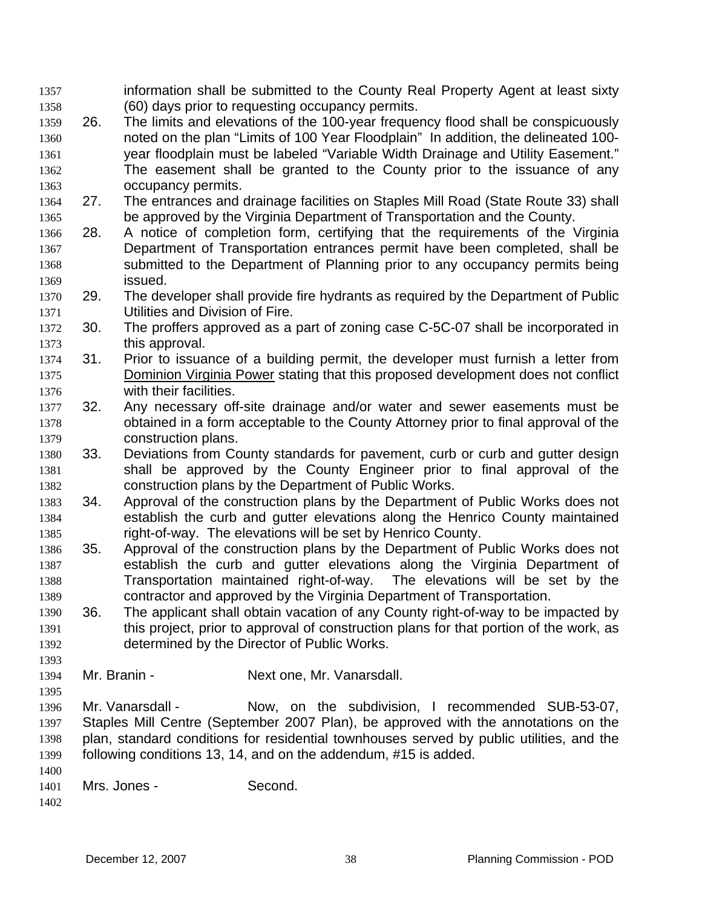information shall be submitted to the County Real Property Agent at least sixty (60) days prior to requesting occupancy permits. 1357 1358

- 1359 1360 1361 1362 1363 26. The limits and elevations of the 100-year frequency flood shall be conspicuously noted on the plan "Limits of 100 Year Floodplain" In addition, the delineated 100 year floodplain must be labeled "Variable Width Drainage and Utility Easement." The easement shall be granted to the County prior to the issuance of any occupancy permits.
- 1364 1365 27. The entrances and drainage facilities on Staples Mill Road (State Route 33) shall be approved by the Virginia Department of Transportation and the County.
- 1366 1367 1368 1369 28. A notice of completion form, certifying that the requirements of the Virginia Department of Transportation entrances permit have been completed, shall be submitted to the Department of Planning prior to any occupancy permits being issued.
- 1370 1371 29. The developer shall provide fire hydrants as required by the Department of Public Utilities and Division of Fire.
- 1372 1373 30. The proffers approved as a part of zoning case C-5C-07 shall be incorporated in this approval.
- 1374 31. Prior to issuance of a building permit, the developer must furnish a letter from Dominion Virginia Power stating that this proposed development does not conflict with their facilities. 1375 1376
- 1377 1378 1379 32. Any necessary off-site drainage and/or water and sewer easements must be obtained in a form acceptable to the County Attorney prior to final approval of the construction plans.
- 1380 1381 1382 33. Deviations from County standards for pavement, curb or curb and gutter design shall be approved by the County Engineer prior to final approval of the construction plans by the Department of Public Works.
- 1383 1384 1385 34. Approval of the construction plans by the Department of Public Works does not establish the curb and gutter elevations along the Henrico County maintained right-of-way. The elevations will be set by Henrico County.
- 1386 1387 1388 1389 35. Approval of the construction plans by the Department of Public Works does not establish the curb and gutter elevations along the Virginia Department of Transportation maintained right-of-way. The elevations will be set by the contractor and approved by the Virginia Department of Transportation.
- 1390 1391 1392 36. The applicant shall obtain vacation of any County right-of-way to be impacted by this project, prior to approval of construction plans for that portion of the work, as determined by the Director of Public Works.
- 1394 Mr. Branin - Next one, Mr. Vanarsdall.
- 1396 1397 1398 1399 Mr. Vanarsdall - Now, on the subdivision, I recommended SUB-53-07, Staples Mill Centre (September 2007 Plan), be approved with the annotations on the plan, standard conditions for residential townhouses served by public utilities, and the following conditions 13, 14, and on the addendum, #15 is added.
- 1400 1401 Mrs. Jones - Second.
- 1402

1393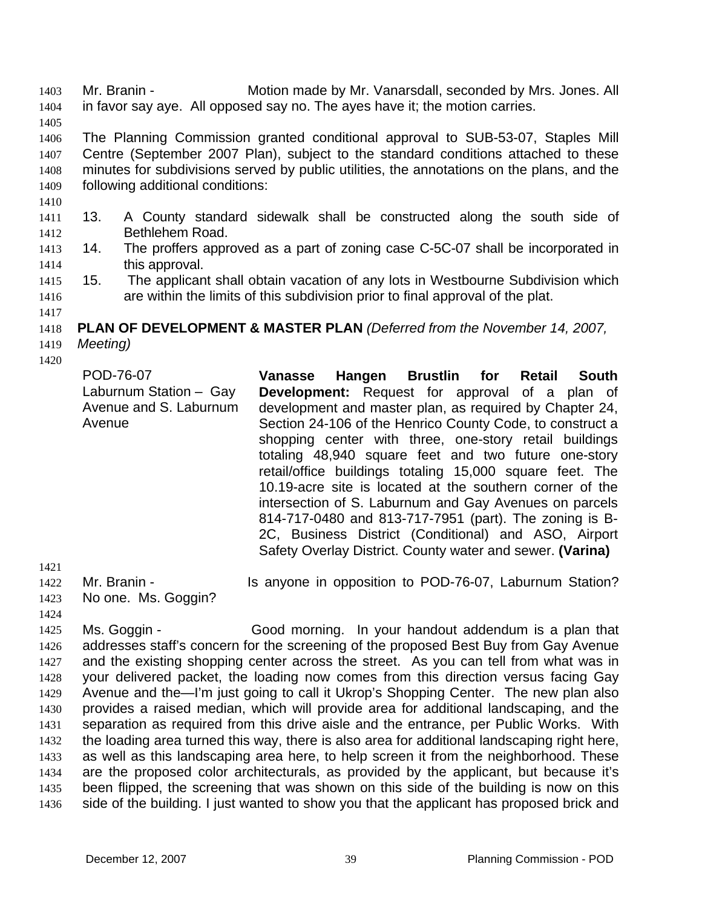Mr. Branin - Motion made by Mr. Vanarsdall, seconded by Mrs. Jones. All in favor say aye. All opposed say no. The ayes have it; the motion carries. 1403 1404

1405

1406 1407 1408 1409 The Planning Commission granted conditional approval to SUB-53-07, Staples Mill Centre (September 2007 Plan), subject to the standard conditions attached to these minutes for subdivisions served by public utilities, the annotations on the plans, and the following additional conditions:

- 1410
- 1412 1411 13. A County standard sidewalk shall be constructed along the south side of Bethlehem Road.
- 1414 1413 14. The proffers approved as a part of zoning case C-5C-07 shall be incorporated in this approval.
- 1416 1415 15. The applicant shall obtain vacation of any lots in Westbourne Subdivision which are within the limits of this subdivision prior to final approval of the plat.
- 1418 **PLAN OF DEVELOPMENT & MASTER PLAN** *(Deferred from the November 14, 2007,*
- 1419 *Meeting)*
- 1420

1417

| POD-76-07<br>Laburnum Station - Gay<br>Avenue and S. Laburnum<br>Avenue | Hangen Brustlin for Retail<br>Vanasse<br><b>South</b><br>Development: Request for approval of a plan of<br>development and master plan, as required by Chapter 24,<br>Section 24-106 of the Henrico County Code, to construct a<br>shopping center with three, one-story retail buildings<br>totaling 48,940 square feet and two future one-story<br>retail/office buildings totaling 15,000 square feet. The<br>10.19-acre site is located at the southern corner of the<br>intersection of S. Laburnum and Gay Avenues on parcels<br>814-717-0480 and 813-717-7951 (part). The zoning is B-<br>2C, Business District (Conditional) and ASO, Airport |
|-------------------------------------------------------------------------|-------------------------------------------------------------------------------------------------------------------------------------------------------------------------------------------------------------------------------------------------------------------------------------------------------------------------------------------------------------------------------------------------------------------------------------------------------------------------------------------------------------------------------------------------------------------------------------------------------------------------------------------------------|
|                                                                         | Safety Overlay District. County water and sewer. (Varina)                                                                                                                                                                                                                                                                                                                                                                                                                                                                                                                                                                                             |

1421 1422

Mr. Branin - Is anyone in opposition to POD-76-07, Laburnum Station?

1423 1424

1425 1426 1427 1428 1429 1430 1431 1432 1433 1434 1435 1436 Ms. Goggin - Good morning. In your handout addendum is a plan that addresses staff's concern for the screening of the proposed Best Buy from Gay Avenue and the existing shopping center across the street. As you can tell from what was in your delivered packet, the loading now comes from this direction versus facing Gay Avenue and the—I'm just going to call it Ukrop's Shopping Center. The new plan also provides a raised median, which will provide area for additional landscaping, and the separation as required from this drive aisle and the entrance, per Public Works. With the loading area turned this way, there is also area for additional landscaping right here, as well as this landscaping area here, to help screen it from the neighborhood. These are the proposed color architecturals, as provided by the applicant, but because it's been flipped, the screening that was shown on this side of the building is now on this side of the building. I just wanted to show you that the applicant has proposed brick and

No one. Ms. Goggin?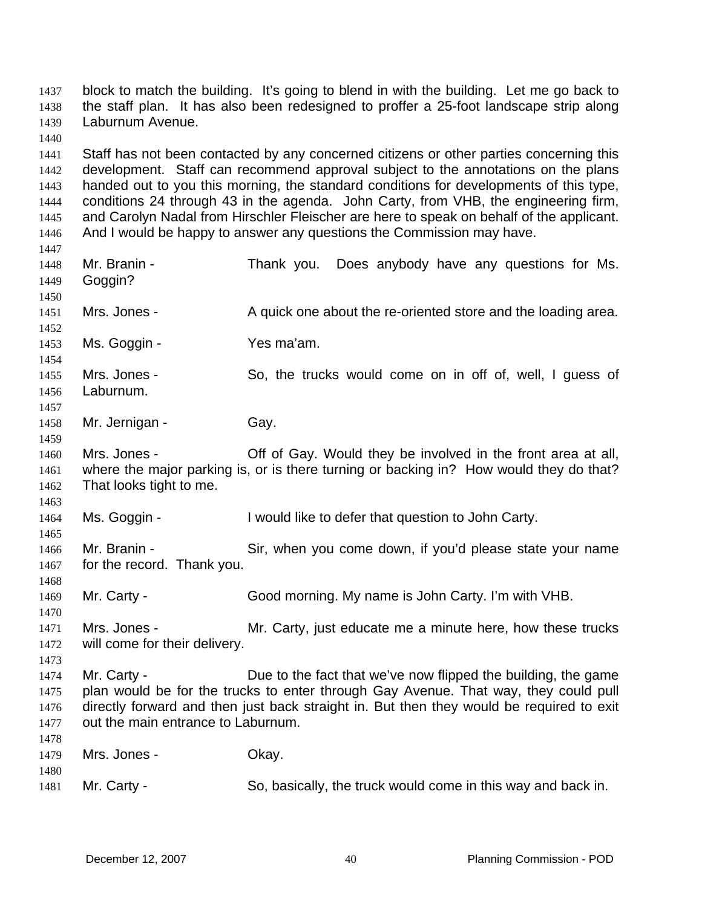the staff plan. It has also been redesigned to proffer a 25-foot landscape strip along Laburnum Avenue. 1438 1439 1440 1441 1442 1443 1444 1445 1446 1447 1448 1449 1450 Staff has not been contacted by any concerned citizens or other parties concerning this development. Staff can recommend approval subject to the annotations on the plans handed out to you this morning, the standard conditions for developments of this type, conditions 24 through 43 in the agenda. John Carty, from VHB, the engineering firm, and Carolyn Nadal from Hirschler Fleischer are here to speak on behalf of the applicant. And I would be happy to answer any questions the Commission may have. Mr. Branin - Thank you. Does anybody have any questions for Ms. Goggin?

block to match the building. It's going to blend in with the building. Let me go back to

1451 1452 Mrs. Jones - A quick one about the re-oriented store and the loading area.

1453 Ms. Goggin - Yes ma'am.

1454 1455 1456 1457 Mrs. Jones - So, the trucks would come on in off of, well, I guess of Laburnum.

1458 Mr. Jernigan - Gay.

1437

1459

1463

1465

1468

1470

1473

1460 1461 1462 Mrs. Jones - **Off of Gay.** Would they be involved in the front area at all, where the major parking is, or is there turning or backing in? How would they do that? That looks tight to me.

1464 Ms. Goggin - I would like to defer that question to John Carty.

1466 1467 Mr. Branin - Sir, when you come down, if you'd please state your name for the record. Thank you.

1469 Mr. Carty - Good morning. My name is John Carty. I'm with VHB.

1471 1472 Mrs. Jones - Mr. Carty, just educate me a minute here, how these trucks will come for their delivery.

1474 1475 1476 1477 1478 Mr. Carty - Due to the fact that we've now flipped the building, the game plan would be for the trucks to enter through Gay Avenue. That way, they could pull directly forward and then just back straight in. But then they would be required to exit out the main entrance to Laburnum.

1479 1480 1481 Mrs. Jones - Chay. Mr. Carty - So, basically, the truck would come in this way and back in.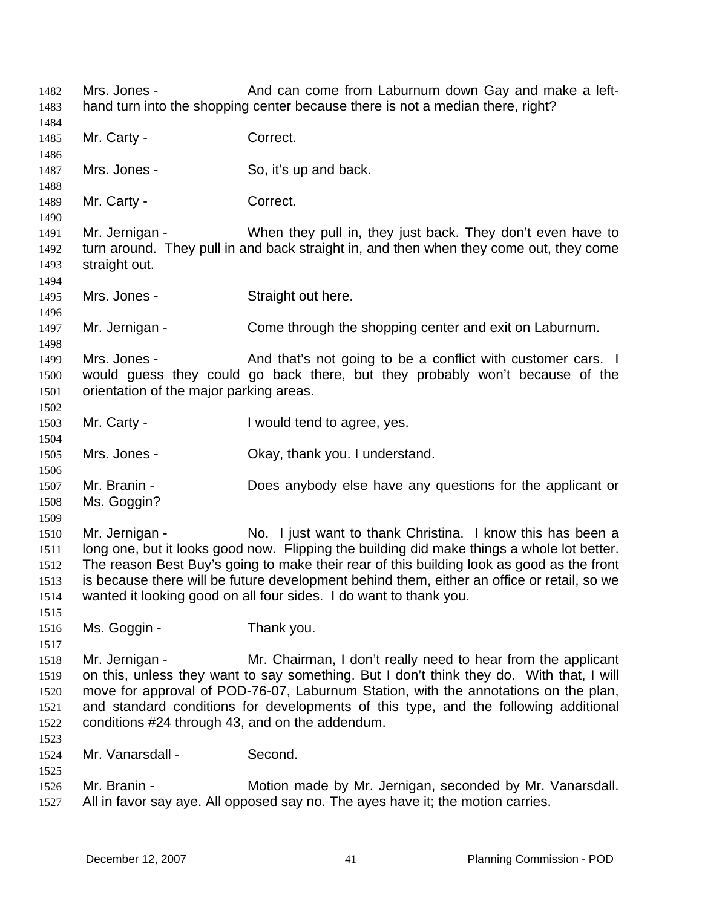Mrs. Jones - And can come from Laburnum down Gay and make a lefthand turn into the shopping center because there is not a median there, right? 1482 1483 1484 1485 1486 1487 1488 1489 1490 1491 1492 1493 1494 1495 1496 1497 1498 1499 1500 1501 1502 1503 1504 1505 1506 1507 1508 1509 1510 1511 1512 1513 1514 1515 1516 1517 1518 1519 1520 1521 1522 1523 1524 1525 1526 1527 Mr. Carty - Correct. Mrs. Jones - So, it's up and back. Mr. Carty - Correct. Mr. Jernigan - When they pull in, they just back. They don't even have to turn around. They pull in and back straight in, and then when they come out, they come straight out. Mrs. Jones - Straight out here. Mr. Jernigan - Come through the shopping center and exit on Laburnum. Mrs. Jones - And that's not going to be a conflict with customer cars. I would guess they could go back there, but they probably won't because of the orientation of the major parking areas. Mr. Carty - I would tend to agree, yes. Mrs. Jones - Ckay, thank you. I understand. Mr. Branin - Does anybody else have any questions for the applicant or Ms. Goggin? Mr. Jernigan - No. I just want to thank Christina. I know this has been a long one, but it looks good now. Flipping the building did make things a whole lot better. The reason Best Buy's going to make their rear of this building look as good as the front is because there will be future development behind them, either an office or retail, so we wanted it looking good on all four sides. I do want to thank you. Ms. Goggin - Thank you. Mr. Jernigan - Mr. Chairman, I don't really need to hear from the applicant on this, unless they want to say something. But I don't think they do. With that, I will move for approval of POD-76-07, Laburnum Station, with the annotations on the plan, and standard conditions for developments of this type, and the following additional conditions #24 through 43, and on the addendum. Mr. Vanarsdall - Second. Mr. Branin - **Motion made by Mr. Jernigan, seconded by Mr. Vanarsdall.** All in favor say aye. All opposed say no. The ayes have it; the motion carries.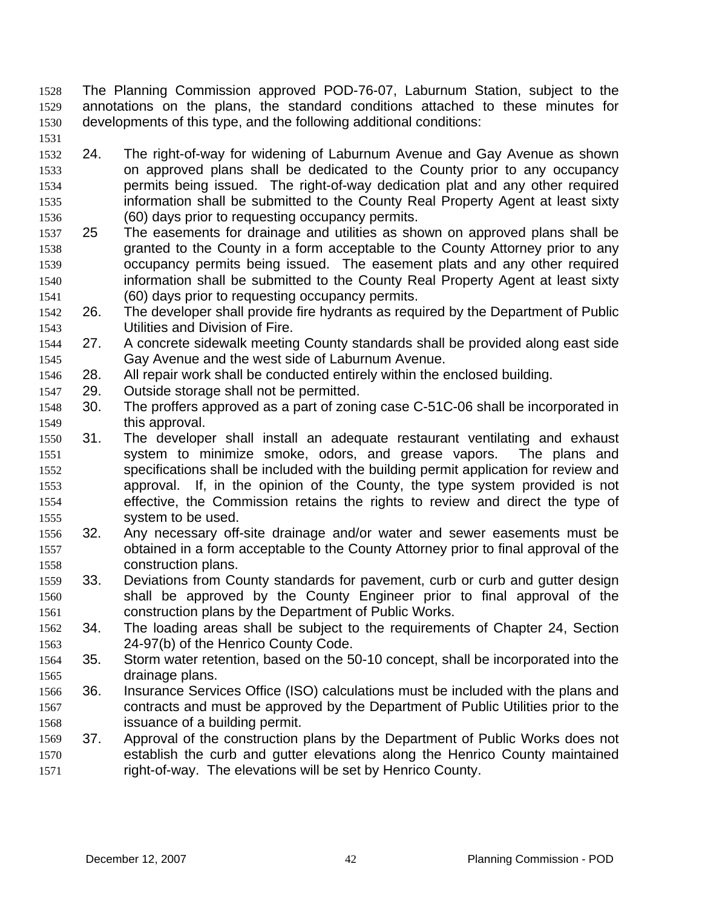- The Planning Commission approved POD-76-07, Laburnum Station, subject to the annotations on the plans, the standard conditions attached to these minutes for developments of this type, and the following additional conditions: 1528 1529 1530
- 1531

1532 1533 1534 1535 1536 24. The right-of-way for widening of Laburnum Avenue and Gay Avenue as shown on approved plans shall be dedicated to the County prior to any occupancy permits being issued. The right-of-way dedication plat and any other required information shall be submitted to the County Real Property Agent at least sixty (60) days prior to requesting occupancy permits.

- 1537 1538 1539 1540 1541 25 The easements for drainage and utilities as shown on approved plans shall be granted to the County in a form acceptable to the County Attorney prior to any occupancy permits being issued. The easement plats and any other required information shall be submitted to the County Real Property Agent at least sixty (60) days prior to requesting occupancy permits.
- 1542 1543 26. The developer shall provide fire hydrants as required by the Department of Public Utilities and Division of Fire.
- 1544 1545 27. A concrete sidewalk meeting County standards shall be provided along east side Gay Avenue and the west side of Laburnum Avenue.
- 1546 28. All repair work shall be conducted entirely within the enclosed building.
- 1547 29. Outside storage shall not be permitted.
- 1548 1549 30. The proffers approved as a part of zoning case C-51C-06 shall be incorporated in this approval.
- 1550 1551 1552 1553 1554 1555 31. The developer shall install an adequate restaurant ventilating and exhaust system to minimize smoke, odors, and grease vapors. The plans and specifications shall be included with the building permit application for review and approval. If, in the opinion of the County, the type system provided is not effective, the Commission retains the rights to review and direct the type of system to be used.
- 1556 1557 1558 32. Any necessary off-site drainage and/or water and sewer easements must be obtained in a form acceptable to the County Attorney prior to final approval of the construction plans.
- 1559 1560 1561 33. Deviations from County standards for pavement, curb or curb and gutter design shall be approved by the County Engineer prior to final approval of the construction plans by the Department of Public Works.
- 1562 1563 34. The loading areas shall be subject to the requirements of Chapter 24, Section 24-97(b) of the Henrico County Code.
- 1564 1565 35. Storm water retention, based on the 50-10 concept, shall be incorporated into the drainage plans.
- 1566 1567 1568 36. Insurance Services Office (ISO) calculations must be included with the plans and contracts and must be approved by the Department of Public Utilities prior to the issuance of a building permit.
- 1569 1570 1571 37. Approval of the construction plans by the Department of Public Works does not establish the curb and gutter elevations along the Henrico County maintained right-of-way. The elevations will be set by Henrico County.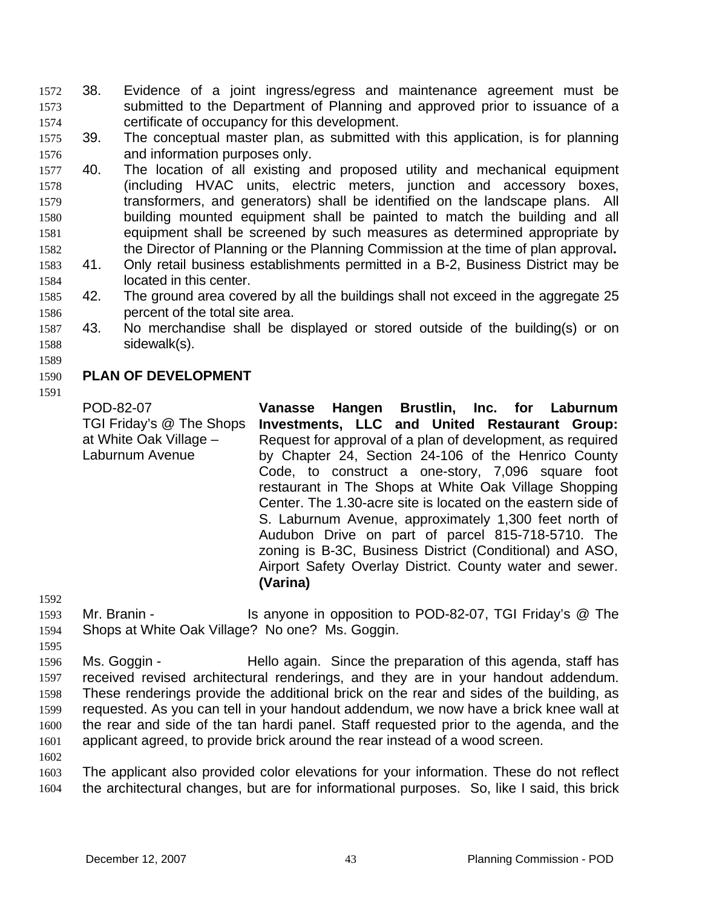- 38. Evidence of a joint ingress/egress and maintenance agreement must be submitted to the Department of Planning and approved prior to issuance of a certificate of occupancy for this development. 1572 1573 1574
- 1575 1576 39. The conceptual master plan, as submitted with this application, is for planning and information purposes only.
- 1577 1578 1579 1580 1581 1582 40. The location of all existing and proposed utility and mechanical equipment (including HVAC units, electric meters, junction and accessory boxes, transformers, and generators) shall be identified on the landscape plans. All building mounted equipment shall be painted to match the building and all equipment shall be screened by such measures as determined appropriate by the Director of Planning or the Planning Commission at the time of plan approval**.**
- 1583 1584 41. Only retail business establishments permitted in a B-2, Business District may be located in this center.
- 1585 1586 42. The ground area covered by all the buildings shall not exceed in the aggregate 25 percent of the total site area.
- 1587 1588 43. No merchandise shall be displayed or stored outside of the building(s) or on sidewalk(s).
- 1589

#### 1590 **PLAN OF DEVELOPMENT**

1591 POD-82-07

TGI Friday's @ The Shops at White Oak Village – Laburnum Avenue **Vanasse Hangen Brustlin, Inc. for Laburnum Investments, LLC and United Restaurant Group:**  Request for approval of a plan of development, as required by Chapter 24, Section 24-106 of the Henrico County Code, to construct a one-story, 7,096 square foot restaurant in The Shops at White Oak Village Shopping Center. The 1.30-acre site is located on the eastern side of S. Laburnum Avenue, approximately 1,300 feet north of Audubon Drive on part of parcel 815-718-5710. The zoning is B-3C, Business District (Conditional) and ASO, Airport Safety Overlay District. County water and sewer. **(Varina)** 

1592

- 1593 1594 Mr. Branin - Is anyone in opposition to POD-82-07, TGI Friday's @ The Shops at White Oak Village? No one? Ms. Goggin.
- 1595
- 1596 1597 1598 1599 1600 1601 Ms. Goggin - Thello again. Since the preparation of this agenda, staff has received revised architectural renderings, and they are in your handout addendum. These renderings provide the additional brick on the rear and sides of the building, as requested. As you can tell in your handout addendum, we now have a brick knee wall at the rear and side of the tan hardi panel. Staff requested prior to the agenda, and the applicant agreed, to provide brick around the rear instead of a wood screen.
- 1602

1603 1604 The applicant also provided color elevations for your information. These do not reflect the architectural changes, but are for informational purposes. So, like I said, this brick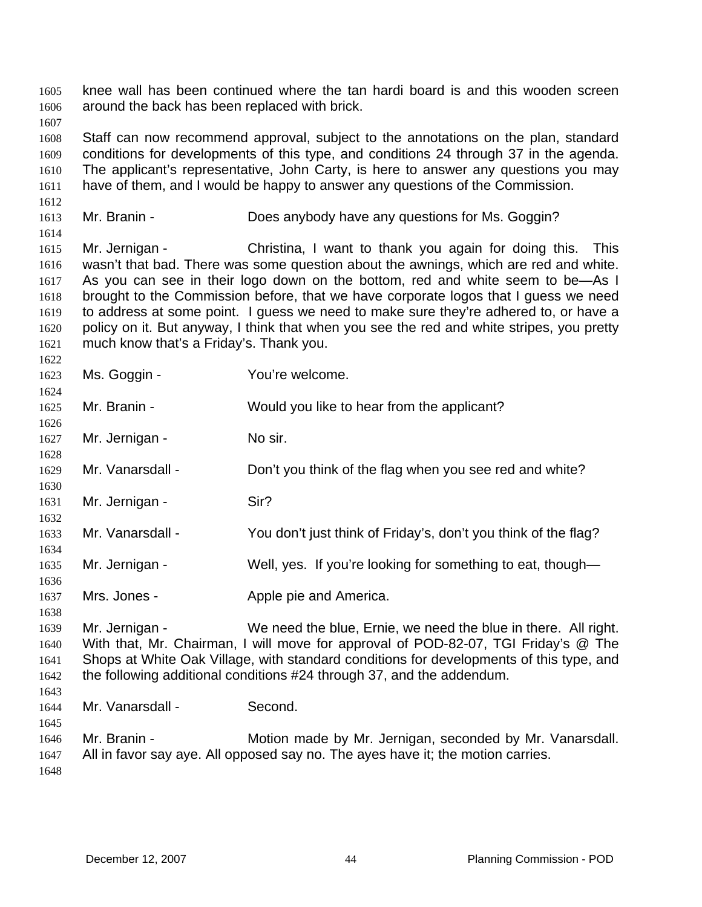knee wall has been continued where the tan hardi board is and this wooden screen around the back has been replaced with brick. 1605 1606 1607 1608 1609 1610 1611 1612 1613 1614 1615 1616 1617 1618 1619 1620 1621 1622 1623 1624 1625 1626 1627 1628 1629 1630 1631 1632 1633 1634 1635 1636 1637 1638 1639 1640 1641 1642 1643 1644 1645 1646 1647 1648 Staff can now recommend approval, subject to the annotations on the plan, standard conditions for developments of this type, and conditions 24 through 37 in the agenda. The applicant's representative, John Carty, is here to answer any questions you may have of them, and I would be happy to answer any questions of the Commission. Mr. Branin - **Example 2** Does any body have any questions for Ms. Goggin? Mr. Jernigan - Christina, I want to thank you again for doing this. This wasn't that bad. There was some question about the awnings, which are red and white. As you can see in their logo down on the bottom, red and white seem to be—As I brought to the Commission before, that we have corporate logos that I guess we need to address at some point. I guess we need to make sure they're adhered to, or have a policy on it. But anyway, I think that when you see the red and white stripes, you pretty much know that's a Friday's. Thank you. Ms. Goggin - You're welcome. Mr. Branin - Would you like to hear from the applicant? Mr. Jernigan - No sir. Mr. Vanarsdall - Don't you think of the flag when you see red and white? Mr. Jernigan - Sir? Mr. Vanarsdall - You don't just think of Friday's, don't you think of the flag? Mr. Jernigan - Well, yes. If you're looking for something to eat, though— Mrs. Jones - **Apple pie and America.** Mr. Jernigan - We need the blue, Ernie, we need the blue in there. All right. With that, Mr. Chairman, I will move for approval of POD-82-07, TGI Friday's @ The Shops at White Oak Village, with standard conditions for developments of this type, and the following additional conditions #24 through 37, and the addendum. Mr. Vanarsdall - Second. Mr. Branin - **Motion made by Mr. Jernigan, seconded by Mr. Vanarsdall.** All in favor say aye. All opposed say no. The ayes have it; the motion carries.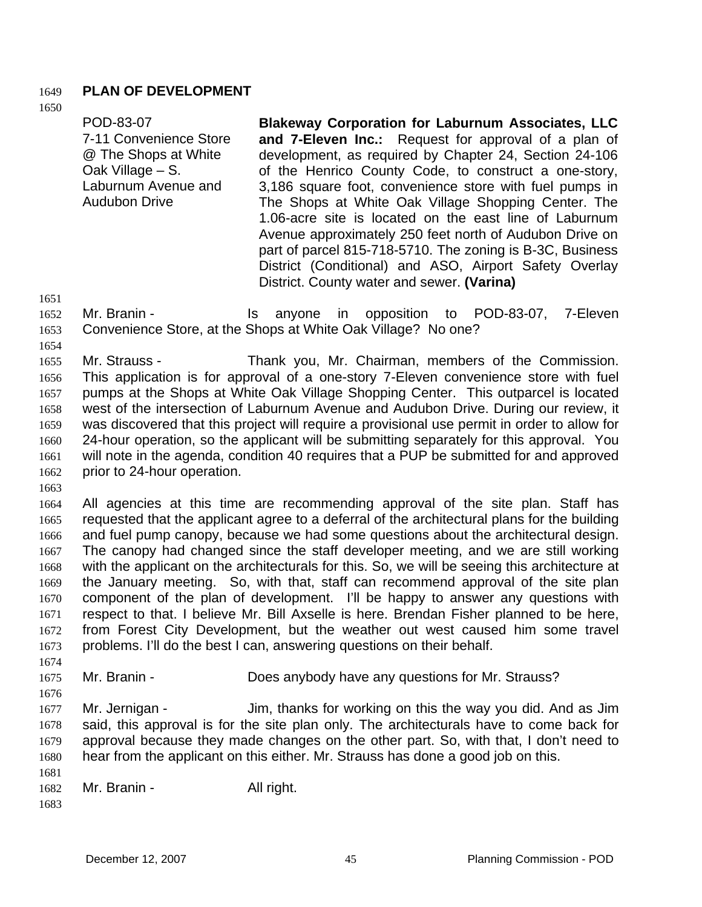### 1649 **PLAN OF DEVELOPMENT**

1650

POD-83-07 7-11 Convenience Store @ The Shops at White Oak Village – S. Laburnum Avenue and Audubon Drive **Blakeway Corporation for Laburnum Associates, LLC and 7-Eleven Inc.:** Request for approval of a plan of development, as required by Chapter 24, Section 24-106 of the Henrico County Code, to construct a one-story, 3,186 square foot, convenience store with fuel pumps in The Shops at White Oak Village Shopping Center. The 1.06-acre site is located on the east line of Laburnum Avenue approximately 250 feet north of Audubon Drive on part of parcel 815-718-5710. The zoning is B-3C, Business District (Conditional) and ASO, Airport Safety Overlay District. County water and sewer. **(Varina)**

1651

- 1652 1653 Mr. Branin - The Standard Standard Communist Communist Communist Communist Communist Communist Communist Communist Communist Communist Communist Communist Communist Communist Communist Communist Communist Communist Communi Convenience Store, at the Shops at White Oak Village? No one?
- 1654

1655 1656 1657 1658 1659 1660 1661 1662 Mr. Strauss - Thank you, Mr. Chairman, members of the Commission. This application is for approval of a one-story 7-Eleven convenience store with fuel pumps at the Shops at White Oak Village Shopping Center. This outparcel is located west of the intersection of Laburnum Avenue and Audubon Drive. During our review, it was discovered that this project will require a provisional use permit in order to allow for 24-hour operation, so the applicant will be submitting separately for this approval. You will note in the agenda, condition 40 requires that a PUP be submitted for and approved prior to 24-hour operation.

1663

1664 1665 1666 1667 1668 1669 1670 1671 1672 1673 1674 All agencies at this time are recommending approval of the site plan. Staff has requested that the applicant agree to a deferral of the architectural plans for the building and fuel pump canopy, because we had some questions about the architectural design. The canopy had changed since the staff developer meeting, and we are still working with the applicant on the architecturals for this. So, we will be seeing this architecture at the January meeting. So, with that, staff can recommend approval of the site plan component of the plan of development. I'll be happy to answer any questions with respect to that. I believe Mr. Bill Axselle is here. Brendan Fisher planned to be here, from Forest City Development, but the weather out west caused him some travel problems. I'll do the best I can, answering questions on their behalf.

1675 Mr. Branin - **Example 3** Does any body have any questions for Mr. Strauss?

1677 1678 1679 1680 Mr. Jernigan - Jim, thanks for working on this the way you did. And as Jim said, this approval is for the site plan only. The architecturals have to come back for approval because they made changes on the other part. So, with that, I don't need to hear from the applicant on this either. Mr. Strauss has done a good job on this.

- 1682 Mr. Branin - All right.
- 1683

1681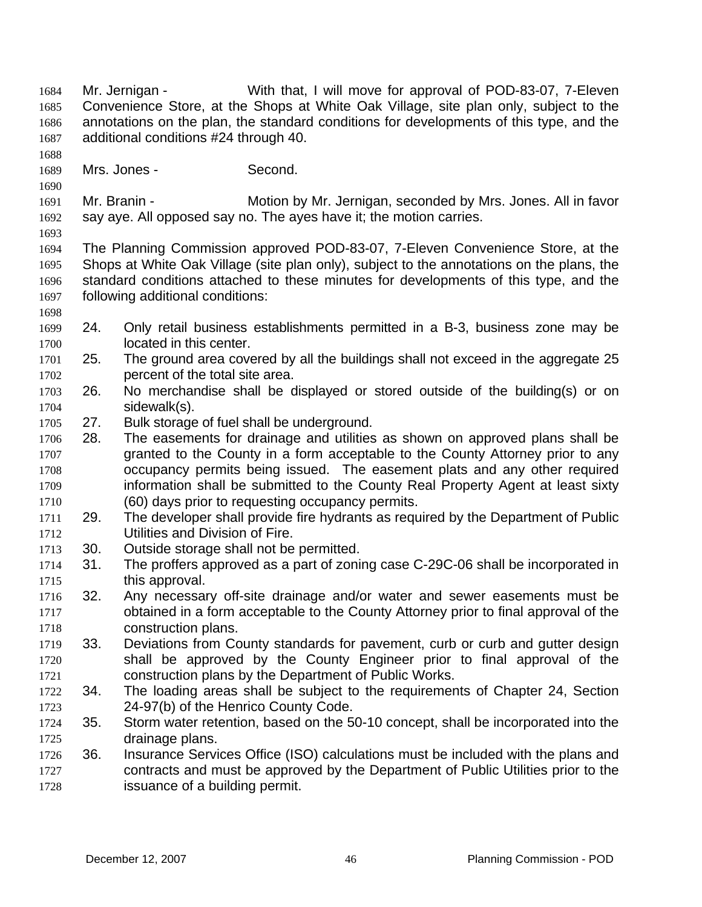- Mr. Jernigan With that, I will move for approval of POD-83-07, 7-Eleven Convenience Store, at the Shops at White Oak Village, site plan only, subject to the annotations on the plan, the standard conditions for developments of this type, and the additional conditions #24 through 40. 1684 1685 1686 1687 1688
- 1689 Mrs. Jones - Second.
- 1691 1692 Mr. Branin - **Motion by Mr. Jernigan, seconded by Mrs. Jones. All in favor** say aye. All opposed say no. The ayes have it; the motion carries.
- 1693

1698

- 1694 1695 1696 1697 The Planning Commission approved POD-83-07, 7-Eleven Convenience Store, at the Shops at White Oak Village (site plan only), subject to the annotations on the plans, the standard conditions attached to these minutes for developments of this type, and the following additional conditions:
- 1699 1700 24. Only retail business establishments permitted in a B-3, business zone may be located in this center.
- 1701 1702 25. The ground area covered by all the buildings shall not exceed in the aggregate 25 percent of the total site area.
- 1703 1704 26. No merchandise shall be displayed or stored outside of the building(s) or on sidewalk(s).
- 1705 27. Bulk storage of fuel shall be underground.
- 1706 1707 1708 1709 1710 28. The easements for drainage and utilities as shown on approved plans shall be granted to the County in a form acceptable to the County Attorney prior to any occupancy permits being issued. The easement plats and any other required information shall be submitted to the County Real Property Agent at least sixty (60) days prior to requesting occupancy permits.
- 1711 1712 29. The developer shall provide fire hydrants as required by the Department of Public Utilities and Division of Fire.
- 1713 30. Outside storage shall not be permitted.
- 1714 1715 31. The proffers approved as a part of zoning case C-29C-06 shall be incorporated in this approval.
- 1716 1717 1718 32. Any necessary off-site drainage and/or water and sewer easements must be obtained in a form acceptable to the County Attorney prior to final approval of the construction plans.
- 1719 1720 1721 33. Deviations from County standards for pavement, curb or curb and gutter design shall be approved by the County Engineer prior to final approval of the construction plans by the Department of Public Works.
- 1722 1723 34. The loading areas shall be subject to the requirements of Chapter 24, Section 24-97(b) of the Henrico County Code.
- 1724 1725 35. Storm water retention, based on the 50-10 concept, shall be incorporated into the drainage plans.
- 1726 1727 1728 36. Insurance Services Office (ISO) calculations must be included with the plans and contracts and must be approved by the Department of Public Utilities prior to the issuance of a building permit.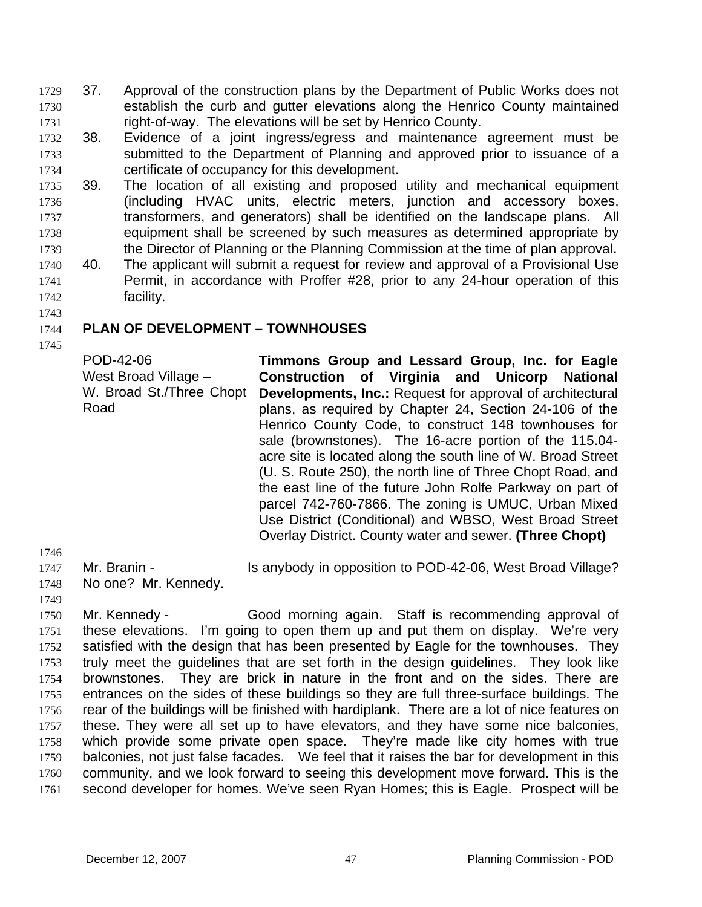- 37. Approval of the construction plans by the Department of Public Works does not establish the curb and gutter elevations along the Henrico County maintained right-of-way. The elevations will be set by Henrico County. 1729 1730 1731
- 1732 1733 1734 38. Evidence of a joint ingress/egress and maintenance agreement must be submitted to the Department of Planning and approved prior to issuance of a certificate of occupancy for this development.
- 1735 1736 1737 1738 1739 39. The location of all existing and proposed utility and mechanical equipment (including HVAC units, electric meters, junction and accessory boxes, transformers, and generators) shall be identified on the landscape plans. All equipment shall be screened by such measures as determined appropriate by the Director of Planning or the Planning Commission at the time of plan approval**.**
- 1740 1741 1742 40. The applicant will submit a request for review and approval of a Provisional Use Permit, in accordance with Proffer #28, prior to any 24-hour operation of this facility.

#### 1744 **PLAN OF DEVELOPMENT – TOWNHOUSES**

1745

Road

1743

POD-42-06 West Broad Village – W. Broad St./Three Chopt **Timmons Group and Lessard Group, Inc. for Eagle Construction of Virginia and Unicorp National Developments, Inc.:** Request for approval of architectural plans, as required by Chapter 24, Section 24-106 of the Henrico County Code, to construct 148 townhouses for sale (brownstones). The 16-acre portion of the 115.04 acre site is located along the south line of W. Broad Street (U. S. Route 250), the north line of Three Chopt Road, and the east line of the future John Rolfe Parkway on part of parcel 742-760-7866. The zoning is UMUC, Urban Mixed Use District (Conditional) and WBSO, West Broad Street Overlay District. County water and sewer. **(Three Chopt)** 

1746

1749

1747 Mr. Branin - Is anybody in opposition to POD-42-06, West Broad Village?

1748 No one? Mr. Kennedy.

1750 1751 1752 1753 1754 1755 1756 1757 1758 1759 1760 1761 Mr. Kennedy - Good morning again. Staff is recommending approval of these elevations. I'm going to open them up and put them on display. We're very satisfied with the design that has been presented by Eagle for the townhouses. They truly meet the guidelines that are set forth in the design guidelines. They look like brownstones. They are brick in nature in the front and on the sides. There are entrances on the sides of these buildings so they are full three-surface buildings. The rear of the buildings will be finished with hardiplank. There are a lot of nice features on these. They were all set up to have elevators, and they have some nice balconies, which provide some private open space. They're made like city homes with true balconies, not just false facades. We feel that it raises the bar for development in this community, and we look forward to seeing this development move forward. This is the second developer for homes. We've seen Ryan Homes; this is Eagle. Prospect will be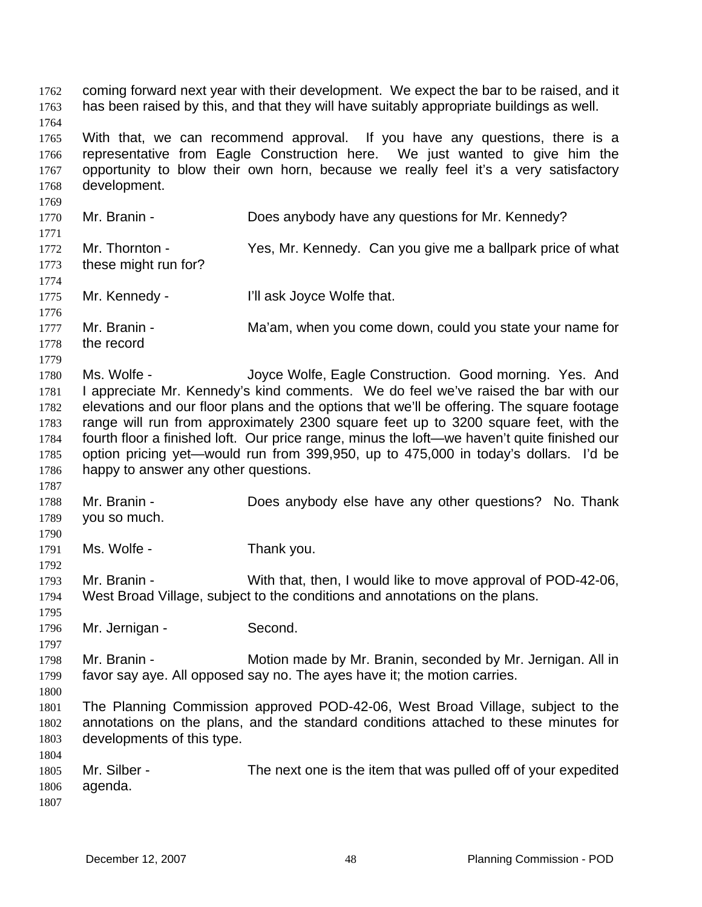coming forward next year with their development. We expect the bar to be raised, and it has been raised by this, and that they will have suitably appropriate buildings as well. 1762 1763 1764 1765 1766 1767 1768 1769 1770 1771 1772 1773 1774 1775 1776 1777 1778 1779 1780 1781 1782 1783 1784 1785 1786 1787 1788 1789 1790 1791 1792 1793 1794 1795 1796 1797 1798 1799 1800 1801 1802 1803 1804 1805 1806 1807 With that, we can recommend approval. If you have any questions, there is a representative from Eagle Construction here. We just wanted to give him the opportunity to blow their own horn, because we really feel it's a very satisfactory development. Mr. Branin - Does anybody have any questions for Mr. Kennedy? Mr. Thornton - Yes, Mr. Kennedy. Can you give me a ballpark price of what these might run for? Mr. Kennedy - **I'll ask Joyce Wolfe that.** Mr. Branin - Ma'am, when you come down, could you state your name for the record Ms. Wolfe - The Joyce Wolfe, Eagle Construction. Good morning. Yes. And I appreciate Mr. Kennedy's kind comments. We do feel we've raised the bar with our elevations and our floor plans and the options that we'll be offering. The square footage range will run from approximately 2300 square feet up to 3200 square feet, with the fourth floor a finished loft. Our price range, minus the loft—we haven't quite finished our option pricing yet—would run from 399,950, up to 475,000 in today's dollars. I'd be happy to answer any other questions. Mr. Branin - Does anybody else have any other questions? No. Thank you so much. Ms. Wolfe - Thank you. Mr. Branin - With that, then, I would like to move approval of POD-42-06, West Broad Village, subject to the conditions and annotations on the plans. Mr. Jernigan - Second. Mr. Branin - **Motion made by Mr. Branin, seconded by Mr. Jernigan. All in** favor say aye. All opposed say no. The ayes have it; the motion carries. The Planning Commission approved POD-42-06, West Broad Village, subject to the annotations on the plans, and the standard conditions attached to these minutes for developments of this type. Mr. Silber - The next one is the item that was pulled off of your expedited agenda.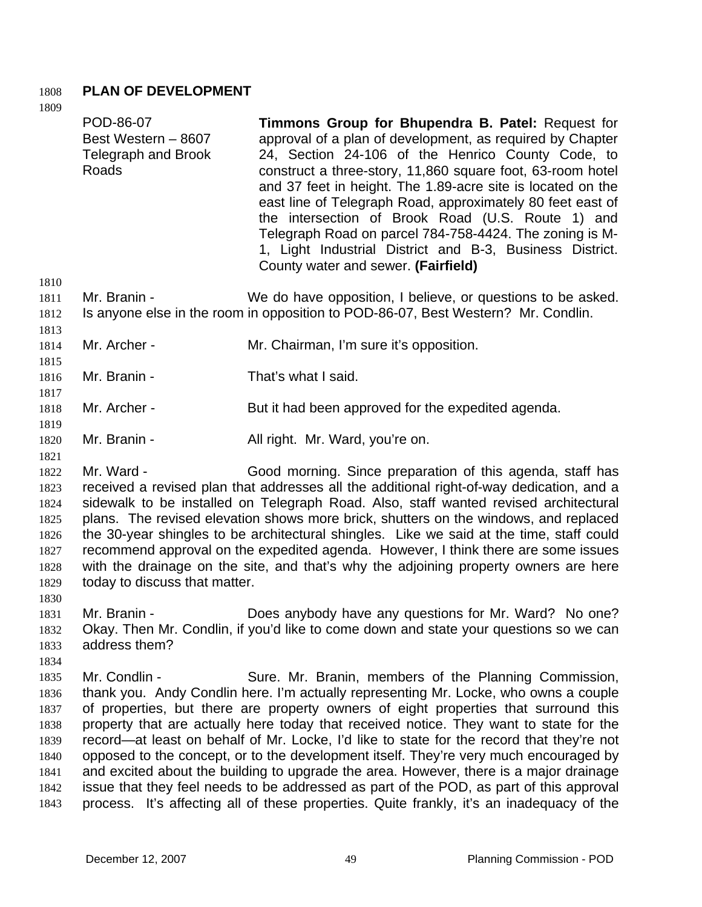# 1808 **PLAN OF DEVELOPMENT**

| 1809                 |                                                                  |                                                                                                                                                                                                                                                                                                                                                                                                                                                                                                                                                                                   |
|----------------------|------------------------------------------------------------------|-----------------------------------------------------------------------------------------------------------------------------------------------------------------------------------------------------------------------------------------------------------------------------------------------------------------------------------------------------------------------------------------------------------------------------------------------------------------------------------------------------------------------------------------------------------------------------------|
|                      | POD-86-07<br>Best Western - 8607<br>Telegraph and Brook<br>Roads | Timmons Group for Bhupendra B. Patel: Request for<br>approval of a plan of development, as required by Chapter<br>24, Section 24-106 of the Henrico County Code, to<br>construct a three-story, 11,860 square foot, 63-room hotel<br>and 37 feet in height. The 1.89-acre site is located on the<br>east line of Telegraph Road, approximately 80 feet east of<br>the intersection of Brook Road (U.S. Route 1) and<br>Telegraph Road on parcel 784-758-4424. The zoning is M-<br>1, Light Industrial District and B-3, Business District.<br>County water and sewer. (Fairfield) |
| 1810<br>1811<br>1812 | Mr. Branin -                                                     | We do have opposition, I believe, or questions to be asked.<br>Is anyone else in the room in opposition to POD-86-07, Best Western? Mr. Condlin.                                                                                                                                                                                                                                                                                                                                                                                                                                  |

- 1813 1814 Mr. Archer - Mr. Chairman, I'm sure it's opposition.
- 1815
- 1816 Mr. Branin - That's what I said.
- 1818 Mr. Archer - But it had been approved for the expedited agenda.
- 1820 Mr. Branin - All right. Mr. Ward, you're on.
- 1821

1817

1819

- 1822 1823 1824 1825 1826 1827 1828 1829 Mr. Ward - Good morning. Since preparation of this agenda, staff has received a revised plan that addresses all the additional right-of-way dedication, and a sidewalk to be installed on Telegraph Road. Also, staff wanted revised architectural plans. The revised elevation shows more brick, shutters on the windows, and replaced the 30-year shingles to be architectural shingles. Like we said at the time, staff could recommend approval on the expedited agenda. However, I think there are some issues with the drainage on the site, and that's why the adjoining property owners are here today to discuss that matter.
- 1830 1831 1832 1833 Mr. Branin - **Does anybody have any questions for Mr. Ward?** No one? Okay. Then Mr. Condlin, if you'd like to come down and state your questions so we can address them?
- 1834

1835 1836 1837 1838 1839 1840 1841 1842 1843 Mr. Condlin - Sure. Mr. Branin, members of the Planning Commission, thank you. Andy Condlin here. I'm actually representing Mr. Locke, who owns a couple of properties, but there are property owners of eight properties that surround this property that are actually here today that received notice. They want to state for the record—at least on behalf of Mr. Locke, I'd like to state for the record that they're not opposed to the concept, or to the development itself. They're very much encouraged by and excited about the building to upgrade the area. However, there is a major drainage issue that they feel needs to be addressed as part of the POD, as part of this approval process. It's affecting all of these properties. Quite frankly, it's an inadequacy of the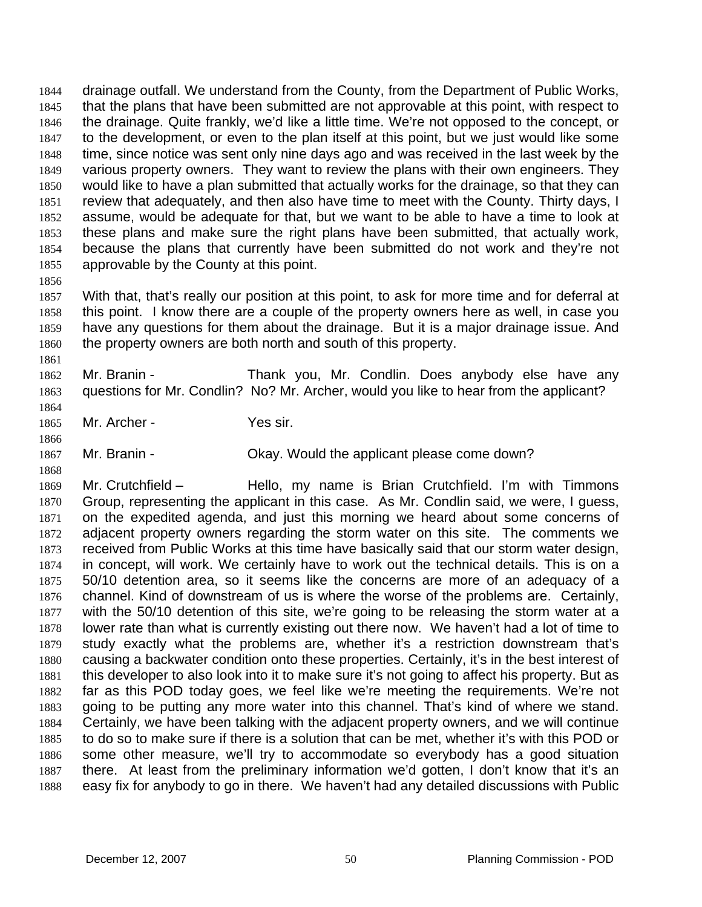drainage outfall. We understand from the County, from the Department of Public Works, that the plans that have been submitted are not approvable at this point, with respect to the drainage. Quite frankly, we'd like a little time. We're not opposed to the concept, or to the development, or even to the plan itself at this point, but we just would like some time, since notice was sent only nine days ago and was received in the last week by the various property owners. They want to review the plans with their own engineers. They would like to have a plan submitted that actually works for the drainage, so that they can review that adequately, and then also have time to meet with the County. Thirty days, I assume, would be adequate for that, but we want to be able to have a time to look at these plans and make sure the right plans have been submitted, that actually work, because the plans that currently have been submitted do not work and they're not approvable by the County at this point. 1844 1845 1846 1847 1848 1849 1850 1851 1852 1853 1854 1855

1857 1858 1859 1860 With that, that's really our position at this point, to ask for more time and for deferral at this point. I know there are a couple of the property owners here as well, in case you have any questions for them about the drainage. But it is a major drainage issue. And the property owners are both north and south of this property.

1862 1863 Mr. Branin - Thank you, Mr. Condlin. Does anybody else have any questions for Mr. Condlin? No? Mr. Archer, would you like to hear from the applicant?

1865 Mr. Archer - Yes sir.

1856

1861

1864

1866

1868

1867 Mr. Branin - Ckay. Would the applicant please come down?

1869 1870 1871 1872 1873 1874 1875 1876 1877 1878 1879 1880 1881 1882 1883 1884 1885 1886 1887 1888 Mr. Crutchfield – Thello, my name is Brian Crutchfield. I'm with Timmons Group, representing the applicant in this case. As Mr. Condlin said, we were, I guess, on the expedited agenda, and just this morning we heard about some concerns of adjacent property owners regarding the storm water on this site. The comments we received from Public Works at this time have basically said that our storm water design, in concept, will work. We certainly have to work out the technical details. This is on a 50/10 detention area, so it seems like the concerns are more of an adequacy of a channel. Kind of downstream of us is where the worse of the problems are. Certainly, with the 50/10 detention of this site, we're going to be releasing the storm water at a lower rate than what is currently existing out there now. We haven't had a lot of time to study exactly what the problems are, whether it's a restriction downstream that's causing a backwater condition onto these properties. Certainly, it's in the best interest of this developer to also look into it to make sure it's not going to affect his property. But as far as this POD today goes, we feel like we're meeting the requirements. We're not going to be putting any more water into this channel. That's kind of where we stand. Certainly, we have been talking with the adjacent property owners, and we will continue to do so to make sure if there is a solution that can be met, whether it's with this POD or some other measure, we'll try to accommodate so everybody has a good situation there. At least from the preliminary information we'd gotten, I don't know that it's an easy fix for anybody to go in there. We haven't had any detailed discussions with Public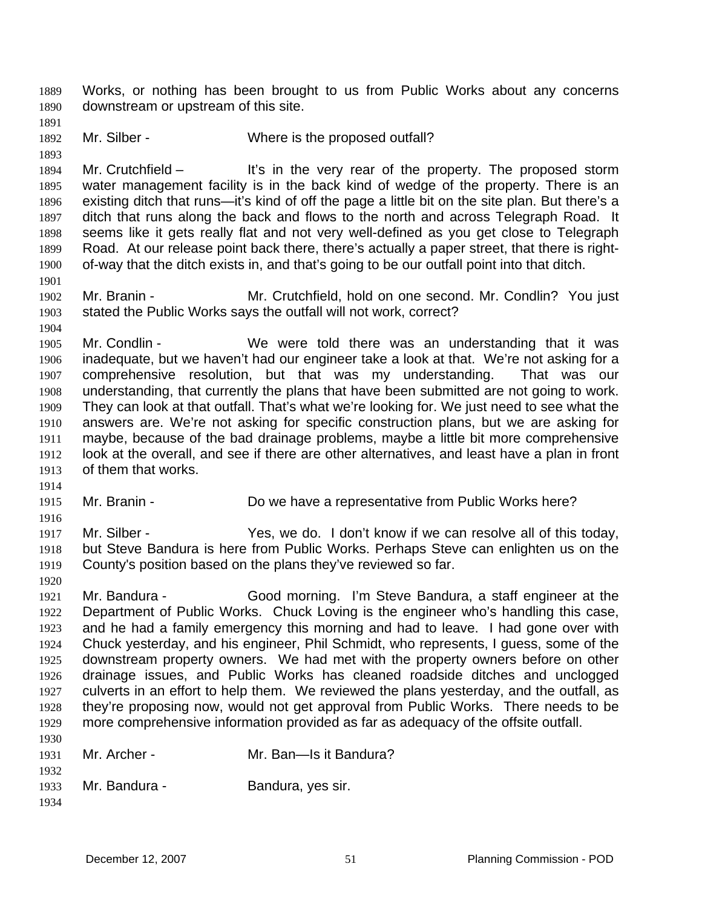Works, or nothing has been brought to us from Public Works about any concerns downstream or upstream of this site. 1889 1890

- 1891 1892
- Mr. Silber Where is the proposed outfall?

1893

1901

1904

1894 1895 1896 1897 1898 1899 1900 Mr. Crutchfield – It's in the very rear of the property. The proposed storm water management facility is in the back kind of wedge of the property. There is an existing ditch that runs—it's kind of off the page a little bit on the site plan. But there's a ditch that runs along the back and flows to the north and across Telegraph Road. It seems like it gets really flat and not very well-defined as you get close to Telegraph Road. At our release point back there, there's actually a paper street, that there is rightof-way that the ditch exists in, and that's going to be our outfall point into that ditch.

1902 1903 Mr. Branin - **Mr. Crutchfield, hold on one second. Mr. Condlin?** You just stated the Public Works says the outfall will not work, correct?

1905 1906 1907 1908 1909 1910 1911 1912 1913 Mr. Condlin - We were told there was an understanding that it was inadequate, but we haven't had our engineer take a look at that. We're not asking for a comprehensive resolution, but that was my understanding. That was our understanding, that currently the plans that have been submitted are not going to work. They can look at that outfall. That's what we're looking for. We just need to see what the answers are. We're not asking for specific construction plans, but we are asking for maybe, because of the bad drainage problems, maybe a little bit more comprehensive look at the overall, and see if there are other alternatives, and least have a plan in front of them that works.

- 1914
- 1915 Mr. Branin - **Do we have a representative from Public Works here?**
- 1916 1917
	- Mr. Silber The Yes, we do. I don't know if we can resolve all of this today, but Steve Bandura is here from Public Works. Perhaps Steve can enlighten us on the County's position based on the plans they've reviewed so far.
	- 1919 1920

1918

1921 1922 1923 1924 1925 1926 1927 1928 1929 1930 Mr. Bandura - Good morning. I'm Steve Bandura, a staff engineer at the Department of Public Works. Chuck Loving is the engineer who's handling this case, and he had a family emergency this morning and had to leave. I had gone over with Chuck yesterday, and his engineer, Phil Schmidt, who represents, I guess, some of the downstream property owners. We had met with the property owners before on other drainage issues, and Public Works has cleaned roadside ditches and unclogged culverts in an effort to help them. We reviewed the plans yesterday, and the outfall, as they're proposing now, would not get approval from Public Works. There needs to be more comprehensive information provided as far as adequacy of the offsite outfall.

| 1931 | Mr. Archer -  | Mr. Ban—Is it Bandura? |
|------|---------------|------------------------|
| 1932 |               |                        |
| 1933 | Mr. Bandura - | Bandura, yes sir.      |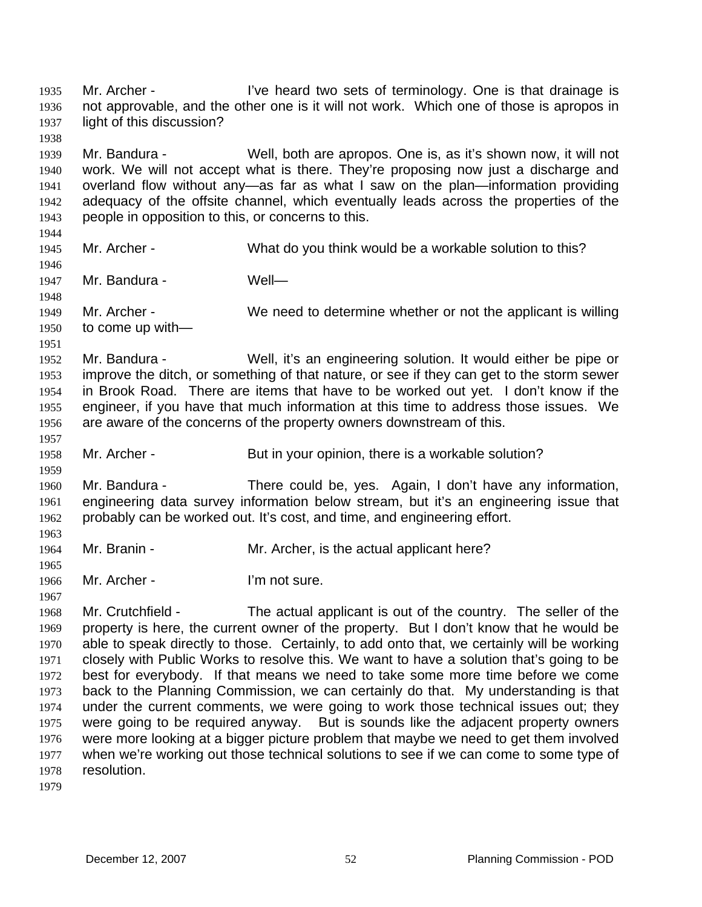Mr. Archer - I've heard two sets of terminology. One is that drainage is not approvable, and the other one is it will not work. Which one of those is apropos in light of this discussion? 1935 1936 1937 1938 1939 1940 1941 1942 1943 1944 1945 1946 1947 1948 1949 1950 1951 1952 1953 1954 1955 1956 1957 1958 1959 1960 1961 1962 1963 1964 1965 1966 1967 1968 1969 1970 1971 1972 1973 1974 1975 1976 1977 1978 1979 Mr. Bandura - Well, both are apropos. One is, as it's shown now, it will not work. We will not accept what is there. They're proposing now just a discharge and overland flow without any—as far as what I saw on the plan—information providing adequacy of the offsite channel, which eventually leads across the properties of the people in opposition to this, or concerns to this. Mr. Archer - What do you think would be a workable solution to this? Mr. Bandura - Well— Mr. Archer - We need to determine whether or not the applicant is willing to come up with— Mr. Bandura - Well, it's an engineering solution. It would either be pipe or improve the ditch, or something of that nature, or see if they can get to the storm sewer in Brook Road. There are items that have to be worked out yet. I don't know if the engineer, if you have that much information at this time to address those issues. We are aware of the concerns of the property owners downstream of this. Mr. Archer - But in your opinion, there is a workable solution? Mr. Bandura - There could be, yes. Again, I don't have any information, engineering data survey information below stream, but it's an engineering issue that probably can be worked out. It's cost, and time, and engineering effort. Mr. Branin - Mr. Archer, is the actual applicant here? Mr. Archer - I'm not sure. Mr. Crutchfield - The actual applicant is out of the country. The seller of the property is here, the current owner of the property. But I don't know that he would be able to speak directly to those. Certainly, to add onto that, we certainly will be working closely with Public Works to resolve this. We want to have a solution that's going to be best for everybody. If that means we need to take some more time before we come back to the Planning Commission, we can certainly do that. My understanding is that under the current comments, we were going to work those technical issues out; they were going to be required anyway. But is sounds like the adjacent property owners were more looking at a bigger picture problem that maybe we need to get them involved when we're working out those technical solutions to see if we can come to some type of resolution.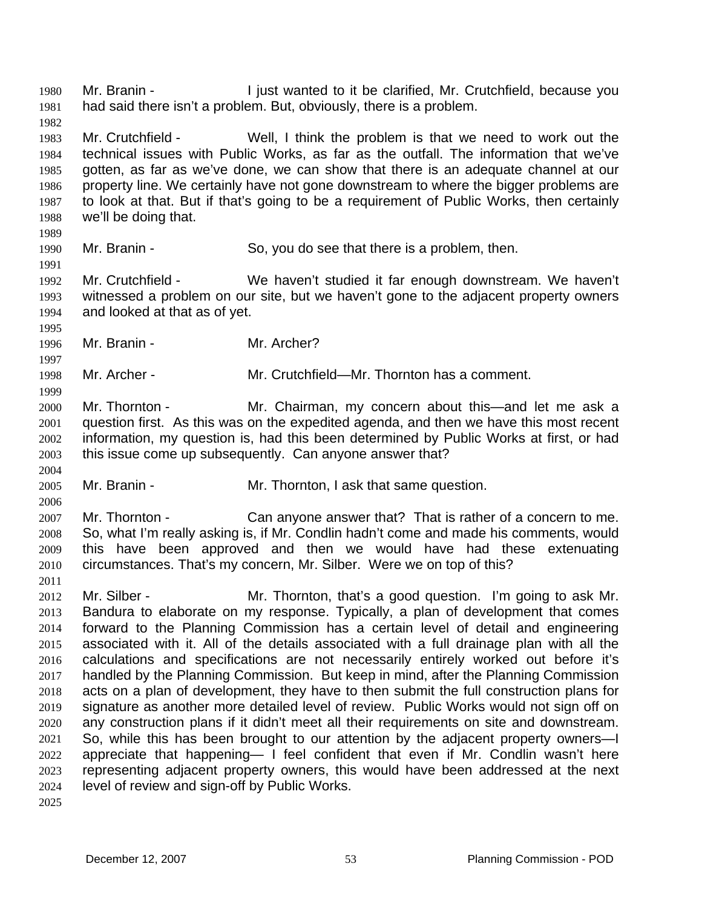Mr. Branin - The I just wanted to it be clarified, Mr. Crutchfield, because you had said there isn't a problem. But, obviously, there is a problem. 1980 1981

1983 1984 1985 1986 1987 1988 Mr. Crutchfield - Well, I think the problem is that we need to work out the technical issues with Public Works, as far as the outfall. The information that we've gotten, as far as we've done, we can show that there is an adequate channel at our property line. We certainly have not gone downstream to where the bigger problems are to look at that. But if that's going to be a requirement of Public Works, then certainly we'll be doing that.

1989

1995

1997

1999

2004

2006

1982

1990 1991

Mr. Branin - So, you do see that there is a problem, then.

1992 1993 1994 Mr. Crutchfield - We haven't studied it far enough downstream. We haven't witnessed a problem on our site, but we haven't gone to the adjacent property owners and looked at that as of yet.

1996 Mr. Branin - Mr. Archer?

1998 Mr. Archer - Mr. Crutchfield—Mr. Thornton has a comment.

2000 2001 2002 2003 Mr. Thornton - Mr. Chairman, my concern about this—and let me ask a question first. As this was on the expedited agenda, and then we have this most recent information, my question is, had this been determined by Public Works at first, or had this issue come up subsequently. Can anyone answer that?

2005 Mr. Branin - Mr. Thornton, I ask that same question.

2007 2008 2009 2010 2011 Mr. Thornton - Can anyone answer that? That is rather of a concern to me. So, what I'm really asking is, if Mr. Condlin hadn't come and made his comments, would this have been approved and then we would have had these extenuating circumstances. That's my concern, Mr. Silber. Were we on top of this?

2012 2013 2014 2015 2016 2017 2018 2019 2020 2021 2022 2023 2024 Mr. Silber - Mr. Thornton, that's a good question. I'm going to ask Mr. Bandura to elaborate on my response. Typically, a plan of development that comes forward to the Planning Commission has a certain level of detail and engineering associated with it. All of the details associated with a full drainage plan with all the calculations and specifications are not necessarily entirely worked out before it's handled by the Planning Commission. But keep in mind, after the Planning Commission acts on a plan of development, they have to then submit the full construction plans for signature as another more detailed level of review. Public Works would not sign off on any construction plans if it didn't meet all their requirements on site and downstream. So, while this has been brought to our attention by the adjacent property owners—I appreciate that happening— I feel confident that even if Mr. Condlin wasn't here representing adjacent property owners, this would have been addressed at the next level of review and sign-off by Public Works.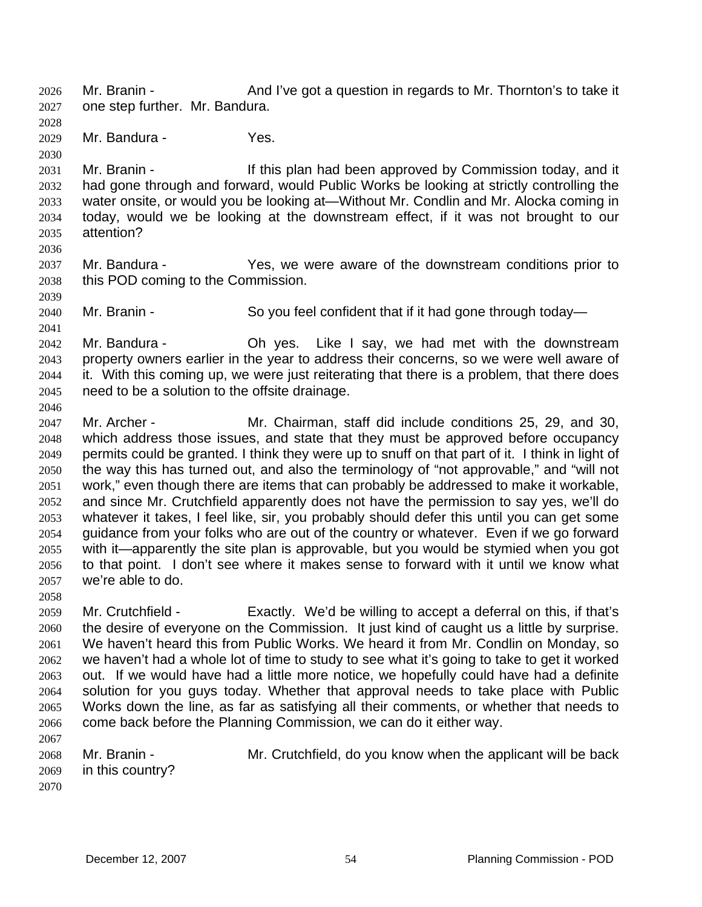Mr. Branin - And I've got a question in regards to Mr. Thornton's to take it one step further. Mr. Bandura. 2026 2027

2028 2029

Mr. Bandura - Yes.

2030

2036

2039

2041

2046

2031 2032 2033 2034 2035 Mr. Branin - If this plan had been approved by Commission today, and it had gone through and forward, would Public Works be looking at strictly controlling the water onsite, or would you be looking at—Without Mr. Condlin and Mr. Alocka coming in today, would we be looking at the downstream effect, if it was not brought to our attention?

- 2037 2038 Mr. Bandura - The Yes, we were aware of the downstream conditions prior to this POD coming to the Commission.
- 2040 Mr. Branin - So you feel confident that if it had gone through today-
- 2042 2043 2044 2045 Mr. Bandura - Ch yes. Like I say, we had met with the downstream property owners earlier in the year to address their concerns, so we were well aware of it. With this coming up, we were just reiterating that there is a problem, that there does need to be a solution to the offsite drainage.
- 2047 2048 2049 2050 2051 2052 2053 2054 2055 2056 2057 Mr. Archer - The Mr. Chairman, staff did include conditions 25, 29, and 30, which address those issues, and state that they must be approved before occupancy permits could be granted. I think they were up to snuff on that part of it. I think in light of the way this has turned out, and also the terminology of "not approvable," and "will not work," even though there are items that can probably be addressed to make it workable, and since Mr. Crutchfield apparently does not have the permission to say yes, we'll do whatever it takes, I feel like, sir, you probably should defer this until you can get some guidance from your folks who are out of the country or whatever. Even if we go forward with it—apparently the site plan is approvable, but you would be stymied when you got to that point. I don't see where it makes sense to forward with it until we know what we're able to do.
- 2058

2059 2060 2061 2062 2063 2064 2065 2066 2067 Mr. Crutchfield - Exactly. We'd be willing to accept a deferral on this, if that's the desire of everyone on the Commission. It just kind of caught us a little by surprise. We haven't heard this from Public Works. We heard it from Mr. Condlin on Monday, so we haven't had a whole lot of time to study to see what it's going to take to get it worked out. If we would have had a little more notice, we hopefully could have had a definite solution for you guys today. Whether that approval needs to take place with Public Works down the line, as far as satisfying all their comments, or whether that needs to come back before the Planning Commission, we can do it either way.

2068 2069 2070 Mr. Branin - **Mr.** Crutchfield, do you know when the applicant will be back in this country?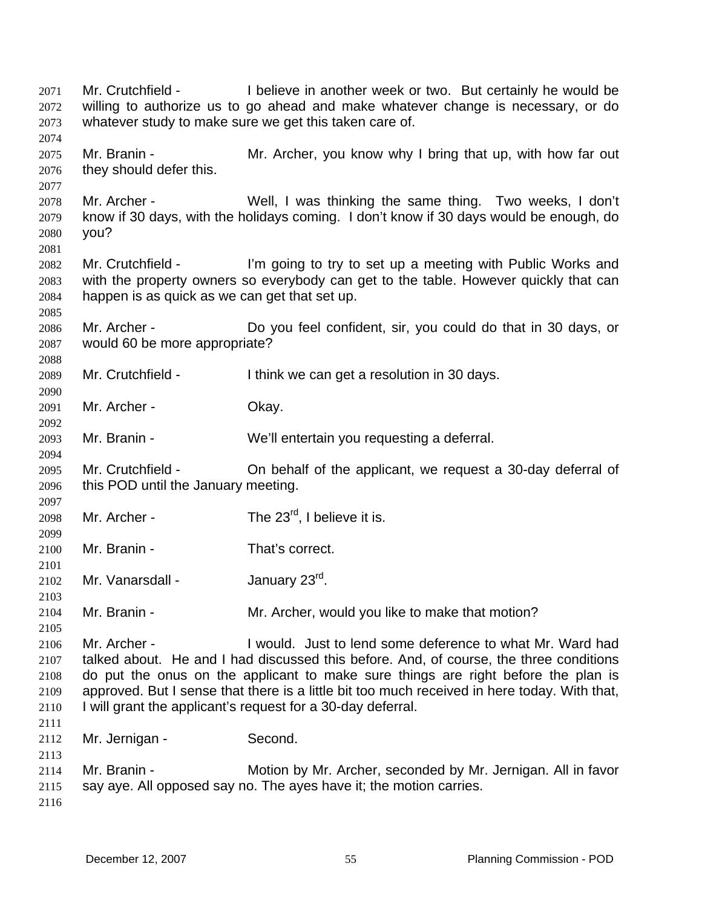Mr. Crutchfield - I believe in another week or two. But certainly he would be willing to authorize us to go ahead and make whatever change is necessary, or do whatever study to make sure we get this taken care of. 2071 2072 2073 2074 2075 2076 2077 2078 2079 2080 2081 2082 2083 2084 2085 2086 2087 2088 2089 2090 2091 2092 2093 2094 2095 2096 2097 2098 2099 2100 2101 2102 2103 2104 2105 2106 2107 2108 2109 2110 2111 2112 2113 2114 2115 2116 Mr. Branin - Mr. Archer, you know why I bring that up, with how far out they should defer this. Mr. Archer - Well, I was thinking the same thing. Two weeks, I don't know if 30 days, with the holidays coming. I don't know if 30 days would be enough, do you? Mr. Crutchfield - I'm going to try to set up a meeting with Public Works and with the property owners so everybody can get to the table. However quickly that can happen is as quick as we can get that set up. Mr. Archer - Do you feel confident, sir, you could do that in 30 days, or would 60 be more appropriate? Mr. Crutchfield - I think we can get a resolution in 30 days. Mr. Archer - Ckay. Mr. Branin - We'll entertain you requesting a deferral. Mr. Crutchfield - On behalf of the applicant, we request a 30-day deferral of this POD until the January meeting. Mr. Archer -  $\qquad \qquad$  The 23<sup>rd</sup>, I believe it is. Mr. Branin - That's correct. Mr. Vanarsdall - January 23<sup>rd</sup>. Mr. Branin - Mr. Archer, would you like to make that motion? Mr. Archer - I would. Just to lend some deference to what Mr. Ward had talked about. He and I had discussed this before. And, of course, the three conditions do put the onus on the applicant to make sure things are right before the plan is approved. But I sense that there is a little bit too much received in here today. With that, I will grant the applicant's request for a 30-day deferral. Mr. Jernigan - Second. Mr. Branin - Motion by Mr. Archer, seconded by Mr. Jernigan. All in favor say aye. All opposed say no. The ayes have it; the motion carries.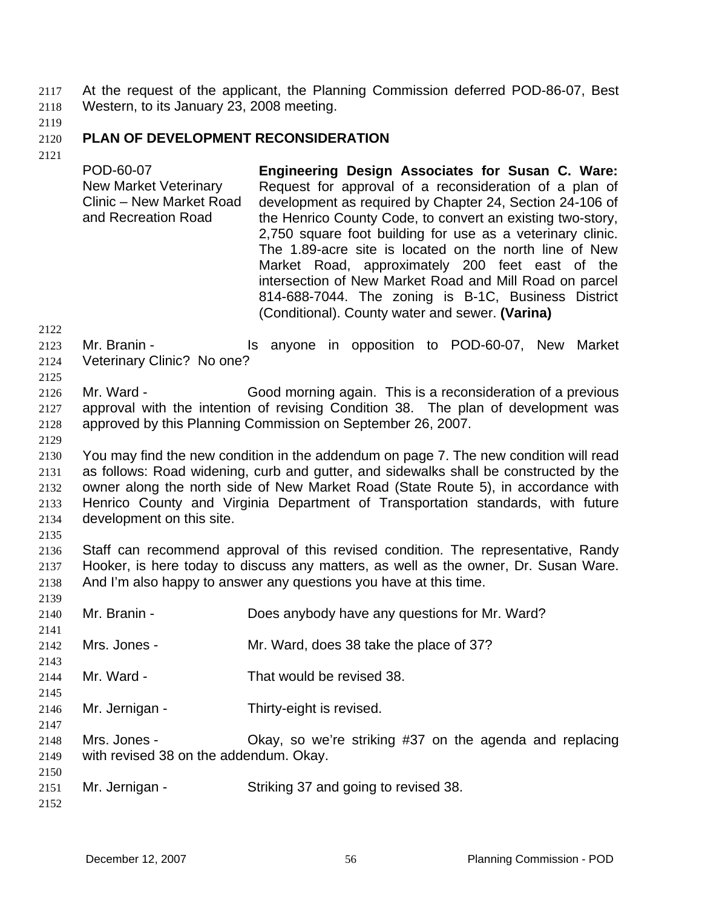At the request of the applicant, the Planning Commission deferred POD-86-07, Best Western, to its January 23, 2008 meeting. 2117 2118

2119

#### 2120 **PLAN OF DEVELOPMENT RECONSIDERATION**

2121

POD-60-07 New Market Veterinary Clinic – New Market Road and Recreation Road **Engineering Design Associates for Susan C. Ware:**  Request for approval of a reconsideration of a plan of development as required by Chapter 24, Section 24-106 of the Henrico County Code, to convert an existing two-story, 2,750 square foot building for use as a veterinary clinic. The 1.89-acre site is located on the north line of New Market Road, approximately 200 feet east of the intersection of New Market Road and Mill Road on parcel 814-688-7044. The zoning is B-1C, Business District (Conditional). County water and sewer. **(Varina)** 

2122

2125

2123 2124 Mr. Branin - The State of the anyone in opposition to POD-60-07, New Market Veterinary Clinic? No one?

2126 2127 2128 Mr. Ward - Good morning again. This is a reconsideration of a previous approval with the intention of revising Condition 38. The plan of development was approved by this Planning Commission on September 26, 2007.

2129

2130 2131 2132 2133 2134 You may find the new condition in the addendum on page 7. The new condition will read as follows: Road widening, curb and gutter, and sidewalks shall be constructed by the owner along the north side of New Market Road (State Route 5), in accordance with Henrico County and Virginia Department of Transportation standards, with future development on this site.

2135

2136 2137 2138 Staff can recommend approval of this revised condition. The representative, Randy Hooker, is here today to discuss any matters, as well as the owner, Dr. Susan Ware. And I'm also happy to answer any questions you have at this time.

2139 2140 2141 2142 2143 2144 2145 2146 2147 2148 2149 2150 2151 2152 Mr. Branin - **Does anybody have any questions for Mr. Ward?** Mrs. Jones - Mr. Ward, does 38 take the place of 37? Mr. Ward - That would be revised 38. Mr. Jernigan - Thirty-eight is revised. Mrs. Jones - Ckay, so we're striking #37 on the agenda and replacing with revised 38 on the addendum. Okay. Mr. Jernigan - Striking 37 and going to revised 38.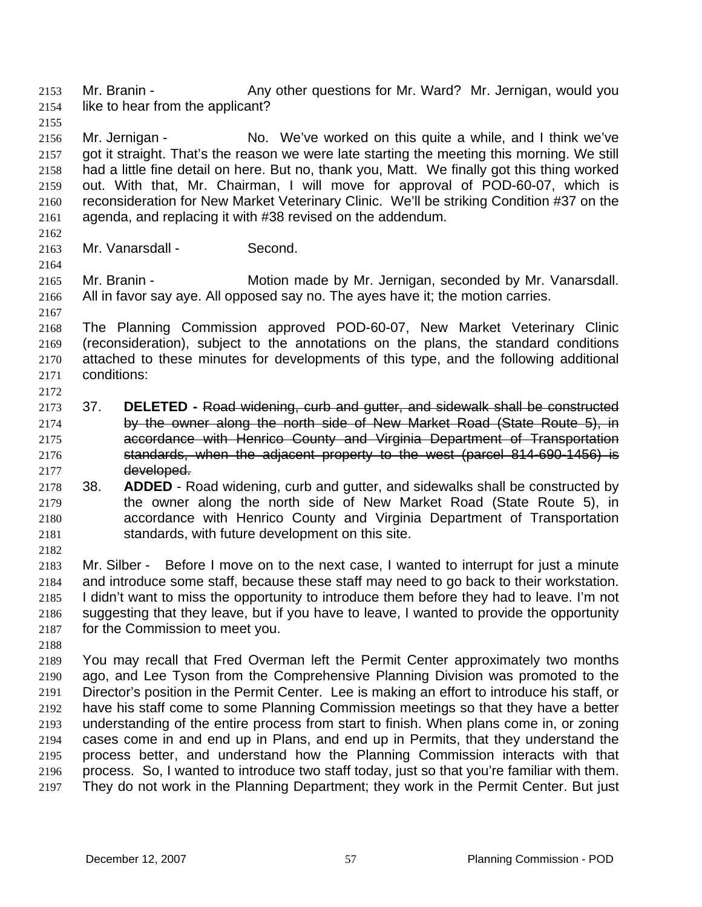Mr. Branin - Any other questions for Mr. Ward? Mr. Jernigan, would you like to hear from the applicant? 2153 2154

2155

2156 2157 2158 2159 2160 2161 Mr. Jernigan - No. We've worked on this quite a while, and I think we've got it straight. That's the reason we were late starting the meeting this morning. We still had a little fine detail on here. But no, thank you, Matt. We finally got this thing worked out. With that, Mr. Chairman, I will move for approval of POD-60-07, which is reconsideration for New Market Veterinary Clinic. We'll be striking Condition #37 on the agenda, and replacing it with #38 revised on the addendum.

- 2162 2163
- Mr. Vanarsdall Second.
- 2164

2167

2172

- 2165 2166 Mr. Branin - **Motion made by Mr. Jernigan, seconded by Mr. Vanarsdall.** All in favor say aye. All opposed say no. The ayes have it; the motion carries.
- 2168 2169 2170 2171 The Planning Commission approved POD-60-07, New Market Veterinary Clinic (reconsideration), subject to the annotations on the plans, the standard conditions attached to these minutes for developments of this type, and the following additional conditions:
- 2173 37. **DELETED -** Road widening, curb and gutter, and sidewalk shall be constructed 2174 by the owner along the north side of New Market Road (State Route 5), in 2175 accordance with Henrico County and Virginia Department of Transportation 2176 standards, when the adjacent property to the west (parcel 814-690-1456) is 2177 developed.
- 2178 2179 2180 2181 38. **ADDED** - Road widening, curb and gutter, and sidewalks shall be constructed by the owner along the north side of New Market Road (State Route 5), in accordance with Henrico County and Virginia Department of Transportation standards, with future development on this site.
- 2182

2183 2184 2185 2186 2187 Mr. Silber - Before I move on to the next case, I wanted to interrupt for just a minute and introduce some staff, because these staff may need to go back to their workstation. I didn't want to miss the opportunity to introduce them before they had to leave. I'm not suggesting that they leave, but if you have to leave, I wanted to provide the opportunity for the Commission to meet you.

2188

2189 2190 2191 2192 2193 2194 2195 2196 2197 You may recall that Fred Overman left the Permit Center approximately two months ago, and Lee Tyson from the Comprehensive Planning Division was promoted to the Director's position in the Permit Center. Lee is making an effort to introduce his staff, or have his staff come to some Planning Commission meetings so that they have a better understanding of the entire process from start to finish. When plans come in, or zoning cases come in and end up in Plans, and end up in Permits, that they understand the process better, and understand how the Planning Commission interacts with that process. So, I wanted to introduce two staff today, just so that you're familiar with them. They do not work in the Planning Department; they work in the Permit Center. But just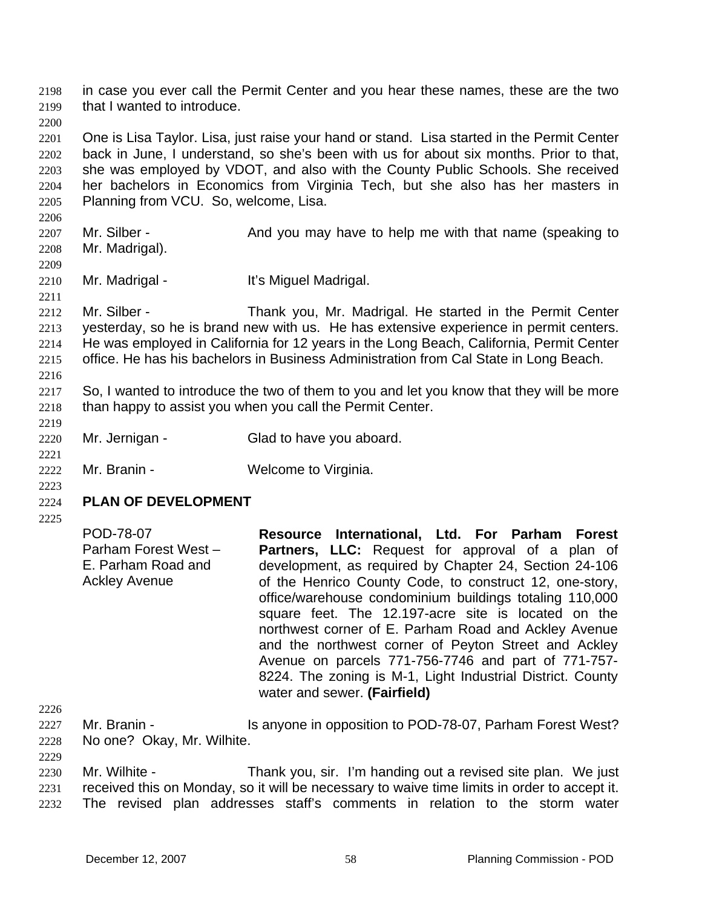in case you ever call the Permit Center and you hear these names, these are the two that I wanted to introduce. 2198 2199

2201 2202 2203 2204 2205 One is Lisa Taylor. Lisa, just raise your hand or stand. Lisa started in the Permit Center back in June, I understand, so she's been with us for about six months. Prior to that, she was employed by VDOT, and also with the County Public Schools. She received her bachelors in Economics from Virginia Tech, but she also has her masters in Planning from VCU. So, welcome, Lisa.

- 2207 2208 Mr. Silber - And you may have to help me with that name (speaking to Mr. Madrigal).
- 2210 Mr. Madrigal - The Miguel Madrigal.
- 2212 2213 2214 2215 Mr. Silber - Thank you, Mr. Madrigal. He started in the Permit Center yesterday, so he is brand new with us. He has extensive experience in permit centers. He was employed in California for 12 years in the Long Beach, California, Permit Center office. He has his bachelors in Business Administration from Cal State in Long Beach.
- 2217 2218 So, I wanted to introduce the two of them to you and let you know that they will be more than happy to assist you when you call the Permit Center.
- 2220 Mr. Jernigan - Glad to have you aboard.
- 2222 Mr. Branin - **Welcome to Virginia.**
- 2224 **PLAN OF DEVELOPMENT**
- 2225

2223

2200

2206

2209

2211

2216

2219

2221

| POD-78-07            | Resource International, Ltd. For Parham Forest                                             |
|----------------------|--------------------------------------------------------------------------------------------|
| Parham Forest West - | Partners, LLC: Request for approval of a plan of                                           |
| E. Parham Road and   | development, as required by Chapter 24, Section 24-106                                     |
| <b>Ackley Avenue</b> | of the Henrico County Code, to construct 12, one-story,                                    |
|                      | office/warehouse condominium buildings totaling 110,000                                    |
|                      | square feet. The 12.197-acre site is located on the                                        |
|                      | northwest corner of E. Parham Road and Ackley Avenue                                       |
|                      | and the northwest corner of Peyton Street and Ackley                                       |
|                      | Avenue on parcels 771-756-7746 and part of 771-757-                                        |
|                      | 8224. The zoning is M-1, Light Industrial District. County<br>water and sewer. (Fairfield) |

2226

2229

2230 2231 2232 Mr. Wilhite - Thank you, sir. I'm handing out a revised site plan. We just received this on Monday, so it will be necessary to waive time limits in order to accept it. The revised plan addresses staff's comments in relation to the storm water

<sup>2227</sup>  2228 Mr. Branin - Is anyone in opposition to POD-78-07, Parham Forest West? No one? Okay, Mr. Wilhite.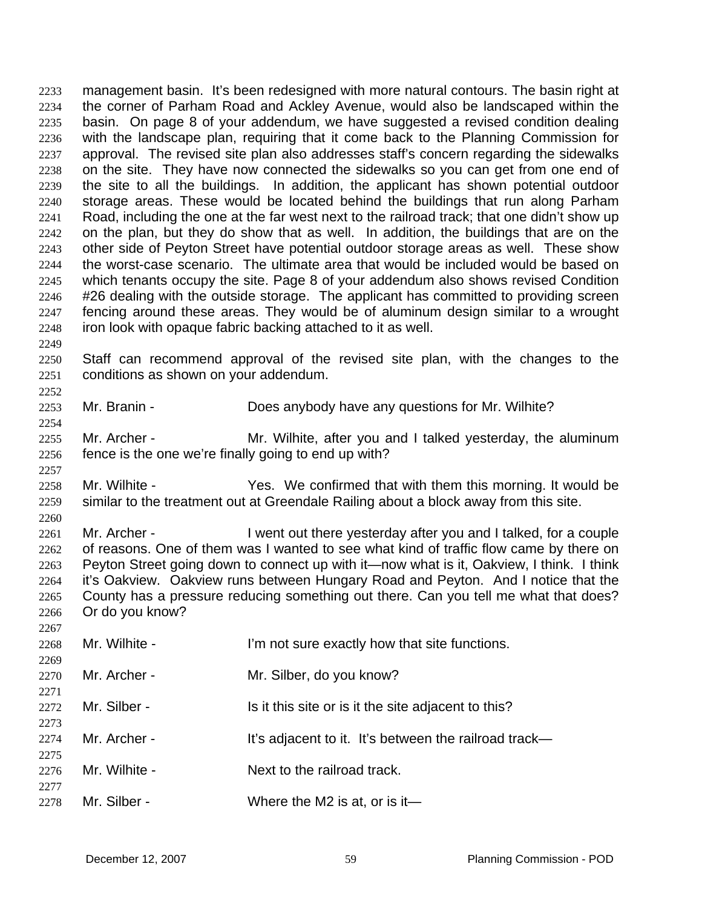management basin. It's been redesigned with more natural contours. The basin right at the corner of Parham Road and Ackley Avenue, would also be landscaped within the basin. On page 8 of your addendum, we have suggested a revised condition dealing with the landscape plan, requiring that it come back to the Planning Commission for approval. The revised site plan also addresses staff's concern regarding the sidewalks on the site. They have now connected the sidewalks so you can get from one end of the site to all the buildings. In addition, the applicant has shown potential outdoor storage areas. These would be located behind the buildings that run along Parham Road, including the one at the far west next to the railroad track; that one didn't show up on the plan, but they do show that as well. In addition, the buildings that are on the other side of Peyton Street have potential outdoor storage areas as well. These show the worst-case scenario. The ultimate area that would be included would be based on which tenants occupy the site. Page 8 of your addendum also shows revised Condition #26 dealing with the outside storage. The applicant has committed to providing screen fencing around these areas. They would be of aluminum design similar to a wrought iron look with opaque fabric backing attached to it as well. 2233 2234 2235 2236 2237 2238 2239 2240 2241 2242 2243 2244 2245 2246 2247 2248

2249

2252

2254

2257

2267

2250 2251 Staff can recommend approval of the revised site plan, with the changes to the conditions as shown on your addendum.

- 2253 Mr. Branin - **Does anybody have any questions for Mr. Wilhite?**
- 2255 2256 Mr. Archer - Mr. Wilhite, after you and I talked yesterday, the aluminum fence is the one we're finally going to end up with?
- 2258 2259 2260 Mr. Wilhite - Yes. We confirmed that with them this morning. It would be similar to the treatment out at Greendale Railing about a block away from this site.
- 2261 2262 2263 2264 2265 2266 Mr. Archer - I went out there yesterday after you and I talked, for a couple of reasons. One of them was I wanted to see what kind of traffic flow came by there on Peyton Street going down to connect up with it—now what is it, Oakview, I think. I think it's Oakview. Oakview runs between Hungary Road and Peyton. And I notice that the County has a pressure reducing something out there. Can you tell me what that does? Or do you know?

| 2268 | Mr. Wilhite - | I'm not sure exactly how that site functions.         |
|------|---------------|-------------------------------------------------------|
| 2269 |               |                                                       |
|      |               |                                                       |
| 2270 | Mr. Archer -  | Mr. Silber, do you know?                              |
| 2271 |               |                                                       |
| 2272 | Mr. Silber -  | Is it this site or is it the site adjacent to this?   |
|      |               |                                                       |
| 2273 |               |                                                       |
| 2274 | Mr. Archer -  | It's adjacent to it. It's between the railroad track— |
| 2275 |               |                                                       |
|      |               |                                                       |
| 2276 | Mr. Wilhite - | Next to the railroad track.                           |
| 2277 |               |                                                       |
|      |               |                                                       |
| 2278 | Mr. Silber -  | Where the M2 is at, or is it-                         |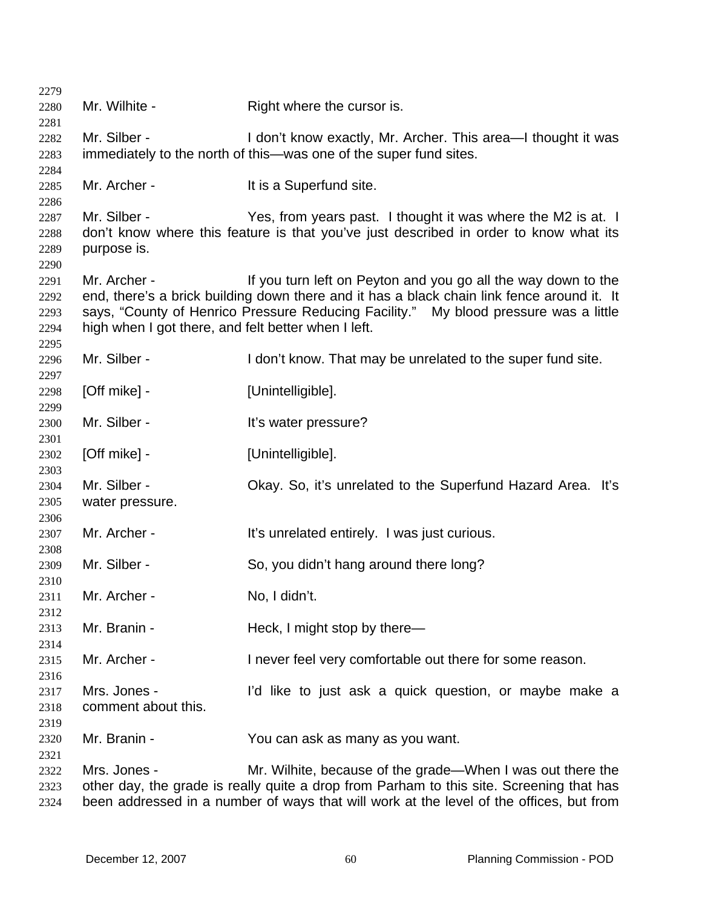| 2279         |                                                     |                                                                                            |
|--------------|-----------------------------------------------------|--------------------------------------------------------------------------------------------|
| 2280<br>2281 | Mr. Wilhite -                                       | Right where the cursor is.                                                                 |
| 2282         | Mr. Silber -                                        | I don't know exactly, Mr. Archer. This area—I thought it was                               |
| 2283         |                                                     | immediately to the north of this—was one of the super fund sites.                          |
| 2284         |                                                     |                                                                                            |
| 2285         | Mr. Archer -                                        | It is a Superfund site.                                                                    |
| 2286         |                                                     |                                                                                            |
| 2287         | Mr. Silber -                                        | Yes, from years past. I thought it was where the M2 is at. I                               |
| 2288         |                                                     | don't know where this feature is that you've just described in order to know what its      |
| 2289         | purpose is.                                         |                                                                                            |
| 2290         |                                                     |                                                                                            |
| 2291         | Mr. Archer -                                        | If you turn left on Peyton and you go all the way down to the                              |
| 2292         |                                                     | end, there's a brick building down there and it has a black chain link fence around it. It |
| 2293         |                                                     | says, "County of Henrico Pressure Reducing Facility." My blood pressure was a little       |
| 2294         | high when I got there, and felt better when I left. |                                                                                            |
| 2295         | Mr. Silber -                                        |                                                                                            |
| 2296         |                                                     | I don't know. That may be unrelated to the super fund site.                                |
| 2297<br>2298 | [Off mike] -                                        | [Unintelligible].                                                                          |
| 2299         |                                                     |                                                                                            |
| 2300         | Mr. Silber -                                        | It's water pressure?                                                                       |
| 2301         |                                                     |                                                                                            |
| 2302         | [Off mike] -                                        | [Unintelligible].                                                                          |
| 2303         |                                                     |                                                                                            |
| 2304         | Mr. Silber -                                        | Okay. So, it's unrelated to the Superfund Hazard Area. It's                                |
| 2305         | water pressure.                                     |                                                                                            |
| 2306         |                                                     |                                                                                            |
| 2307         | Mr. Archer -                                        | It's unrelated entirely. I was just curious.                                               |
| 2308         |                                                     |                                                                                            |
| 2309         | Mr. Silber -                                        | So, you didn't hang around there long?                                                     |
| 2310<br>2311 | Mr. Archer -                                        | No, I didn't.                                                                              |
| 2312         |                                                     |                                                                                            |
| 2313         | Mr. Branin -                                        | Heck, I might stop by there-                                                               |
| 2314         |                                                     |                                                                                            |
| 2315         | Mr. Archer -                                        | I never feel very comfortable out there for some reason.                                   |
| 2316         |                                                     |                                                                                            |
| 2317         | Mrs. Jones -                                        | I'd like to just ask a quick question, or maybe make a                                     |
| 2318         | comment about this.                                 |                                                                                            |
| 2319         |                                                     |                                                                                            |
| 2320         | Mr. Branin -                                        | You can ask as many as you want.                                                           |
| 2321         |                                                     |                                                                                            |
| 2322         | Mrs. Jones -                                        | Mr. Wilhite, because of the grade—When I was out there the                                 |
| 2323         |                                                     | other day, the grade is really quite a drop from Parham to this site. Screening that has   |
| 2324         |                                                     | been addressed in a number of ways that will work at the level of the offices, but from    |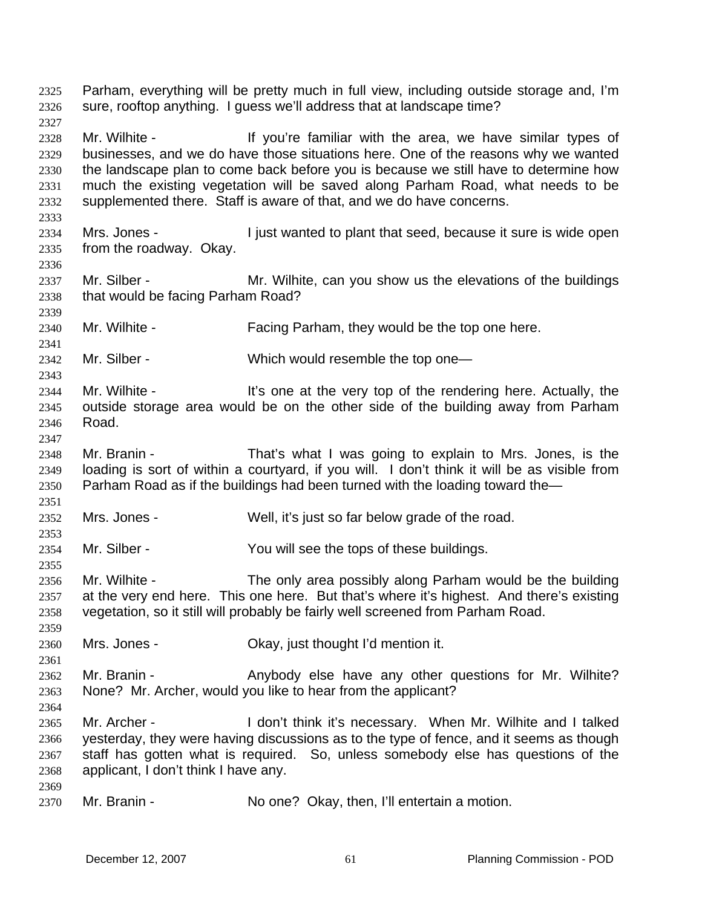Parham, everything will be pretty much in full view, including outside storage and, I'm sure, rooftop anything. I guess we'll address that at landscape time? 2325 2326 2327 2328 2329 2330 2331 2332 2333 2334 2335 2336 2337 2338 2339 2340 2341 2342 2343 2344 2345 2346 2347 2348 2349 2350 2351 2352 2353 2354 2355 2356 2357 2358 2359 2360 2361 2362 2363 2364 2365 2366 2367 2368 2369 2370 Mr. Wilhite - The Muslim of the voulter familiar with the area, we have similar types of businesses, and we do have those situations here. One of the reasons why we wanted the landscape plan to come back before you is because we still have to determine how much the existing vegetation will be saved along Parham Road, what needs to be supplemented there. Staff is aware of that, and we do have concerns. Mrs. Jones - I just wanted to plant that seed, because it sure is wide open from the roadway. Okay. Mr. Silber - Mr. Wilhite, can you show us the elevations of the buildings that would be facing Parham Road? Mr. Wilhite - Facing Parham, they would be the top one here. Mr. Silber - Which would resemble the top one-Mr. Wilhite - It's one at the very top of the rendering here. Actually, the outside storage area would be on the other side of the building away from Parham Road. Mr. Branin - That's what I was going to explain to Mrs. Jones, is the loading is sort of within a courtyard, if you will. I don't think it will be as visible from Parham Road as if the buildings had been turned with the loading toward the— Mrs. Jones - Well, it's just so far below grade of the road. Mr. Silber - You will see the tops of these buildings. Mr. Wilhite - The only area possibly along Parham would be the building at the very end here. This one here. But that's where it's highest. And there's existing vegetation, so it still will probably be fairly well screened from Parham Road. Mrs. Jones - Ckay, just thought I'd mention it. Mr. Branin - The Anybody else have any other questions for Mr. Wilhite? None? Mr. Archer, would you like to hear from the applicant? Mr. Archer - **I** don't think it's necessary. When Mr. Wilhite and I talked yesterday, they were having discussions as to the type of fence, and it seems as though staff has gotten what is required. So, unless somebody else has questions of the applicant, I don't think I have any. Mr. Branin - No one? Okay, then, I'll entertain a motion.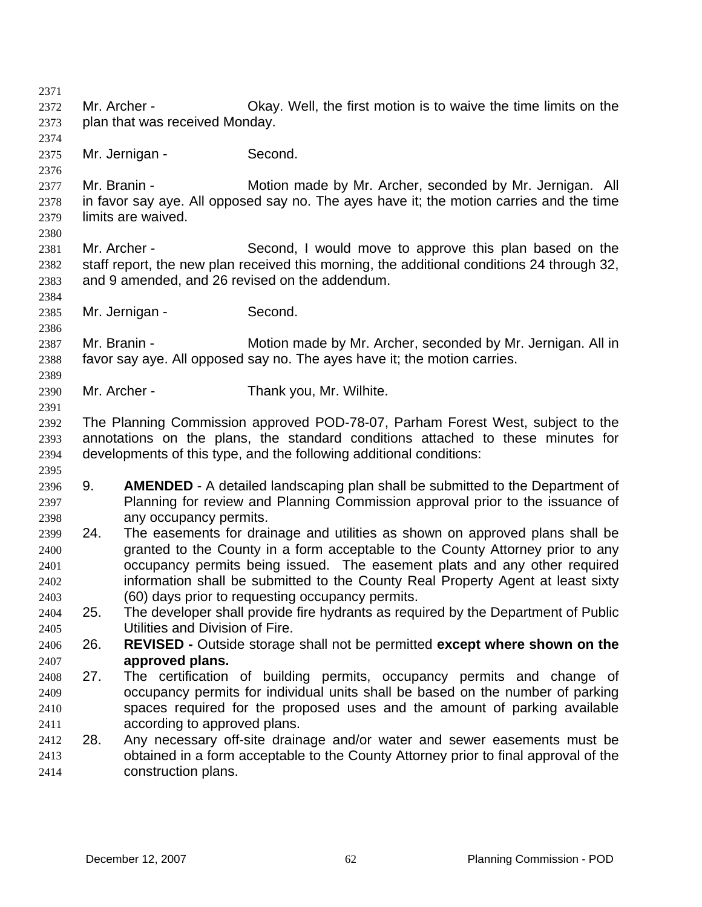2371 2372 2373 2374 2375 2376 2377 2378 2379 2380 2381 2382 2383 2384 2385 2386 2387 2388 2389 2390 2391 2392 2393 2394 2395 2396 2397 2398 2399 2400 2401 2402 2403 2404 2405 2406 2407 2408 2409 2410 2411 2412 2413 2414 Mr. Archer - Okay. Well, the first motion is to waive the time limits on the plan that was received Monday. Mr. Jernigan - Second. Mr. Branin - Motion made by Mr. Archer, seconded by Mr. Jernigan. All in favor say aye. All opposed say no. The ayes have it; the motion carries and the time limits are waived. Mr. Archer - Second, I would move to approve this plan based on the staff report, the new plan received this morning, the additional conditions 24 through 32, and 9 amended, and 26 revised on the addendum. Mr. Jernigan - Second. Mr. Branin - Motion made by Mr. Archer, seconded by Mr. Jernigan. All in favor say aye. All opposed say no. The ayes have it; the motion carries. Mr. Archer - Thank you, Mr. Wilhite. The Planning Commission approved POD-78-07, Parham Forest West, subject to the annotations on the plans, the standard conditions attached to these minutes for developments of this type, and the following additional conditions: 9. **AMENDED** - A detailed landscaping plan shall be submitted to the Department of Planning for review and Planning Commission approval prior to the issuance of any occupancy permits. 24. The easements for drainage and utilities as shown on approved plans shall be granted to the County in a form acceptable to the County Attorney prior to any occupancy permits being issued. The easement plats and any other required information shall be submitted to the County Real Property Agent at least sixty (60) days prior to requesting occupancy permits. 25. The developer shall provide fire hydrants as required by the Department of Public Utilities and Division of Fire. 26. **REVISED -** Outside storage shall not be permitted **except where shown on the approved plans.** 27. The certification of building permits, occupancy permits and change of occupancy permits for individual units shall be based on the number of parking spaces required for the proposed uses and the amount of parking available according to approved plans. 28. Any necessary off-site drainage and/or water and sewer easements must be obtained in a form acceptable to the County Attorney prior to final approval of the construction plans.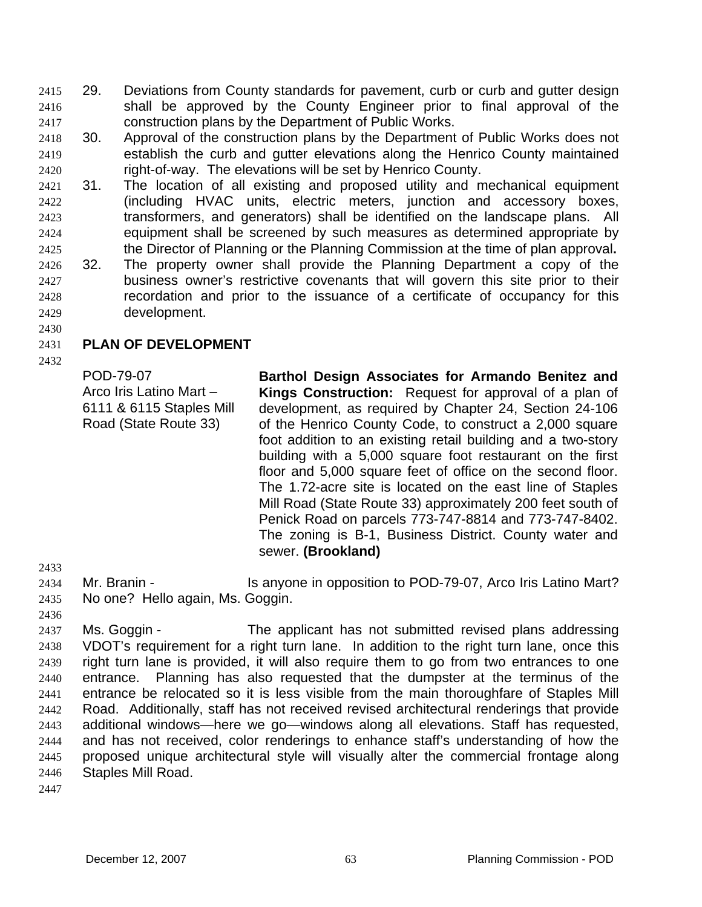29. Deviations from County standards for pavement, curb or curb and gutter design shall be approved by the County Engineer prior to final approval of the construction plans by the Department of Public Works. 2415 2416 2417

- 2418 2419 2420 30. Approval of the construction plans by the Department of Public Works does not establish the curb and gutter elevations along the Henrico County maintained right-of-way. The elevations will be set by Henrico County.
- 2421 2422 2423 2424 2425 2426 2427 31. The location of all existing and proposed utility and mechanical equipment (including HVAC units, electric meters, junction and accessory boxes, transformers, and generators) shall be identified on the landscape plans. All equipment shall be screened by such measures as determined appropriate by the Director of Planning or the Planning Commission at the time of plan approval**.**  32. The property owner shall provide the Planning Department a copy of the business owner's restrictive covenants that will govern this site prior to their
- 2428 2429 recordation and prior to the issuance of a certificate of occupancy for this development.
- 2430

#### 2431 **PLAN OF DEVELOPMENT**

2432

POD-79-07 Arco Iris Latino Mart – 6111 & 6115 Staples Mill Road (State Route 33)

**Barthol Design Associates for Armando Benitez and Kings Construction:** Request for approval of a plan of development, as required by Chapter 24, Section 24-106 of the Henrico County Code, to construct a 2,000 square foot addition to an existing retail building and a two-story building with a 5,000 square foot restaurant on the first floor and 5,000 square feet of office on the second floor. The 1.72-acre site is located on the east line of Staples Mill Road (State Route 33) approximately 200 feet south of Penick Road on parcels 773-747-8814 and 773-747-8402. The zoning is B-1, Business District. County water and sewer. **(Brookland)** 

2433

2434 2435 Mr. Branin - The Is anyone in opposition to POD-79-07, Arco Iris Latino Mart? No one? Hello again, Ms. Goggin.

2436

2437 2438 2439 2440 2441 2442 2443 2444 2445 2446 Ms. Goggin - The applicant has not submitted revised plans addressing VDOT's requirement for a right turn lane. In addition to the right turn lane, once this right turn lane is provided, it will also require them to go from two entrances to one entrance. Planning has also requested that the dumpster at the terminus of the entrance be relocated so it is less visible from the main thoroughfare of Staples Mill Road. Additionally, staff has not received revised architectural renderings that provide additional windows—here we go—windows along all elevations. Staff has requested, and has not received, color renderings to enhance staff's understanding of how the proposed unique architectural style will visually alter the commercial frontage along Staples Mill Road.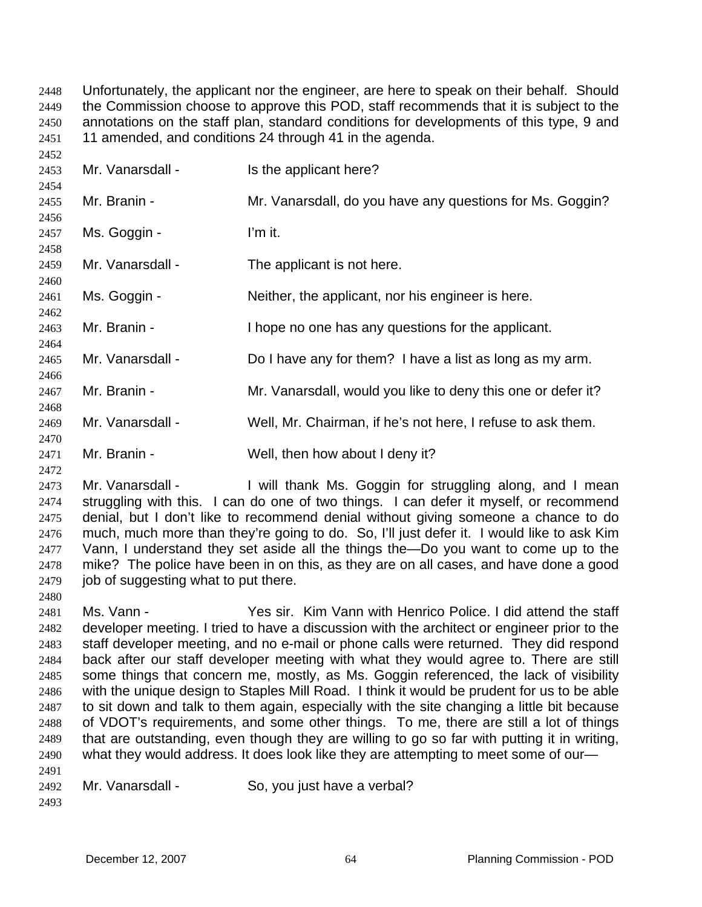Unfortunately, the applicant nor the engineer, are here to speak on their behalf. Should the Commission choose to approve this POD, staff recommends that it is subject to the annotations on the staff plan, standard conditions for developments of this type, 9 and 11 amended, and conditions 24 through 41 in the agenda. 2448 2449 2450 2451

| 2453         | Mr. Vanarsdall - | Is the applicant here?                                       |
|--------------|------------------|--------------------------------------------------------------|
| 2454<br>2455 | Mr. Branin -     | Mr. Vanarsdall, do you have any questions for Ms. Goggin?    |
| 2456<br>2457 | Ms. Goggin -     | I'm it.                                                      |
| 2458<br>2459 | Mr. Vanarsdall - | The applicant is not here.                                   |
| 2460<br>2461 | Ms. Goggin -     | Neither, the applicant, nor his engineer is here.            |
| 2462<br>2463 | Mr. Branin -     | I hope no one has any questions for the applicant.           |
| 2464<br>2465 | Mr. Vanarsdall - | Do I have any for them? I have a list as long as my arm.     |
| 2466<br>2467 | Mr. Branin -     | Mr. Vanarsdall, would you like to deny this one or defer it? |
| 2468<br>2469 | Mr. Vanarsdall - | Well, Mr. Chairman, if he's not here, I refuse to ask them.  |
| 2470<br>2471 | Mr. Branin -     | Well, then how about I deny it?                              |

2473 2474 2475 2476 2477 2478 2479 Mr. Vanarsdall - I will thank Ms. Goggin for struggling along, and I mean struggling with this. I can do one of two things. I can defer it myself, or recommend denial, but I don't like to recommend denial without giving someone a chance to do much, much more than they're going to do. So, I'll just defer it. I would like to ask Kim Vann, I understand they set aside all the things the—Do you want to come up to the mike? The police have been in on this, as they are on all cases, and have done a good job of suggesting what to put there.

2480 2481 2482 2483 2484 2485 2486 2487 2488 2489 2490 2491 Ms. Vann - Yes sir. Kim Vann with Henrico Police. I did attend the staff developer meeting. I tried to have a discussion with the architect or engineer prior to the staff developer meeting, and no e-mail or phone calls were returned. They did respond back after our staff developer meeting with what they would agree to. There are still some things that concern me, mostly, as Ms. Goggin referenced, the lack of visibility with the unique design to Staples Mill Road. I think it would be prudent for us to be able to sit down and talk to them again, especially with the site changing a little bit because of VDOT's requirements, and some other things. To me, there are still a lot of things that are outstanding, even though they are willing to go so far with putting it in writing, what they would address. It does look like they are attempting to meet some of our-

2492 Mr. Vanarsdall - So, you just have a verbal?

2493

 $2452$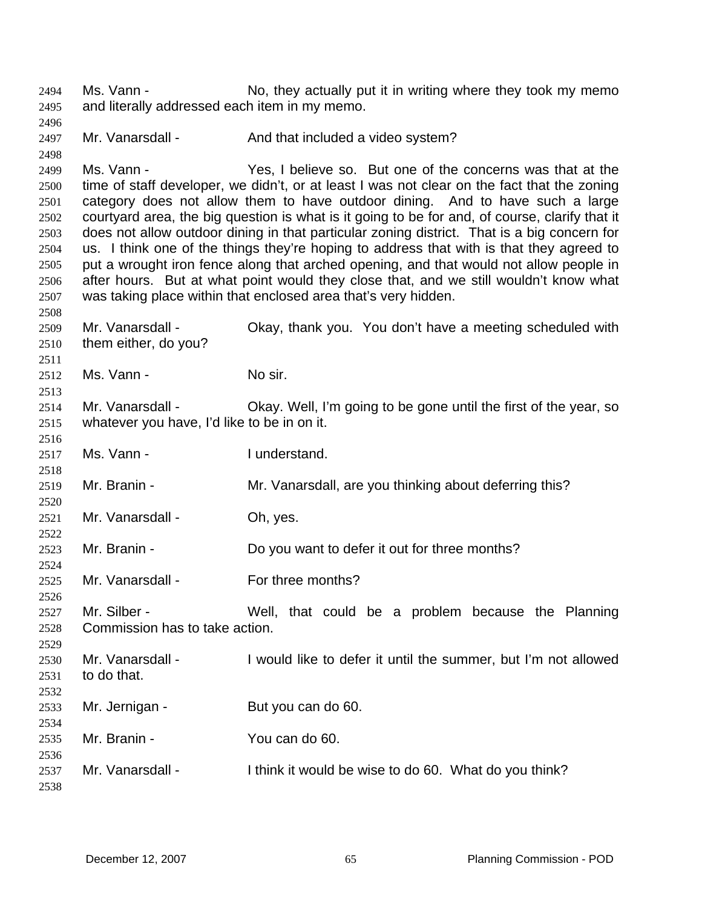Ms. Vann - No, they actually put it in writing where they took my memo and literally addressed each item in my memo. 2494 2495

2497 Mr. Vanarsdall - And that included a video system?

2499 2500 2501 2502 2503 2504 2505 2506 2507 Ms. Vann - Yes, I believe so. But one of the concerns was that at the time of staff developer, we didn't, or at least I was not clear on the fact that the zoning category does not allow them to have outdoor dining. And to have such a large courtyard area, the big question is what is it going to be for and, of course, clarify that it does not allow outdoor dining in that particular zoning district. That is a big concern for us. I think one of the things they're hoping to address that with is that they agreed to put a wrought iron fence along that arched opening, and that would not allow people in after hours. But at what point would they close that, and we still wouldn't know what was taking place within that enclosed area that's very hidden.

2509 2510 Mr. Vanarsdall - Chay, thank you. You don't have a meeting scheduled with them either, do you?

2512 Ms. Vann - No sir.

2496

2498

2508

2511

2513

2516

2520

2522

2524

2526

2529

2538

2514 2515 Mr. Vanarsdall - Okay. Well, I'm going to be gone until the first of the year, so whatever you have, I'd like to be in on it.

2517 2518 Ms. Vann - **I** understand.

2519 Mr. Branin - Mr. Vanarsdall, are you thinking about deferring this?

2521 Mr. Vanarsdall - Oh, yes.

2523 Mr. Branin - Do you want to defer it out for three months?

2525 Mr. Vanarsdall - For three months?

2527 2528 Mr. Silber - The Well, that could be a problem because the Planning Commission has to take action.

2530 2531 2532 2533 2534 2535 2536 2537 Mr. Vanarsdall - I would like to defer it until the summer, but I'm not allowed to do that. Mr. Jernigan - But you can do 60. Mr. Branin - You can do 60. Mr. Vanarsdall - I think it would be wise to do 60. What do you think?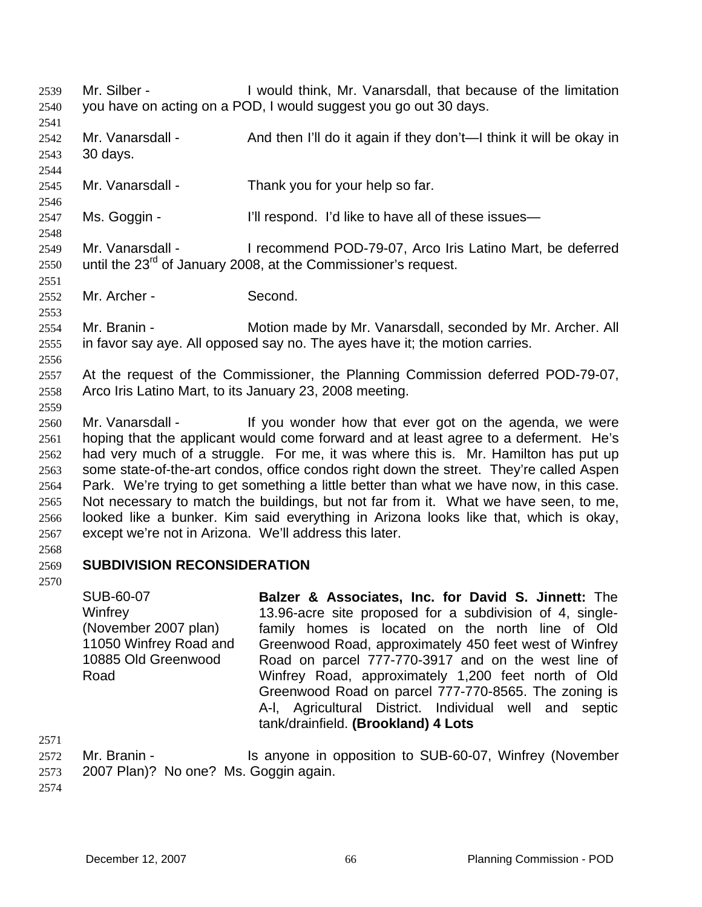- Mr. Silber I would think, Mr. Vanarsdall, that because of the limitation you have on acting on a POD, I would suggest you go out 30 days. 2539 2540 2541 2542 2543 2544 2545 2546 2547 2548 2549 2550 2551 2552 2553 2554 2555 2556 2557 2558 2559 2560 2561 2562 2563 2564 2565 2566 2567 2568 2569 2570 Mr. Vanarsdall - And then I'll do it again if they don't—I think it will be okay in 30 days. Mr. Vanarsdall - Thank you for your help so far. Ms. Goggin - I'll respond. I'd like to have all of these issues— Mr. Vanarsdall - I recommend POD-79-07, Arco Iris Latino Mart, be deferred until the  $23<sup>rd</sup>$  of January 2008, at the Commissioner's request. Mr. Archer - Second. Mr. Branin - **Motion made by Mr. Vanarsdall, seconded by Mr. Archer. All** in favor say aye. All opposed say no. The ayes have it; the motion carries. At the request of the Commissioner, the Planning Commission deferred POD-79-07, Arco Iris Latino Mart, to its January 23, 2008 meeting. Mr. Vanarsdall - If you wonder how that ever got on the agenda, we were hoping that the applicant would come forward and at least agree to a deferment. He's had very much of a struggle. For me, it was where this is. Mr. Hamilton has put up some state-of-the-art condos, office condos right down the street. They're called Aspen Park. We're trying to get something a little better than what we have now, in this case. Not necessary to match the buildings, but not far from it. What we have seen, to me, looked like a bunker. Kim said everything in Arizona looks like that, which is okay, except we're not in Arizona. We'll address this later. **SUBDIVISION RECONSIDERATION** 
	- SUB-60-07 **Winfrey** (November 2007 plan) 11050 Winfrey Road and 10885 Old Greenwood Road **Balzer & Associates, Inc. for David S. Jinnett:** The 13.96-acre site proposed for a subdivision of 4, singlefamily homes is located on the north line of Old Greenwood Road, approximately 450 feet west of Winfrey Road on parcel 777-770-3917 and on the west line of Winfrey Road, approximately 1,200 feet north of Old Greenwood Road on parcel 777-770-8565. The zoning is A-l, Agricultural District. Individual well and septic tank/drainfield. **(Brookland) 4 Lots**
- 2571
- 2572 2573 Mr. Branin - **IS anyone in opposition to SUB-60-07, Winfrey (November** 2007 Plan)? No one? Ms. Goggin again.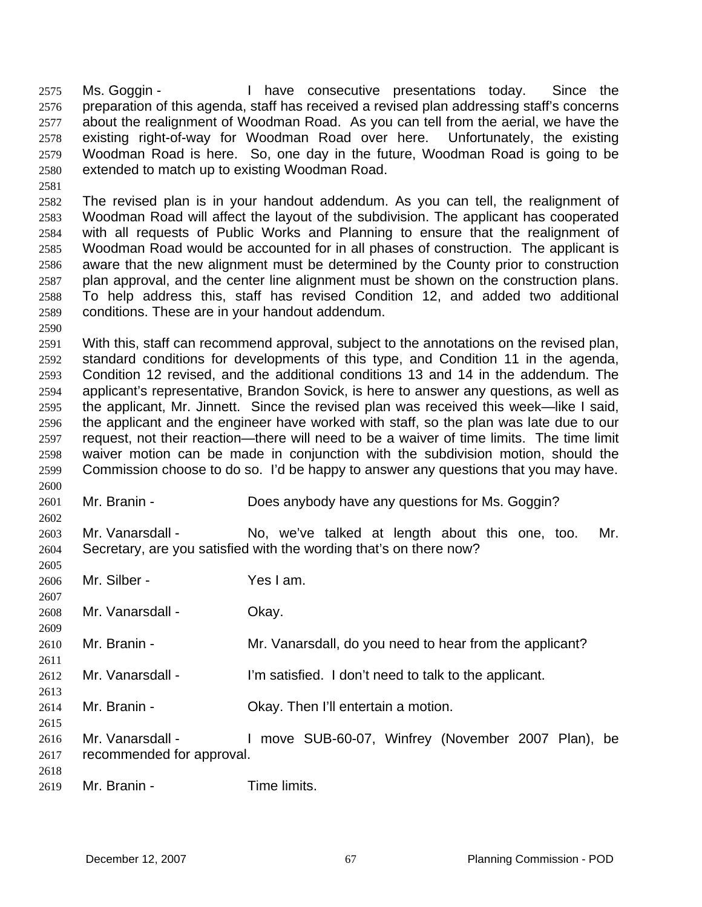Ms. Goggin - Thave consecutive presentations today. Since the preparation of this agenda, staff has received a revised plan addressing staff's concerns about the realignment of Woodman Road. As you can tell from the aerial, we have the existing right-of-way for Woodman Road over here. Unfortunately, the existing Woodman Road is here. So, one day in the future, Woodman Road is going to be extended to match up to existing Woodman Road. 2575 2576 2577 2578 2579 2580

2582 2583 2584 2585 2586 2587 2588 2589 The revised plan is in your handout addendum. As you can tell, the realignment of Woodman Road will affect the layout of the subdivision. The applicant has cooperated with all requests of Public Works and Planning to ensure that the realignment of Woodman Road would be accounted for in all phases of construction. The applicant is aware that the new alignment must be determined by the County prior to construction plan approval, and the center line alignment must be shown on the construction plans. To help address this, staff has revised Condition 12, and added two additional conditions. These are in your handout addendum.

2590

2600

2602

2605

2607

2610 2611

2613

2615

2581

2591 2592 2593 2594 2595 2596 2597 2598 2599 With this, staff can recommend approval, subject to the annotations on the revised plan, standard conditions for developments of this type, and Condition 11 in the agenda, Condition 12 revised, and the additional conditions 13 and 14 in the addendum. The applicant's representative, Brandon Sovick, is here to answer any questions, as well as the applicant, Mr. Jinnett. Since the revised plan was received this week—like I said, the applicant and the engineer have worked with staff, so the plan was late due to our request, not their reaction—there will need to be a waiver of time limits. The time limit waiver motion can be made in conjunction with the subdivision motion, should the Commission choose to do so. I'd be happy to answer any questions that you may have.

- 2601 Mr. Branin - **Does anybody have any questions for Ms. Goggin?**
- 2603 2604 Mr. Vanarsdall - No, we've talked at length about this one, too. Mr. Secretary, are you satisfied with the wording that's on there now?
- 2606 Mr. Silber - Yes I am.
- 2608 2609 Mr. Vanarsdall - Okav.
	- Mr. Branin Mr. Vanarsdall, do you need to hear from the applicant?
- 2612 Mr. Vanarsdall - I'm satisfied. I don't need to talk to the applicant.
- 2614 Mr. Branin - Ckay. Then I'll entertain a motion.
- 2616 2617 2618 Mr. Vanarsdall - The Music SUB-60-07, Winfrey (November 2007 Plan), be recommended for approval.
- 2619 Mr. Branin - Time limits.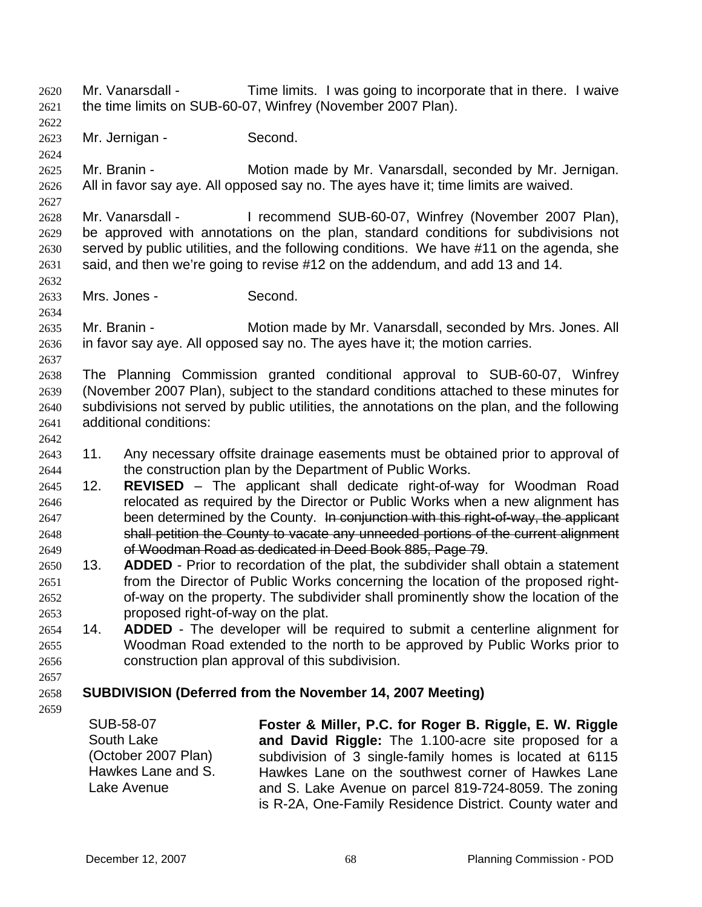Mr. Vanarsdall - Time limits. I was going to incorporate that in there. I waive the time limits on SUB-60-07, Winfrey (November 2007 Plan). 2620 2621

2622 2623

2624

2627

2632

2634

2637

Mr. Jernigan - Second.

2625 2626 Mr. Branin - **Motion made by Mr. Vanarsdall, seconded by Mr. Jernigan.** All in favor say aye. All opposed say no. The ayes have it; time limits are waived.

2628 2629 2630 2631 Mr. Vanarsdall - I recommend SUB-60-07, Winfrey (November 2007 Plan), be approved with annotations on the plan, standard conditions for subdivisions not served by public utilities, and the following conditions. We have #11 on the agenda, she said, and then we're going to revise #12 on the addendum, and add 13 and 14.

2633 Mrs. Jones - Second.

2635 2636 Mr. Branin - **Motion made by Mr. Vanarsdall, seconded by Mrs. Jones. All** in favor say aye. All opposed say no. The ayes have it; the motion carries.

- 2638 2639 2640 2641 The Planning Commission granted conditional approval to SUB-60-07, Winfrey (November 2007 Plan), subject to the standard conditions attached to these minutes for subdivisions not served by public utilities, the annotations on the plan, and the following additional conditions:
- 2642
- 2643 2644 11. Any necessary offsite drainage easements must be obtained prior to approval of the construction plan by the Department of Public Works.
- 2645 2646 12. **REVISED** – The applicant shall dedicate right-of-way for Woodman Road relocated as required by the Director or Public Works when a new alignment has 2647 been determined by the County. In conjunction with this right-of-way, the applicant 2648 shall petition the County to vacate any unneeded portions of the current alignment 2649 of Woodman Road as dedicated in Deed Book 885, Page 79.
- 2650 2651 2652 2653 13. **ADDED** - Prior to recordation of the plat, the subdivider shall obtain a statement from the Director of Public Works concerning the location of the proposed rightof-way on the property. The subdivider shall prominently show the location of the proposed right-of-way on the plat.
- 2654 2655 2656 14. **ADDED** - The developer will be required to submit a centerline alignment for Woodman Road extended to the north to be approved by Public Works prior to construction plan approval of this subdivision.

### 2658 **SUBDIVISION (Deferred from the November 14, 2007 Meeting)**

2659

2657

SUB-58-07 South Lake (October 2007 Plan) Hawkes Lane and S. Lake Avenue **Foster & Miller, P.C. for Roger B. Riggle, E. W. Riggle and David Riggle:** The 1.100-acre site proposed for a subdivision of 3 single-family homes is located at 6115 Hawkes Lane on the southwest corner of Hawkes Lane and S. Lake Avenue on parcel 819-724-8059. The zoning is R-2A, One-Family Residence District. County water and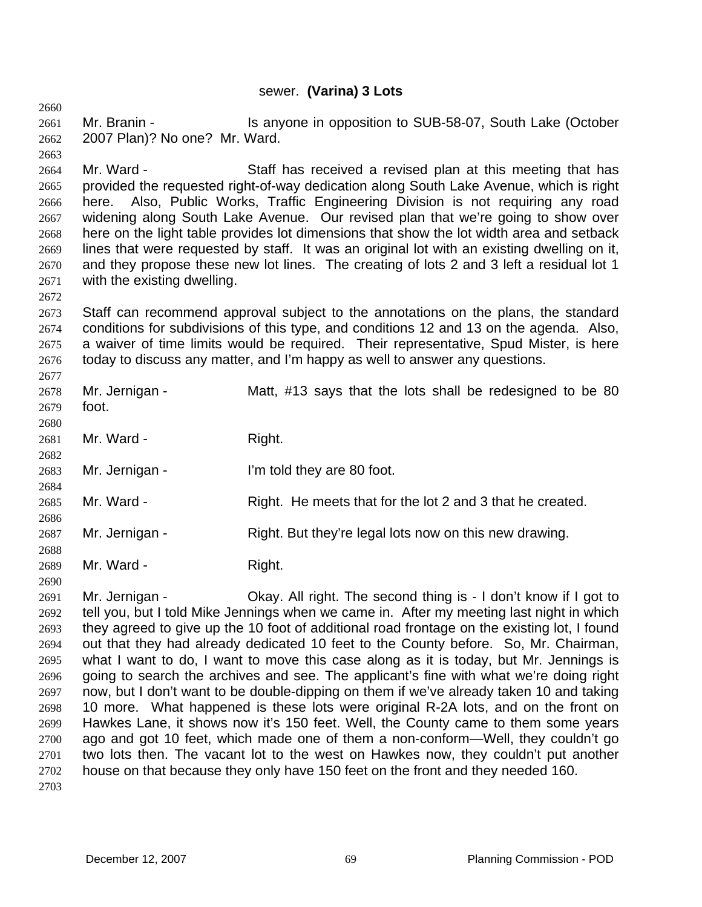# sewer. **(Varina) 3 Lots**

2661 2662 Mr. Branin - The Is anyone in opposition to SUB-58-07, South Lake (October 2007 Plan)? No one? Mr. Ward.

2664 2665 2666 2667 2668 2669 2670 2671 Mr. Ward - Staff has received a revised plan at this meeting that has provided the requested right-of-way dedication along South Lake Avenue, which is right here. Also, Public Works, Traffic Engineering Division is not requiring any road widening along South Lake Avenue. Our revised plan that we're going to show over here on the light table provides lot dimensions that show the lot width area and setback lines that were requested by staff. It was an original lot with an existing dwelling on it, and they propose these new lot lines. The creating of lots 2 and 3 left a residual lot 1 with the existing dwelling.

2673 2674 2675 2676 Staff can recommend approval subject to the annotations on the plans, the standard conditions for subdivisions of this type, and conditions 12 and 13 on the agenda. Also, a waiver of time limits would be required. Their representative, Spud Mister, is here today to discuss any matter, and I'm happy as well to answer any questions.

| 2678<br>2679<br>2680 | Mr. Jernigan -<br>foot. | Matt, #13 says that the lots shall be redesigned to be 80 |
|----------------------|-------------------------|-----------------------------------------------------------|
| 2681<br>2682         | Mr. Ward -              | Right.                                                    |
| 2683<br>2684         | Mr. Jernigan -          | I'm told they are 80 foot.                                |
| 2685<br>2686         | Mr. Ward -              | Right. He meets that for the lot 2 and 3 that he created. |
| 2687<br>2688         | Mr. Jernigan -          | Right. But they're legal lots now on this new drawing.    |
| 2689<br>2690         | Mr. Ward -              | Right.                                                    |

2691 2692 2693 2694 2695 2696 2697 2698 2699 2700 2701 2702 2703 Mr. Jernigan - Ckay. All right. The second thing is - I don't know if I got to tell you, but I told Mike Jennings when we came in. After my meeting last night in which they agreed to give up the 10 foot of additional road frontage on the existing lot, I found out that they had already dedicated 10 feet to the County before. So, Mr. Chairman, what I want to do, I want to move this case along as it is today, but Mr. Jennings is going to search the archives and see. The applicant's fine with what we're doing right now, but I don't want to be double-dipping on them if we've already taken 10 and taking 10 more. What happened is these lots were original R-2A lots, and on the front on Hawkes Lane, it shows now it's 150 feet. Well, the County came to them some years ago and got 10 feet, which made one of them a non-conform—Well, they couldn't go two lots then. The vacant lot to the west on Hawkes now, they couldn't put another house on that because they only have 150 feet on the front and they needed 160.

2660

2663

2672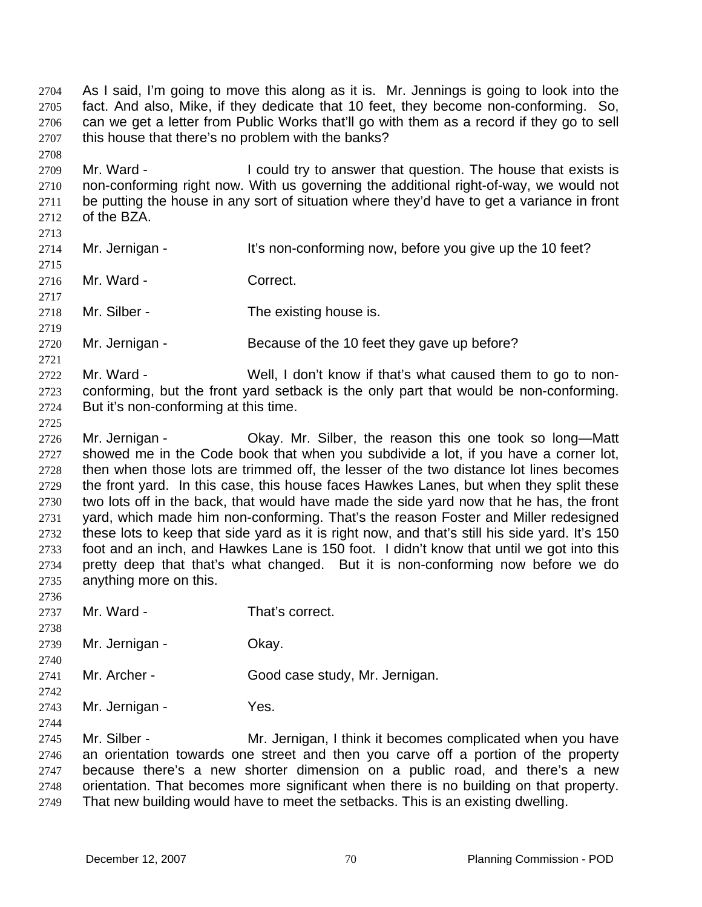As I said, I'm going to move this along as it is. Mr. Jennings is going to look into the fact. And also, Mike, if they dedicate that 10 feet, they become non-conforming. So, can we get a letter from Public Works that'll go with them as a record if they go to sell this house that there's no problem with the banks? 2704 2705 2706 2707 2708

2709 2710 2711 2712 2713 Mr. Ward - I could try to answer that question. The house that exists is non-conforming right now. With us governing the additional right-of-way, we would not be putting the house in any sort of situation where they'd have to get a variance in front of the BZA.

2714 Mr. Jernigan - It's non-conforming now, before you give up the 10 feet?

2716 Mr. Ward - Correct.

2718 Mr. Silber - The existing house is.

2720 Mr. Jernigan - Because of the 10 feet they gave up before?

2722 2723 2724 Mr. Ward - Well, I don't know if that's what caused them to go to nonconforming, but the front yard setback is the only part that would be non-conforming. But it's non-conforming at this time.

2725

2715

2717

2719

2721

2726 2727 2728 2729 2730 2731 2732 2733 2734 2735 2736 Mr. Jernigan - Okay. Mr. Silber, the reason this one took so long—Matt showed me in the Code book that when you subdivide a lot, if you have a corner lot, then when those lots are trimmed off, the lesser of the two distance lot lines becomes the front yard. In this case, this house faces Hawkes Lanes, but when they split these two lots off in the back, that would have made the side yard now that he has, the front yard, which made him non-conforming. That's the reason Foster and Miller redesigned these lots to keep that side yard as it is right now, and that's still his side yard. It's 150 foot and an inch, and Hawkes Lane is 150 foot. I didn't know that until we got into this pretty deep that that's what changed. But it is non-conforming now before we do anything more on this.

- 2737 Mr. Ward - That's correct.
- 2739 Mr. Jernigan - Ckay.
- 2741 Mr. Archer - Good case study, Mr. Jernigan.
- 2742 2743 Mr. Jernigan - Yes.
- 2744

2738

2740

2745 2746 2747 2748 2749 Mr. Silber - **Mr.** Jernigan, I think it becomes complicated when you have an orientation towards one street and then you carve off a portion of the property because there's a new shorter dimension on a public road, and there's a new orientation. That becomes more significant when there is no building on that property. That new building would have to meet the setbacks. This is an existing dwelling.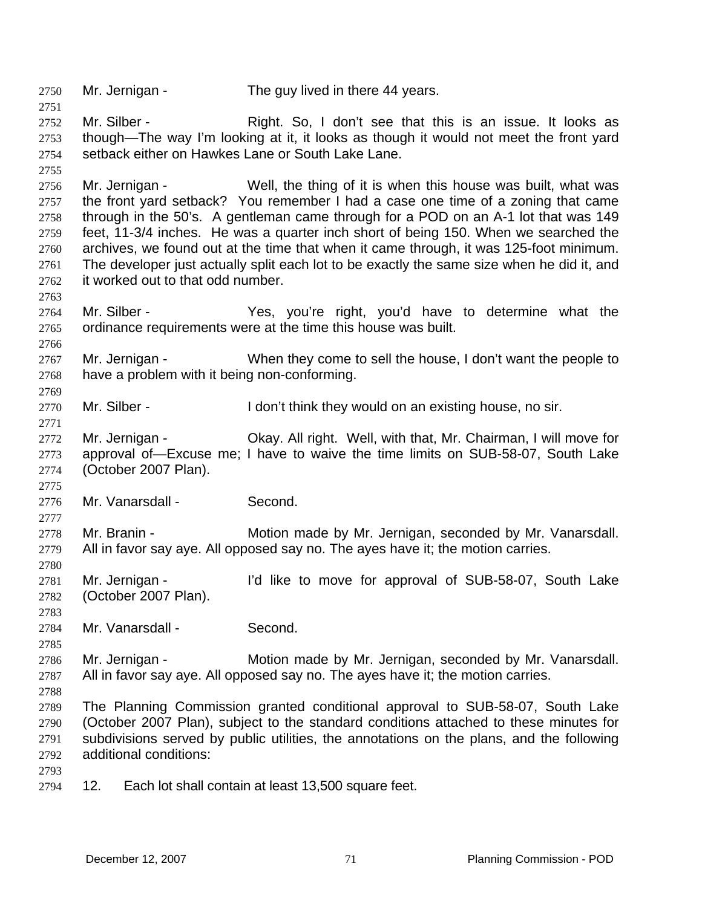2750 Mr. Jernigan - The guy lived in there 44 years. 2751

2752 2753 2754 Mr. Silber - Right. So, I don't see that this is an issue. It looks as though—The way I'm looking at it, it looks as though it would not meet the front yard setback either on Hawkes Lane or South Lake Lane.

2756 2757 2758 2759 2760 2761 2762 Mr. Jernigan - Well, the thing of it is when this house was built, what was the front yard setback? You remember I had a case one time of a zoning that came through in the 50's. A gentleman came through for a POD on an A-1 lot that was 149 feet, 11-3/4 inches. He was a quarter inch short of being 150. When we searched the archives, we found out at the time that when it came through, it was 125-foot minimum. The developer just actually split each lot to be exactly the same size when he did it, and it worked out to that odd number.

2764 2765 Mr. Silber - The Yes, you're right, you'd have to determine what the ordinance requirements were at the time this house was built.

2767 2768 Mr. Jernigan - When they come to sell the house, I don't want the people to have a problem with it being non-conforming.

2770 Mr. Silber - The Sulfon't think they would on an existing house, no sir.

2772 2773 2774 Mr. Jernigan - Okay. All right. Well, with that, Mr. Chairman, I will move for approval of—Excuse me; I have to waive the time limits on SUB-58-07, South Lake (October 2007 Plan).

2776 Mr. Vanarsdall - Second.

2778 2779 Mr. Branin - Motion made by Mr. Jernigan, seconded by Mr. Vanarsdall. All in favor say aye. All opposed say no. The ayes have it; the motion carries.

2781 2782 Mr. Jernigan - I'd like to move for approval of SUB-58-07, South Lake (October 2007 Plan).

2784 Mr. Vanarsdall - Second.

2786 2787 Mr. Jernigan - **Motion made by Mr. Jernigan, seconded by Mr. Vanarsdall.** All in favor say aye. All opposed say no. The ayes have it; the motion carries.

2789 2790 2791 2792 The Planning Commission granted conditional approval to SUB-58-07, South Lake (October 2007 Plan), subject to the standard conditions attached to these minutes for subdivisions served by public utilities, the annotations on the plans, and the following additional conditions:

2793

2755

2763

2766

2769

2771

2775

2777

2780

2783

2785

2788

2794 12. Each lot shall contain at least 13,500 square feet.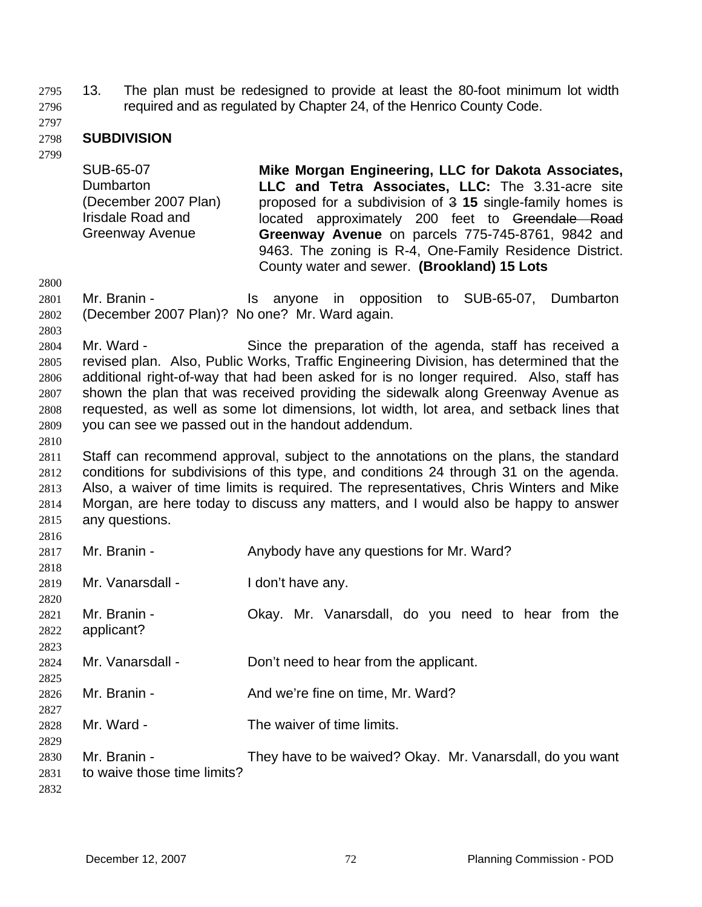13. The plan must be redesigned to provide at least the 80-foot minimum lot width required and as regulated by Chapter 24, of the Henrico County Code. 2795 2796

2797

### 2798 **SUBDIVISION**

2799

SUB-65-07 Dumbarton (December 2007 Plan) Irisdale Road and Greenway Avenue **Mike Morgan Engineering, LLC for Dakota Associates, LLC and Tetra Associates, LLC:** The 3.31-acre site proposed for a subdivision of 3 **15** single-family homes is located approximately 200 feet to Greendale Road **Greenway Avenue** on parcels 775-745-8761, 9842 and 9463. The zoning is R-4, One-Family Residence District. County water and sewer. **(Brookland) 15 Lots** 

2800

2803

2810

2801 2802 Mr. Branin - The Superson Is anyone in opposition to SUB-65-07, Dumbarton (December 2007 Plan)? No one? Mr. Ward again.

2804 2805 2806 2807 2808 2809 Mr. Ward - Since the preparation of the agenda, staff has received a revised plan. Also, Public Works, Traffic Engineering Division, has determined that the additional right-of-way that had been asked for is no longer required. Also, staff has shown the plan that was received providing the sidewalk along Greenway Avenue as requested, as well as some lot dimensions, lot width, lot area, and setback lines that you can see we passed out in the handout addendum.

2811 2812 2813 2814 2815  $2016$ Staff can recommend approval, subject to the annotations on the plans, the standard conditions for subdivisions of this type, and conditions 24 through 31 on the agenda. Also, a waiver of time limits is required. The representatives, Chris Winters and Mike Morgan, are here today to discuss any matters, and I would also be happy to answer any questions.

| <b>2010</b> |                             |                                                           |
|-------------|-----------------------------|-----------------------------------------------------------|
| 2817        | Mr. Branin -                | Anybody have any questions for Mr. Ward?                  |
| 2818        |                             |                                                           |
| 2819        | Mr. Vanarsdall -            | I don't have any.                                         |
| 2820        |                             |                                                           |
| 2821        | Mr. Branin -                | Okay. Mr. Vanarsdall, do you need to hear from the        |
| 2822        | applicant?                  |                                                           |
| 2823        |                             |                                                           |
| 2824        | Mr. Vanarsdall -            | Don't need to hear from the applicant.                    |
| 2825        |                             |                                                           |
| 2826        | Mr. Branin -                | And we're fine on time, Mr. Ward?                         |
| 2827        |                             |                                                           |
| 2828        | Mr. Ward -                  | The waiver of time limits.                                |
| 2829        |                             |                                                           |
| 2830        | Mr. Branin -                | They have to be waived? Okay. Mr. Vanarsdall, do you want |
| 2831        | to waive those time limits? |                                                           |
| 2832        |                             |                                                           |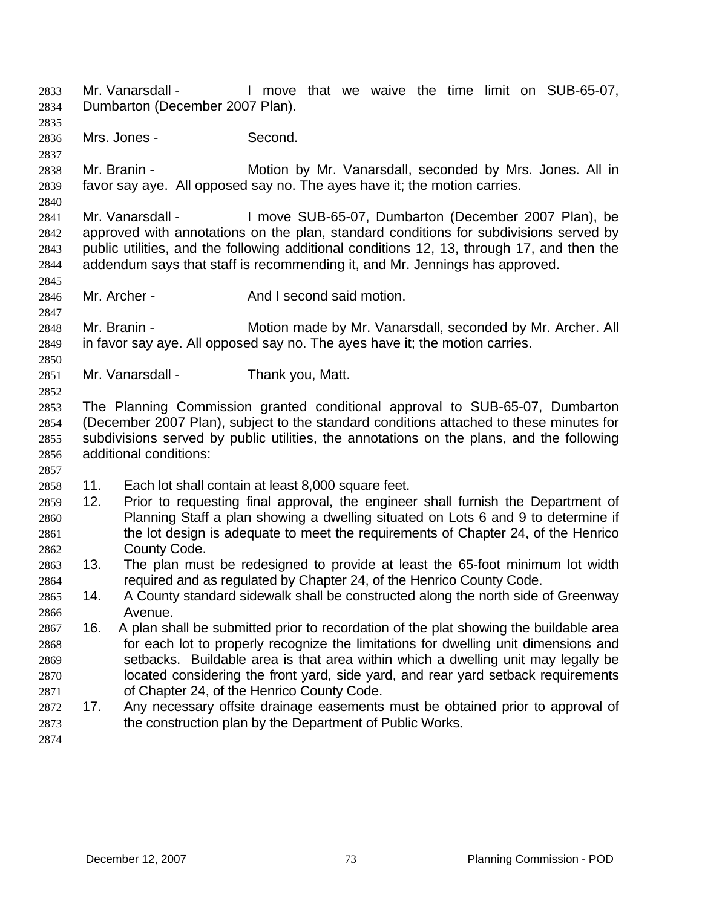- Mr. Vanarsdall The limove that we waive the time limit on SUB-65-07, Dumbarton (December 2007 Plan). 2833 2834
- 2836 Mrs. Jones - Second.

2835

2837

2840

2845

2847

2850

2852

2857

- 2838 2839 Mr. Branin - **Motion by Mr. Vanarsdall, seconded by Mrs. Jones. All in** favor say aye. All opposed say no. The ayes have it; the motion carries.
- 2841 2842 2843 2844 Mr. Vanarsdall - I move SUB-65-07, Dumbarton (December 2007 Plan), be approved with annotations on the plan, standard conditions for subdivisions served by public utilities, and the following additional conditions 12, 13, through 17, and then the addendum says that staff is recommending it, and Mr. Jennings has approved.
- 2846 Mr. Archer - And I second said motion.
- 2848 2849 Mr. Branin - **Motion made by Mr. Vanarsdall, seconded by Mr. Archer. All** in favor say aye. All opposed say no. The ayes have it; the motion carries.
- 2851 Mr. Vanarsdall - Thank you, Matt.
- 2853 2854 2855 2856 The Planning Commission granted conditional approval to SUB-65-07, Dumbarton (December 2007 Plan), subject to the standard conditions attached to these minutes for subdivisions served by public utilities, the annotations on the plans, and the following additional conditions:
- 2858 11. Each lot shall contain at least 8,000 square feet.
- 2860 2861 2862 2859 12. Prior to requesting final approval, the engineer shall furnish the Department of Planning Staff a plan showing a dwelling situated on Lots 6 and 9 to determine if the lot design is adequate to meet the requirements of Chapter 24, of the Henrico County Code.
- 2864 2863 13. The plan must be redesigned to provide at least the 65-foot minimum lot width required and as regulated by Chapter 24, of the Henrico County Code.
- 2866 2865 14. A County standard sidewalk shall be constructed along the north side of Greenway Avenue.
- 2867 2868 2869 2870 2871 16. A plan shall be submitted prior to recordation of the plat showing the buildable area for each lot to properly recognize the limitations for dwelling unit dimensions and setbacks. Buildable area is that area within which a dwelling unit may legally be located considering the front yard, side yard, and rear yard setback requirements of Chapter 24, of the Henrico County Code.
- 2872 2873 17. Any necessary offsite drainage easements must be obtained prior to approval of the construction plan by the Department of Public Works.
- 2874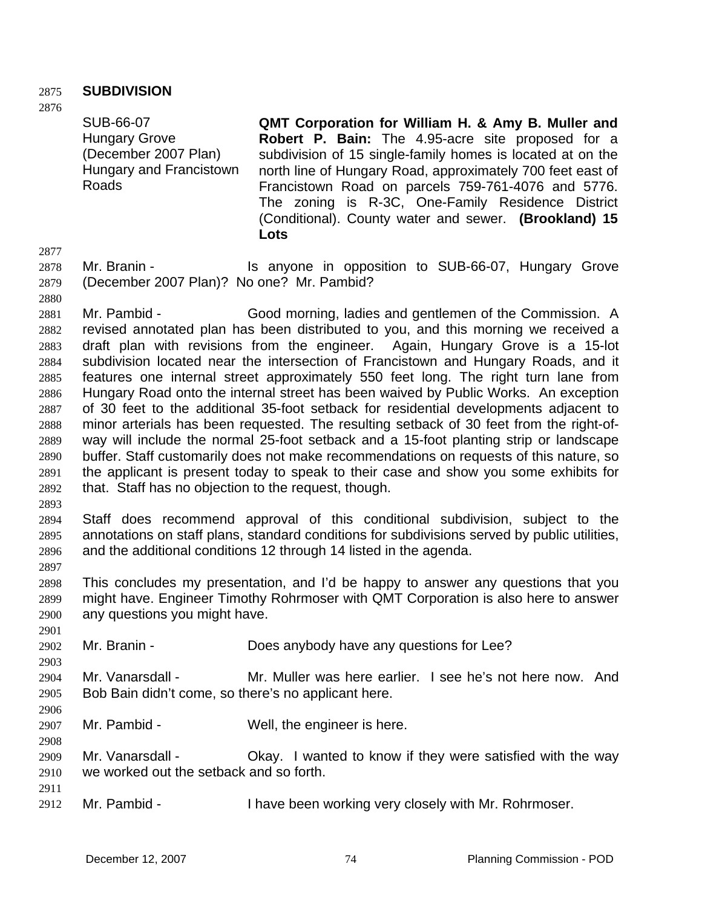## 2875 **SUBDIVISION**

2876

SUB-66-07 Hungary Grove (December 2007 Plan) Hungary and Francistown Roads

**QMT Corporation for William H. & Amy B. Muller and Robert P. Bain:** The 4.95-acre site proposed for a subdivision of 15 single-family homes is located at on the north line of Hungary Road, approximately 700 feet east of Francistown Road on parcels 759-761-4076 and 5776. The zoning is R-3C, One-Family Residence District (Conditional). County water and sewer. **(Brookland) 15 Lots** 

2877

2880

2878 2879

Mr. Branin - The Is anyone in opposition to SUB-66-07, Hungary Grove (December 2007 Plan)? No one? Mr. Pambid?

2881 2882 2883 2884 2885 2886 2887 2888 2889 2890 2891 2892 Mr. Pambid - Good morning, ladies and gentlemen of the Commission. A revised annotated plan has been distributed to you, and this morning we received a draft plan with revisions from the engineer. Again, Hungary Grove is a 15-lot subdivision located near the intersection of Francistown and Hungary Roads, and it features one internal street approximately 550 feet long. The right turn lane from Hungary Road onto the internal street has been waived by Public Works. An exception of 30 feet to the additional 35-foot setback for residential developments adjacent to minor arterials has been requested. The resulting setback of 30 feet from the right-ofway will include the normal 25-foot setback and a 15-foot planting strip or landscape buffer. Staff customarily does not make recommendations on requests of this nature, so the applicant is present today to speak to their case and show you some exhibits for that. Staff has no objection to the request, though.

2893

2897

2901

2906

2908

2911

2894 2895 2896 Staff does recommend approval of this conditional subdivision, subject to the annotations on staff plans, standard conditions for subdivisions served by public utilities, and the additional conditions 12 through 14 listed in the agenda.

2898 2899 2900 This concludes my presentation, and I'd be happy to answer any questions that you might have. Engineer Timothy Rohrmoser with QMT Corporation is also here to answer any questions you might have.

2902 Mr. Branin - **Example 3** Does any body have any questions for Lee?

2903 2904 Mr. Vanarsdall - Mr. Muller was here earlier. I see he's not here now. And

2905 Bob Bain didn't come, so there's no applicant here.

2907 Mr. Pambid - Well, the engineer is here.

- 2909 2910 Mr. Vanarsdall - Chay. I wanted to know if they were satisfied with the way we worked out the setback and so forth.
- 2912 Mr. Pambid - Thave been working very closely with Mr. Rohrmoser.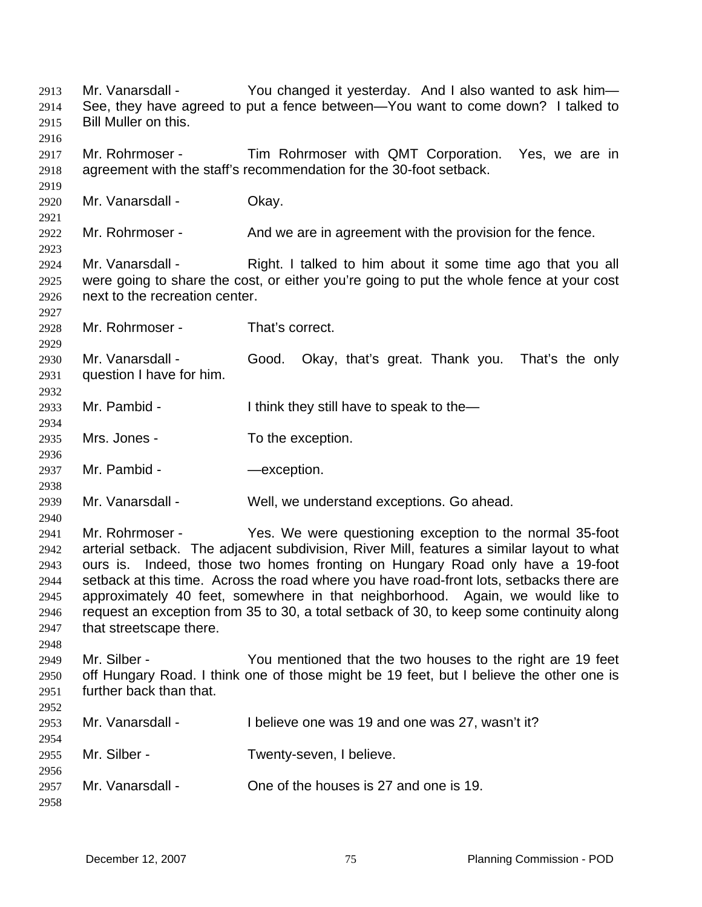Mr. Vanarsdall - You changed it yesterday. And I also wanted to ask him-See, they have agreed to put a fence between—You want to come down? I talked to Bill Muller on this. 2913 2914 2915 2916 2917 2918 2919 2920 2921 2922 2923 2924 2925 2926 2927 2928 2929 2930 2931 2932 2933 2934 2935 2936 2937 2938 2939 2940 2941 2942 2943 2944 2945 2946 2947 2948 2949 2950 2951 2952 2953 2954 2955 2956 2957 2958 Mr. Rohrmoser - Tim Rohrmoser with QMT Corporation. Yes, we are in agreement with the staff's recommendation for the 30-foot setback. Mr. Vanarsdall - Okay. Mr. Rohrmoser - And we are in agreement with the provision for the fence. Mr. Vanarsdall - Right. I talked to him about it some time ago that you all were going to share the cost, or either you're going to put the whole fence at your cost next to the recreation center. Mr. Rohrmoser - That's correct. Mr. Vanarsdall - Good. Okay, that's great. Thank you. That's the only question I have for him. Mr. Pambid - I think they still have to speak to the— Mrs. Jones - To the exception. Mr. Pambid - The Contract Contract - And The Contract Only 10. Mr. Vanarsdall - Well, we understand exceptions. Go ahead. Mr. Rohrmoser - Yes. We were questioning exception to the normal 35-foot arterial setback. The adjacent subdivision, River Mill, features a similar layout to what ours is. Indeed, those two homes fronting on Hungary Road only have a 19-foot setback at this time. Across the road where you have road-front lots, setbacks there are approximately 40 feet, somewhere in that neighborhood. Again, we would like to request an exception from 35 to 30, a total setback of 30, to keep some continuity along that streetscape there. Mr. Silber - You mentioned that the two houses to the right are 19 feet off Hungary Road. I think one of those might be 19 feet, but I believe the other one is further back than that. Mr. Vanarsdall - I believe one was 19 and one was 27, wasn't it? Mr. Silber - Twenty-seven, I believe. Mr. Vanarsdall - Che of the houses is 27 and one is 19.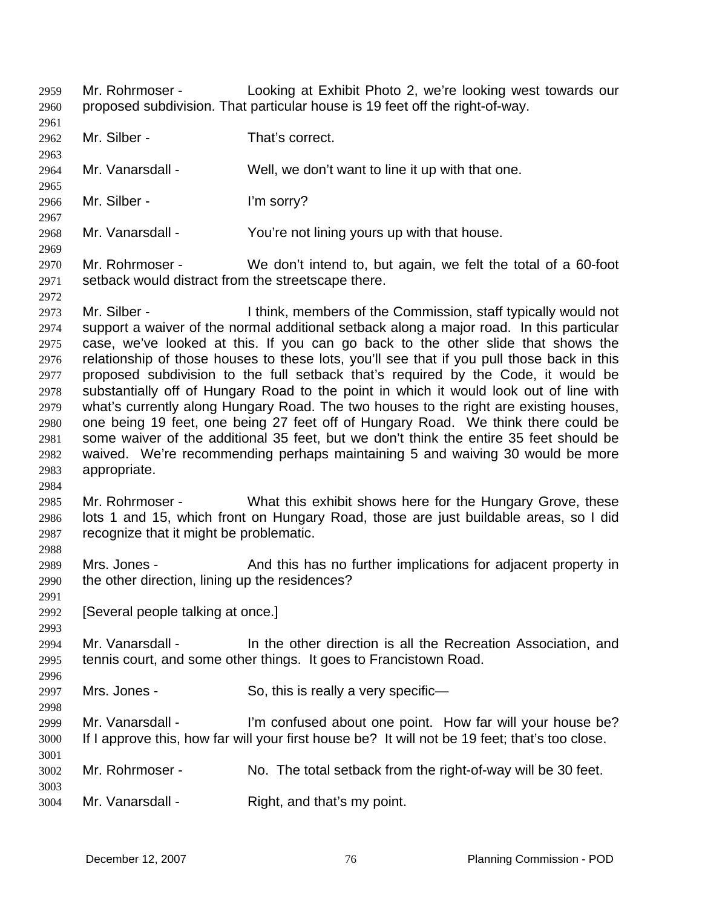- Mr. Rohrmoser Looking at Exhibit Photo 2, we're looking west towards our proposed subdivision. That particular house is 19 feet off the right-of-way. 2959 2960
- 2961

2963

2965

2967

2969

2972

2984

2988

2991

2993

2996

2998

3001

3003

- 2962 Mr. Silber - That's correct.
- 2964 Mr. Vanarsdall - Well, we don't want to line it up with that one.
- 2966 Mr. Silber - I'm sorry?
- 2968 Mr. Vanarsdall - You're not lining yours up with that house.
- 2970 2971 Mr. Rohrmoser - We don't intend to, but again, we felt the total of a 60-foot setback would distract from the streetscape there.
- 2973 2974 2975 2976 2977 2978 2979 2980 2981 2982 2983 Mr. Silber - Think, members of the Commission, staff typically would not support a waiver of the normal additional setback along a major road. In this particular case, we've looked at this. If you can go back to the other slide that shows the relationship of those houses to these lots, you'll see that if you pull those back in this proposed subdivision to the full setback that's required by the Code, it would be substantially off of Hungary Road to the point in which it would look out of line with what's currently along Hungary Road. The two houses to the right are existing houses, one being 19 feet, one being 27 feet off of Hungary Road. We think there could be some waiver of the additional 35 feet, but we don't think the entire 35 feet should be waived. We're recommending perhaps maintaining 5 and waiving 30 would be more appropriate.
- 2985 2986 2987 Mr. Rohrmoser - What this exhibit shows here for the Hungary Grove, these lots 1 and 15, which front on Hungary Road, those are just buildable areas, so I did recognize that it might be problematic.
- 2989 2990 Mrs. Jones - And this has no further implications for adjacent property in the other direction, lining up the residences?
- 2992 [Several people talking at once.]
- 2994 2995 Mr. Vanarsdall - In the other direction is all the Recreation Association, and tennis court, and some other things. It goes to Francistown Road.
- 2997 Mrs. Jones - So, this is really a very specific—
- 2999 3000 Mr. Vanarsdall - I'm confused about one point. How far will your house be? If I approve this, how far will your first house be? It will not be 19 feet; that's too close.
- 3002 Mr. Rohrmoser - No. The total setback from the right-of-way will be 30 feet.
- 3004 Mr. Vanarsdall - Right, and that's my point.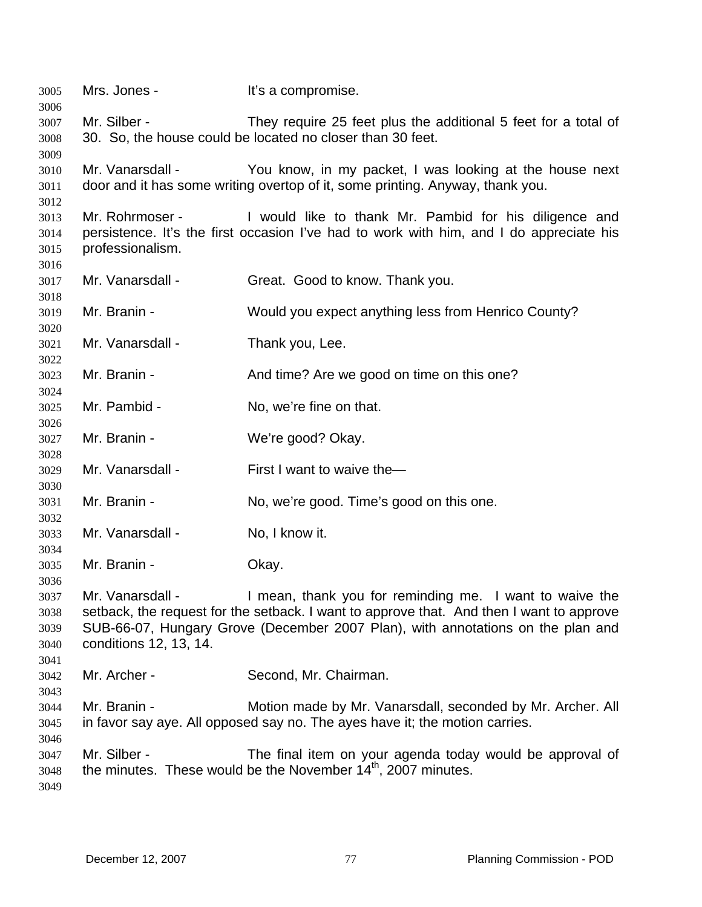Mrs. Jones - It's a compromise. Mr. Silber - They require 25 feet plus the additional 5 feet for a total of 30. So, the house could be located no closer than 30 feet. Mr. Vanarsdall - You know, in my packet, I was looking at the house next door and it has some writing overtop of it, some printing. Anyway, thank you. Mr. Rohrmoser - I would like to thank Mr. Pambid for his diligence and persistence. It's the first occasion I've had to work with him, and I do appreciate his professionalism. Mr. Vanarsdall - Great. Good to know. Thank you. Mr. Branin - Would you expect anything less from Henrico County? Mr. Vanarsdall - Thank you, Lee. Mr. Branin - The And time? Are we good on time on this one? Mr. Pambid - No. we're fine on that. Mr. Branin - We're good? Okay. Mr. Vanarsdall - First I want to waive the— Mr. Branin - No, we're good. Time's good on this one. Mr. Vanarsdall - No, I know it. Mr. Branin - Ckay. Mr. Vanarsdall - I mean, thank you for reminding me. I want to waive the setback, the request for the setback. I want to approve that. And then I want to approve SUB-66-07, Hungary Grove (December 2007 Plan), with annotations on the plan and conditions 12, 13, 14. Mr. Archer - Second, Mr. Chairman. Mr. Branin - **Motion made by Mr. Vanarsdall, seconded by Mr. Archer. All** in favor say aye. All opposed say no. The ayes have it; the motion carries. Mr. Silber - The final item on your agenda today would be approval of the minutes. These would be the November  $14<sup>th</sup>$ , 2007 minutes.